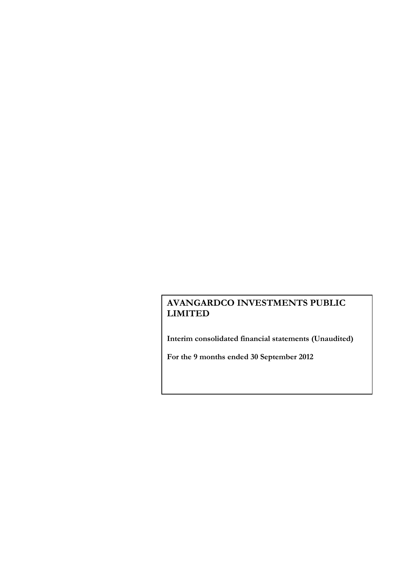**Interim consolidated financial statements (Unaudited)**

**For the 9 months ended 30 September 2012**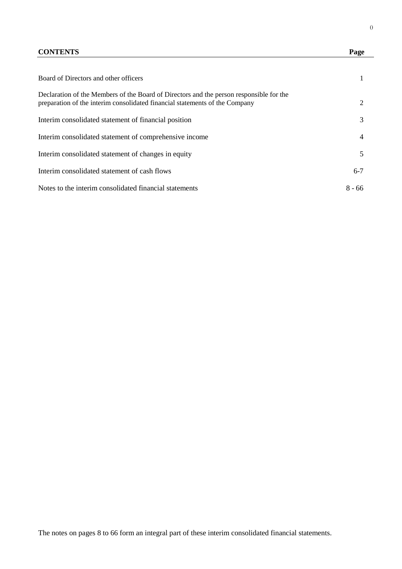## **CONTENTS Page**

| Board of Directors and other officers                                                                                                                                  |                |
|------------------------------------------------------------------------------------------------------------------------------------------------------------------------|----------------|
| Declaration of the Members of the Board of Directors and the person responsible for the<br>preparation of the interim consolidated financial statements of the Company | 2              |
| Interim consolidated statement of financial position                                                                                                                   | 3              |
| Interim consolidated statement of comprehensive income                                                                                                                 | $\overline{4}$ |
| Interim consolidated statement of changes in equity                                                                                                                    | 5              |
| Interim consolidated statement of cash flows                                                                                                                           | $6 - 7$        |
| Notes to the interim consolidated financial statements                                                                                                                 | $8 - 66$       |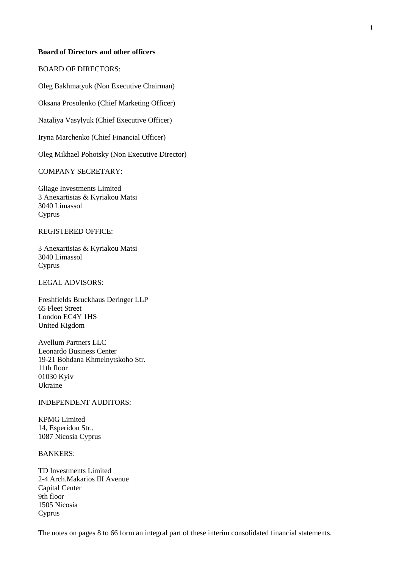### **Board of Directors and other officers**

BOARD OF DIRECTORS:

Oleg Bakhmatyuk (Non Executive Chairman)

Oksana Prosolenko (Chief Marketing Officer)

Nataliya Vasylyuk (Chief Executive Officer)

Iryna Marchenko (Chief Financial Officer)

Oleg Mikhael Pohotsky (Non Executive Director)

### COMPANY SECRETARY:

Gliage Investments Limited 3 Anexartisias & Kyriakou Matsi 3040 Limassol Cyprus

#### REGISTERED OFFICE:

3 Anexartisias & Kyriakou Matsi 3040 Limassol Cyprus

LEGAL ADVISORS:

Freshfields Bruckhaus Deringer LLP 65 Fleet Street London EC4Y 1HS United Kigdom

Avellum Partners LLC Leonardo Business Center 19-21 Bohdana Khmelnytskoho Str. 11th floor 01030 Kyiv Ukraine

### INDEPENDENT AUDITORS:

KPMG Limited 14, Esperidon Str., 1087 Nicosia Cyprus

### BANKERS:

TD Investments Limited 2-4 Arch.Makarios III Avenue Capital Center 9th floor 1505 Nicosia Cyprus

The notes on pages 8 to 66 form an integral part of these interim consolidated financial statements.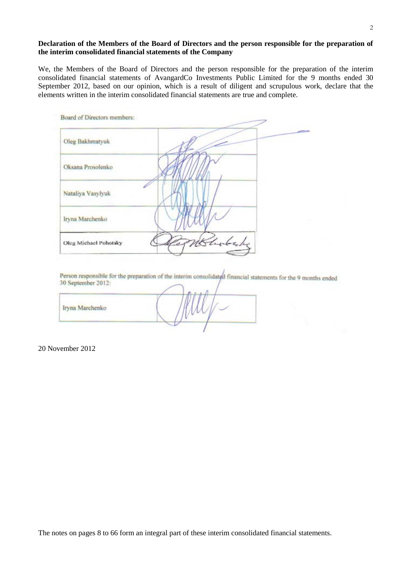### **Declaration of the Members of the Board of Directors and the person responsible for the preparation of the interim consolidated financial statements of the Company**

We, the Members of the Board of Directors and the person responsible for the preparation of the interim consolidated financial statements of AvangardCo Investments Public Limited for the 9 months ended 30 September 2012, based on our opinion, which is a result of diligent and scrupulous work, declare that the elements written in the interim consolidated financial statements are true and complete.

| Board of Directors members: |         |
|-----------------------------|---------|
| Oleg Bakhmatyuk             |         |
| Oksana Prosolenko           |         |
| Nataliya Vasylyuk           |         |
| Iryna Marchenko             |         |
| Oleg Michael Pohotsky       | Blutchy |

Person responsible for the preparation of the interim consolidated financial statements for the 9 months ended 30 September 2012:

Iryna Marchenko

20 November 2012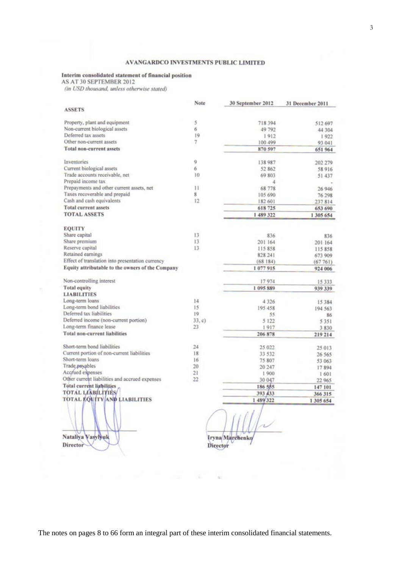#### Interim consolidated statement of financial position

AS AT 30 SEPTEMBER 2012

(in USD thousand, unless otherwise stated)

|                                                  | Note   | 30 September 2012 | 31 December 2011 |
|--------------------------------------------------|--------|-------------------|------------------|
| <b>ASSETS</b>                                    |        |                   |                  |
| Property, plant and equipment                    | 5      | 718 394           | 512 697          |
| Non-current biological assets                    | 6      | 49 792            | 44 304           |
| Deferred tax assets                              | 19     | 1912              | 1922             |
| Other non-current assets                         | 7      | 100 499           | 93 041           |
| <b>Total non-current assets</b>                  |        | 870 597           | 651 964          |
| Inventories                                      | 9      | 138 987           | 202 279          |
| Current biological assets                        | 6      | 52 862            | 58916            |
| Trade accounts receivable, net                   | 10     | 69 803            | 51 437           |
| Prepaid income tax                               |        | 4                 |                  |
| Prepayments and other current assets, net        | 11     | 68 778            | 26 946           |
| Taxes recoverable and prepaid                    | 8      | 105 690           | 76 298           |
| Cash and cash equivalents                        | 12     | 182 601           | 237814           |
| <b>Total current assets</b>                      |        | 618725            | 653 690          |
| <b>TOTAL ASSETS</b>                              |        | 1 489 322         | 1 305 654        |
| <b>EQUITY</b>                                    |        |                   |                  |
| Share capital                                    | 13     | 836               | 836              |
| Share premium                                    | 13     | 201 164           | 201 164          |
| Reserve capital                                  | 13     | 115858            | 115858           |
| Retained earnings                                |        | 828 241           | 673 909          |
| Effect of translation into presentation currency |        | (68184)           | (67,761)         |
| Equity attributable to the owners of the Company |        | 1077915           | 924 006          |
| Non-controlling interest                         |        | 17974             | 15 3 3 3         |
| <b>Total equity</b>                              |        | 1 095 889         | 939 339          |
| <b>LIABILITIES</b>                               |        |                   |                  |
| Long-term loans                                  | 14     | 4 3 2 6           | 15 384           |
| Long-term bond liabilities                       | 15     | 195 458           | 194 563          |
| Deferred tax liabilities                         | 19     | 55                | 86               |
| Deferred income (non-current portion)            | 33, c) | 5 1 2 2           | 5351             |
| Long-term finance lease                          | 23     | 1917              |                  |
| <b>Total non-current liabilities</b>             |        | 206 878           | 3830<br>219 214  |
| Short-term bond liabilities                      | 24     | 25 022            | 25 013           |
| Current portion of non-current liabilities       | 18     | 33 532            | 26 565           |
| Short-term loans                                 | 16     | 75 807            |                  |
| Trade payables                                   | 20     | 20 247            | 53 063<br>17894  |
| Accrued expenses                                 | 21     | 1 900             |                  |
| Other current liabilities and accrued expenses   | 22     | 30 047            | 1.601<br>22 965  |
| <b>Total current liabilities</b>                 |        | 186 555           |                  |
| <b>TOTAL LIABILITIES</b>                         |        | 393 433           | 147 101          |
| TOTAL EQUITY AND LIABILITIES                     |        |                   | 366 315          |
|                                                  |        | 1 489 322         | 1 305 654        |

Nataliya Vasylyuk Director

Iryna Marchenko Director

 $\tau$ 

The notes on pages 8 to 66 form an integral part of these interim consolidated financial statements.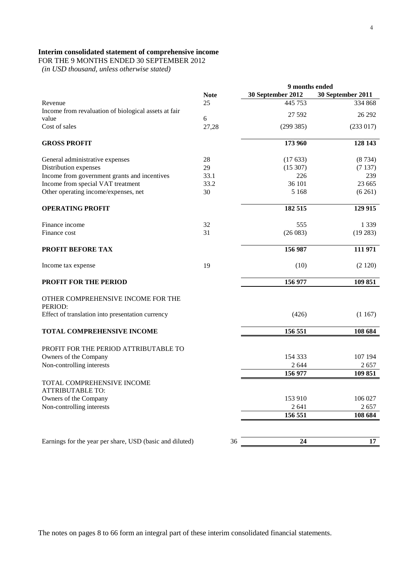#### **Interim consolidated statement of comprehensive income**

FOR THE 9 MONTHS ENDED 30 SEPTEMBER 2012

 *(in USD thousand, unless otherwise stated)*

|                                                          |             | 9 months ended    |                   |  |  |
|----------------------------------------------------------|-------------|-------------------|-------------------|--|--|
|                                                          | <b>Note</b> | 30 September 2012 | 30 September 2011 |  |  |
| Revenue                                                  | 25          | 445 753           | 334 868           |  |  |
| Income from revaluation of biological assets at fair     |             | 27 592            | 26 29 2           |  |  |
| value                                                    | 6           |                   |                   |  |  |
| Cost of sales                                            | 27,28       | (299 385)         | (233 017)         |  |  |
| <b>GROSS PROFIT</b>                                      |             | 173 960           | 128 143           |  |  |
| General administrative expenses                          | 28          | (17633)           | (8734)            |  |  |
| Distribution expenses                                    | 29          | (15307)           | (7137)            |  |  |
| Income from government grants and incentives             | 33.1        | 226               | 239               |  |  |
| Income from special VAT treatment                        | 33.2        | 36 101            | 23 665            |  |  |
| Other operating income/expenses, net                     | 30          | 5 1 6 8           | (6261)            |  |  |
| <b>OPERATING PROFIT</b>                                  |             | 182 515           | 129 915           |  |  |
| Finance income                                           | 32          | 555               | 1 3 3 9           |  |  |
| Finance cost                                             | 31          | (26083)           | (19 283)          |  |  |
| PROFIT BEFORE TAX                                        |             | 156 987           | 111 971           |  |  |
| Income tax expense                                       | 19          | (10)              | (2120)            |  |  |
| PROFIT FOR THE PERIOD                                    |             | 156 977           | 109851            |  |  |
| OTHER COMPREHENSIVE INCOME FOR THE<br>PERIOD:            |             |                   |                   |  |  |
| Effect of translation into presentation currency         |             | (426)             | (1167)            |  |  |
| TOTAL COMPREHENSIVE INCOME                               |             | 156 551           | 108 684           |  |  |
| PROFIT FOR THE PERIOD ATTRIBUTABLE TO                    |             |                   |                   |  |  |
| Owners of the Company                                    |             | 154 333           | 107 194           |  |  |
| Non-controlling interests                                |             | 2644              | 2657              |  |  |
|                                                          |             | 156 977           | 109 851           |  |  |
| TOTAL COMPREHENSIVE INCOME<br><b>ATTRIBUTABLE TO:</b>    |             |                   |                   |  |  |
| Owners of the Company                                    |             | 153 910           | 106 027           |  |  |
| Non-controlling interests                                |             | 2641              | 2657              |  |  |
|                                                          |             | 156 551           | 108 684           |  |  |
|                                                          |             |                   |                   |  |  |
| Earnings for the year per share, USD (basic and diluted) |             | 36<br>24          | 17                |  |  |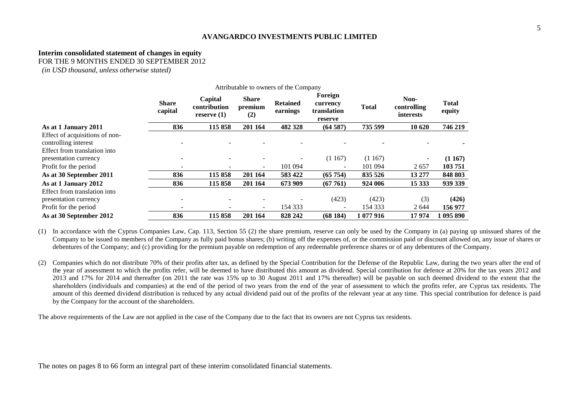### **Interim consolidated statement of changes in equity**

FOR THE 9 MONTHS ENDED 30 SEPTEMBER 2012

*(in USD thousand, unless otherwise stated)*

|                                                                                        | Attributable to owners of the Company                |                                          |                                |                             |                                               |                  |                                  |                        |
|----------------------------------------------------------------------------------------|------------------------------------------------------|------------------------------------------|--------------------------------|-----------------------------|-----------------------------------------------|------------------|----------------------------------|------------------------|
|                                                                                        | <b>Share</b><br>capital                              | Capital<br>contribution<br>reserve $(1)$ | <b>Share</b><br>premium<br>(2) | <b>Retained</b><br>earnings | Foreign<br>currency<br>translation<br>reserve | <b>Total</b>     | Non-<br>controlling<br>interests | <b>Total</b><br>equity |
| As at 1 January 2011                                                                   | 836                                                  | 115858                                   | 201 164                        | 482 328                     | (64587)                                       | 735 599          | 10 620                           | 746 219                |
| Effect of acquisitions of non-<br>controlling interest<br>Effect from translation into | $\overline{\phantom{0}}$                             |                                          |                                |                             |                                               |                  |                                  |                        |
| presentation currency                                                                  | $\overline{\phantom{a}}$                             |                                          |                                | ۰                           | (1167)                                        | (1167)           |                                  | (1167)                 |
| Profit for the period                                                                  | $\overline{\phantom{0}}$                             |                                          | ۰.                             | 101 094                     | $\overline{\phantom{0}}$                      | 101 094          | 2657                             | 103 751                |
| As at 30 September 2011                                                                | 836                                                  | 115858                                   | 201 164                        | 583 422                     | (65754)                                       | 835 526          | 13 277                           | 848 803                |
| As at 1 January 2012                                                                   | 836                                                  | 115858                                   | 201 164                        | 673 909                     | (67761)                                       | 924 006          | 15 333                           | 939 339                |
| Effect from translation into<br>presentation currency<br>Profit for the period         | $\overline{\phantom{0}}$<br>$\overline{\phantom{0}}$ |                                          | ۰.                             | 154 333                     | (423)                                         | (423)<br>154 333 | (3)<br>2644                      | (426)<br>156 977       |
| As at 30 September 2012                                                                | 836                                                  | 115858                                   | 201 164                        | 828 242                     | (68184)                                       | 1 077 916        | 17974                            | 1 095 890              |

(1) In accordance with the Cyprus Companies Law, Cap. 113, Section 55 (2) the share premium, reserve can only be used by the Company in (a) paying up unissued shares of the Company to be issued to members of the Company as fully paid bonus shares; (b) writing off the expenses of, or the commission paid or discount allowed on, any issue of shares or debentures of the Company; and (c) providing for the premium payable on redemption of any redeemable preference shares or of any debentures of the Company.

(2) Companies which do not distribute 70% of their profits after tax, as defined by the Special Contribution for the Defense of the Republic Law, during the two years after the end of the year of assessment to which the profits refer, will be deemed to have distributed this amount as dividend. Special contribution for defence at 20% for the tax years 2012 and 2013 and 17% for 2014 and thereafter (on 2011 the rate was 15% up to 30 August 2011 and 17% thereafter) will be payable on such deemed dividend to the extent that the shareholders (individuals and companies) at the end of the period of two years from the end of the year of assessment to which the profits refer, are Cyprus tax residents. The amount of this deemed dividend distribution is reduced by any actual dividend paid out of the profits of the relevant year at any time. This special contribution for defence is paid by the Company for the account of the shareholders.

The above requirements of the Law are not applied in the case of the Company due to the fact that its owners are not Cyprus tax residents.

The notes on pages 8 to 66 form an integral part of these interim consolidated financial statements.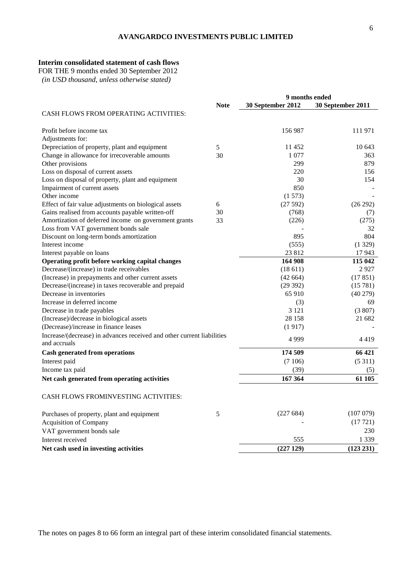### **Interim consolidated statement of cash flows**

FOR THE 9 months ended 30 September 2012  *(in USD thousand, unless otherwise stated)*

|                                                                        |             | 9 months ended    |                   |
|------------------------------------------------------------------------|-------------|-------------------|-------------------|
|                                                                        | <b>Note</b> | 30 September 2012 | 30 September 2011 |
| <b>CASH FLOWS FROM OPERATING ACTIVITIES:</b>                           |             |                   |                   |
|                                                                        |             |                   |                   |
| Profit before income tax                                               |             | 156 987           | 111 971           |
| Adjustments for:                                                       |             |                   |                   |
| Depreciation of property, plant and equipment                          | 5           | 11 452            | 10 643            |
| Change in allowance for irrecoverable amounts                          | 30          | 1 0 7 7           | 363               |
| Other provisions                                                       |             | 299               | 879               |
| Loss on disposal of current assets                                     |             | 220               | 156               |
| Loss on disposal of property, plant and equipment                      |             | 30                | 154               |
| Impairment of current assets                                           |             | 850               |                   |
| Other income                                                           |             | (1573)            |                   |
| Effect of fair value adjustments on biological assets                  | 6           | (27592)           | (26 292)          |
| Gains realised from accounts payable written-off                       | 30          | (768)             | (7)               |
| Amortization of deferred income on government grants                   | 33          | (226)             | (275)             |
| Loss from VAT government bonds sale                                    |             |                   | 32                |
| Discount on long-term bonds amortization                               |             | 895               | 804               |
| Interest income                                                        |             | (555)             | (1329)            |
| Interest payable on loans                                              |             | 23 812            | 17943             |
| Operating profit before working capital changes                        |             | 164 908           | 115 042           |
| Decrease/(increase) in trade receivables                               |             | (18611)           | 2927              |
| (Increase) in prepayments and other current assets                     |             | (42664)           | (17851)           |
| Decrease/(increase) in taxes recoverable and prepaid                   |             | (29 392)          | (15781)           |
| Decrease in inventories                                                |             | 65 910            | (40279)           |
| Increase in deferred income                                            |             | (3)               | 69                |
| Decrease in trade payables                                             |             | 3 1 2 1           | (3807)            |
| (Increase)/decrease in biological assets                               |             | 28 158            | 21 682            |
| (Decrease)/increase in finance leases                                  |             | (1917)            |                   |
| Increase/(decrease) in advances received and other current liabilities |             |                   |                   |
| and accruals                                                           |             | 4 9 9 9           | 4419              |
| <b>Cash generated from operations</b>                                  |             | 174 509           | 66 421            |
| Interest paid                                                          |             | (7106)            | (5311)            |
| Income tax paid                                                        |             | (39)              | (5)               |
| Net cash generated from operating activities                           |             | 167 364           | 61 105            |
|                                                                        |             |                   |                   |
| CASH FLOWS FROMINVESTING ACTIVITIES:                                   |             |                   |                   |
|                                                                        |             |                   |                   |
| Purchases of property, plant and equipment                             | $\sqrt{5}$  | (227684)          | (107079)          |
| Acquisition of Company                                                 |             |                   | (17721)           |
| VAT government bonds sale                                              |             |                   | 230               |
| Interest received                                                      |             | 555               | 1 3 3 9           |
| Net cash used in investing activities                                  |             | (227129)          | (123 231)         |

The notes on pages 8 to 66 form an integral part of these interim consolidated financial statements.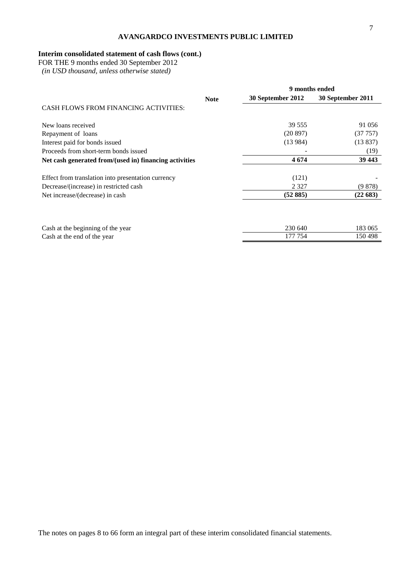## **Interim consolidated statement of cash flows (cont.)**

FOR THE 9 months ended 30 September 2012

 *(in USD thousand, unless otherwise stated)*

|                                                        |             | 9 months ended    |                   |  |  |
|--------------------------------------------------------|-------------|-------------------|-------------------|--|--|
|                                                        | <b>Note</b> | 30 September 2012 | 30 September 2011 |  |  |
| <b>CASH FLOWS FROM FINANCING ACTIVITIES:</b>           |             |                   |                   |  |  |
| New loans received                                     |             | 39 555            | 91 056            |  |  |
| Repayment of loans                                     |             | (20897)           | (37 757)          |  |  |
| Interest paid for bonds issued                         |             | (13984)           | (13837)           |  |  |
| Proceeds from short-term bonds issued                  |             |                   | (19)              |  |  |
| Net cash generated from/(used in) financing activities |             | 4674              | 39 443            |  |  |
| Effect from translation into presentation currency     |             | (121)             |                   |  |  |
| Decrease/(increase) in restricted cash                 |             | 2 3 2 7           | (9878)            |  |  |
| Net increase/(decrease) in cash                        |             | (52885)           | (22683)           |  |  |
|                                                        |             |                   |                   |  |  |
| Cash at the beginning of the year                      |             | 230 640           | 183 065           |  |  |
| Cash at the end of the year                            |             | 177 754           | 150498            |  |  |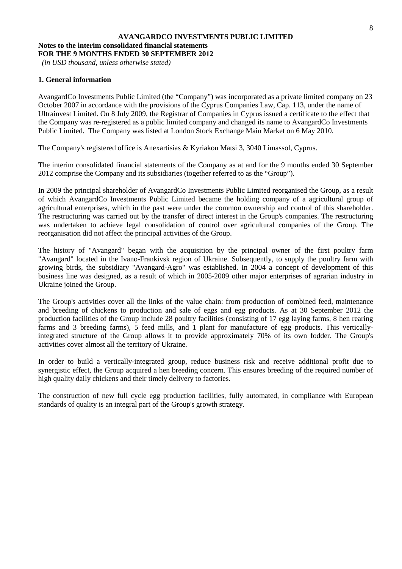*(in USD thousand, unless otherwise stated)*

### **1. General information**

AvangardCo Investments Public Limited (the "Company") was incorporated as a private limited company on 23 October 2007 in accordance with the provisions of the Cyprus Companies Law, Cap. 113, under the name of Ultrainvest Limited. On 8 July 2009, the Registrar of Companies in Cyprus issued a certificate to the effect that the Company was re-registered as a public limited company and changed its name to AvangardCo Investments Public Limited. The Company was listed at London Stock Exchange Main Market on 6 May 2010.

The Company's registered office is Anexartisias & Kyriakou Matsi 3, 3040 Limassol, Cyprus.

The interim consolidated financial statements of the Company as at and for the 9 months ended 30 September 2012 comprise the Company and its subsidiaries (together referred to as the "Group").

In 2009 the principal shareholder of AvangardCo Investments Public Limited reorganised the Group, as a result of which AvangardCo Investments Public Limited became the holding company of a agricultural group of agricultural enterprises, which in the past were under the common ownership and control of this shareholder. The restructuring was carried out by the transfer of direct interest in the Group's companies. The restructuring was undertaken to achieve legal consolidation of control over agricultural companies of the Group. The reorganisation did not affect the principal activities of the Group.

The history of "Avangard" began with the acquisition by the principal owner of the first poultry farm "Avangard" located in the Ivano-Frankivsk region of Ukraine. Subsequently, to supply the poultry farm with growing birds, the subsidiary "Avangard-Agro" was established. In 2004 a concept of development of this business line was designed, as a result of which in 2005-2009 other major enterprises of agrarian industry in Ukraine joined the Group.

The Group's activities cover all the links of the value chain: from production of combined feed, maintenance and breeding of chickens to production and sale of eggs and egg products. As at 30 September 2012 the production facilities of the Group include 28 poultry facilities (consisting of 17 egg laying farms, 8 hen rearing farms and 3 breeding farms), 5 feed mills, and 1 plant for manufacture of egg products. This verticallyintegrated structure of the Group allows it to provide approximately 70% of its own fodder. The Group's activities cover almost all the territory of Ukraine.

In order to build a vertically-integrated group, reduce business risk and receive additional profit due to synergistic effect, the Group acquired a hen breeding concern. This ensures breeding of the required number of high quality daily chickens and their timely delivery to factories.

The construction of new full cycle egg production facilities, fully automated, in compliance with European standards of quality is an integral part of the Group's growth strategy.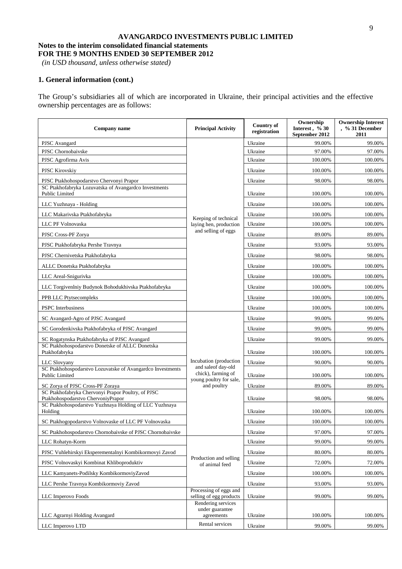*(in USD thousand, unless otherwise stated)*

### **1. General information (cont.)**

The Group's subsidiaries all of which are incorporated in Ukraine, their principal activities and the effective ownership percentages are as follows:

| Company name                                                                             | <b>Principal Activity</b>                         | <b>Country of</b><br>registration | Ownership<br>Interest, % 30<br>September 2012 | <b>Ownership Interest</b><br>, % 31 December<br>2011 |
|------------------------------------------------------------------------------------------|---------------------------------------------------|-----------------------------------|-----------------------------------------------|------------------------------------------------------|
| PJSC Avangard                                                                            |                                                   | Ukraine                           | 99.00%                                        | 99.00%                                               |
| PJSC Chornobaivske                                                                       |                                                   | Ukraine                           | 97.00%                                        | 97.00%                                               |
| PJSC Agrofirma Avis                                                                      |                                                   | Ukraine                           | 100.00%                                       | 100.00%                                              |
| PJSC Kirovskiy                                                                           |                                                   | Ukraine                           | 100.00%                                       | 100.00%                                              |
| PJSC Ptakhohospodarstvo Chervonyi Prapor                                                 |                                                   | Ukraine                           | 98.00%                                        | 98.00%                                               |
| SC Ptakhofabryka Lozuvatska of Avangardco Investments<br><b>Public Limited</b>           |                                                   | Ukraine                           | 100.00%                                       | 100.00%                                              |
| LLC Yuzhnaya - Holding                                                                   |                                                   | Ukraine                           | 100.00%                                       | 100.00%                                              |
| LLC Makarivska Ptakhofabryka                                                             | Keeping of technical                              | Ukraine                           | 100.00%                                       | 100.00%                                              |
| LLC PF Volnovaska                                                                        | laying hen, production                            | Ukraine                           | 100.00%                                       | 100.00%                                              |
| PJSC Cross-PF Zorya                                                                      | and selling of eggs                               | Ukraine                           | 89.00%                                        | 89.00%                                               |
| PJSC Ptakhofabryka Pershe Travnya                                                        |                                                   | Ukraine                           | 93.00%                                        | 93.00%                                               |
| PJSC Chernivetska Ptakhofabryka                                                          |                                                   | Ukraine                           | 98.00%                                        | 98.00%                                               |
| ALLC Donetska Ptakhofabryka                                                              |                                                   | Ukraine                           | 100.00%                                       | 100.00%                                              |
| LLC Areal-Snigurivka                                                                     |                                                   | Ukraine                           | 100.00%                                       | 100.00%                                              |
| LLC Torgivenlniy Budynok Bohodukhivska Ptakhofabryka                                     |                                                   | Ukraine                           | 100.00%                                       | 100.00%                                              |
| PPB LLC Ptytsecompleks                                                                   |                                                   | Ukraine                           | 100.00%                                       | 100.00%                                              |
| <b>PSPC</b> Interbusiness                                                                |                                                   | Ukraine                           | 100.00%                                       | 100.00%                                              |
| SC Avangard-Agro of PJSC Avangard                                                        |                                                   | Ukraine                           | 99.00%                                        | 99.00%                                               |
| SC Gorodenkivska Ptakhofabryka of PJSC Avangard                                          |                                                   | Ukraine                           | 99.00%                                        | 99.00%                                               |
| SC Rogatynska Ptakhofabryka of PJSC Avangard                                             |                                                   | Ukraine                           | 99.00%                                        | 99.00%                                               |
| SC Ptakhohospodarstvo Donetske of ALLC Donetska<br>Ptakhofabryka                         |                                                   | Ukraine                           | 100.00%                                       | 100.00%                                              |
| <b>LLC</b> Slovyany                                                                      | Incubation (production<br>and saleof day-old      | Ukraine                           | 90.00%                                        | 90.00%                                               |
| SC Ptakhohospodarstvo Lozuvatske of Avangardco Investments<br>Public Limited             | chick), farming of                                | Ukraine                           | 100.00%                                       | 100.00%                                              |
| SC Zorya of PJSC Cross-PF Zoraya                                                         | young poultry for sale,<br>and poultry            | Ukraine                           | 89.00%                                        | 89.00%                                               |
| SC Ptakhofabryka Chervonyi Prapor Poultry, of PJSC<br>Ptakhohospodarstvo ChervoniyPrapor |                                                   | Ukraine                           | 98.00%                                        | 98.00%                                               |
| SC Ptakhohospodarstvo Yuzhnaya Holding of LLC Yuzhnaya<br>Holding                        |                                                   | Ukraine                           | 100.00%                                       | 100.00%                                              |
| SC Ptakhogopodarstvo Volnovaske of LLC PF Volnovaska                                     |                                                   | Ukraine                           | 100.00%                                       | 100.00%                                              |
| SC Ptakhohospodarstvo Chornobaivske of PJSC Chornobaivske                                |                                                   | Ukraine                           | 97.00%                                        | 97.00%                                               |
| LLC Rohatyn-Korm                                                                         |                                                   | Ukraine                           | 99.00%                                        | 99.00%                                               |
| PJSC Vuhlehirskyi Eksperementalnyi Kombikormovyi Zavod                                   |                                                   | Ukraine                           | 80.00%                                        | 80.00%                                               |
| PJSC Volnovaskyi Kombinat Khliboproduktiv                                                | Production and selling<br>of animal feed          | Ukraine                           | 72.00%                                        | 72.00%                                               |
| LLC Kamyanets-Podilsky KombikormoviyZavod                                                |                                                   | Ukraine                           | 100.00%                                       | 100.00%                                              |
| LLC Pershe Travnya Kombikormoviy Zavod                                                   |                                                   | Ukraine                           | 93.00%                                        | 93.00%                                               |
| LLC Imperovo Foods                                                                       | Processing of eggs and<br>selling of egg products | Ukraine                           | 99.00%                                        | 99.00%                                               |
|                                                                                          | Rendering services<br>under guarantee             |                                   |                                               |                                                      |
| LLC Agramyi Holding Avangard                                                             | agreements                                        | Ukraine                           | 100.00%                                       | 100.00%                                              |
| LLC Imperovo LTD                                                                         | Rental services                                   | Ukraine                           | 99.00%                                        | 99.00%                                               |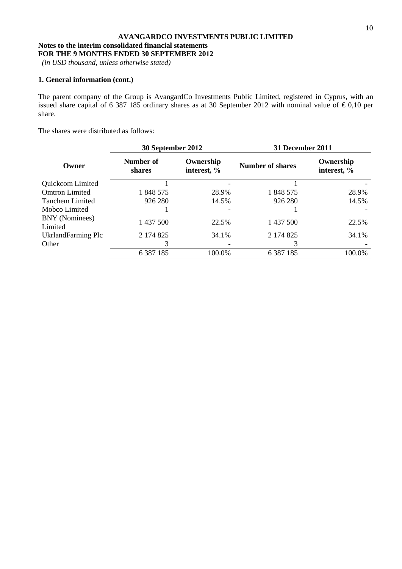*(in USD thousand, unless otherwise stated)*

### **1. General information (cont.)**

The parent company of the Group is AvangardCo Investments Public Limited, registered in Cyprus, with an issued share capital of 6 387 185 ordinary shares as at 30 September 2012 with nominal value of  $\epsilon$ 0,10 per share.

The shares were distributed as follows:

|                                  | 30 September 2012   |                          | <b>31 December 2011</b> |                          |  |
|----------------------------------|---------------------|--------------------------|-------------------------|--------------------------|--|
| Owner                            | Number of<br>shares | Ownership<br>interest, % | <b>Number of shares</b> | Ownership<br>interest, % |  |
| Quickcom Limited                 |                     |                          |                         |                          |  |
| <b>Omtron Limited</b>            | 1 848 575           | 28.9%                    | 1 848 575               | 28.9%                    |  |
| <b>Tanchem Limited</b>           | 926 280             | 14.5%                    | 926 280                 | 14.5%                    |  |
| Mobco Limited                    |                     |                          |                         |                          |  |
| <b>BNY</b> (Nominees)<br>Limited | 1 437 500           | 22.5%                    | 1 437 500               | 22.5%                    |  |
| UkrlandFarming Plc               | 2 174 825           | 34.1%                    | 2 174 825               | 34.1%                    |  |
| Other                            | 3                   |                          |                         |                          |  |
|                                  | 6 3 8 7 1 8 5       | 100.0%                   | 6 3 8 7 1 8 5           | 100.0%                   |  |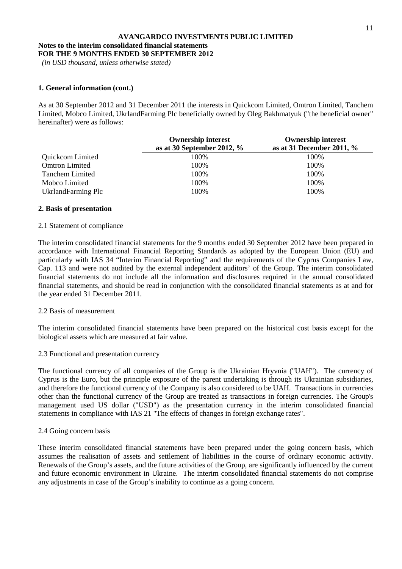*(in USD thousand, unless otherwise stated)*

### **1. General information (cont.)**

As at 30 September 2012 and 31 December 2011 the interests in Quickcom Limited, Omtron Limited, Tanchem Limited, Mobco Limited, UkrlandFarming Plc beneficially owned by Oleg Bakhmatyuk ("the beneficial owner" hereinafter) were as follows:

|                        | <b>Ownership interest</b><br>as at 30 September 2012, $\%$ | <b>Ownership interest</b><br>as at 31 December 2011, $\%$ |
|------------------------|------------------------------------------------------------|-----------------------------------------------------------|
| Quickcom Limited       | 100%                                                       | 100%                                                      |
| <b>Omtron Limited</b>  | 100%                                                       | 100%                                                      |
| <b>Tanchem Limited</b> | 100%                                                       | 100%                                                      |
| Mobco Limited          | 100%                                                       | 100%                                                      |
| UkrlandFarming Plc     | 100%                                                       | 100%                                                      |

### **2. Basis of presentation**

### 2.1 Statement of compliance

The interim consolidated financial statements for the 9 months ended 30 September 2012 have been prepared in accordance with International Financial Reporting Standards as adopted by the European Union (EU) and particularly with IAS 34 "Interim Financial Reporting" and the requirements of the Cyprus Companies Law, Cap. 113 and were not audited by the external independent auditors' of the Group. The interim consolidated financial statements do not include all the information and disclosures required in the annual consolidated financial statements, and should be read in conjunction with the consolidated financial statements as at and for the year ended 31 December 2011.

### 2.2 Basis of measurement

The interim consolidated financial statements have been prepared on the historical cost basis except for the biological assets which are measured at fair value.

### 2.3 Functional and presentation currency

The functional currency of all companies of the Group is the Ukrainian Hryvnia ("UAH"). The currency of Cyprus is the Euro, but the principle exposure of the parent undertaking is through its Ukrainian subsidiaries, and therefore the functional currency of the Company is also considered to be UAH. Transactions in currencies other than the functional currency of the Group are treated as transactions in foreign currencies. The Group's management used US dollar ("USD") as the presentation currency in the interim consolidated financial statements in compliance with IAS 21 "The effects of changes in foreign exchange rates".

### 2.4 Going concern basis

These interim consolidated financial statements have been prepared under the going concern basis, which assumes the realisation of assets and settlement of liabilities in the course of ordinary economic activity. Renewals of the Group's assets, and the future activities of the Group, are significantly influenced by the current and future economic environment in Ukraine. The interim consolidated financial statements do not comprise any adjustments in case of the Group's inability to continue as a going concern.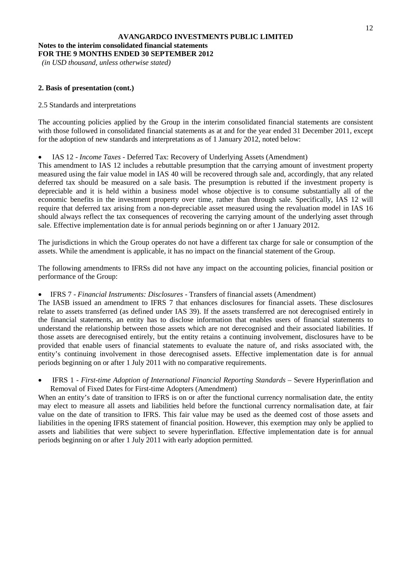*(in USD thousand, unless otherwise stated)*

### **2. Basis of presentation (cont.)**

### 2.5 Standards and interpretations

The accounting policies applied by the Group in the interim consolidated financial statements are consistent with those followed in consolidated financial statements as at and for the year ended 31 December 2011, except for the adoption of new standards and interpretations as of 1 January 2012, noted below:

### • IAS 12 - *Income Taxes -* Deferred Tax: Recovery of Underlying Assets (Amendment)

This amendment to IAS 12 includes a rebuttable presumption that the carrying amount of investment property measured using the fair value model in IAS 40 will be recovered through sale and, accordingly, that any related deferred tax should be measured on a sale basis. The presumption is rebutted if the investment property is depreciable and it is held within a business model whose objective is to consume substantially all of the economic benefits in the investment property over time, rather than through sale. Specifically, IAS 12 will require that deferred tax arising from a non-depreciable asset measured using the revaluation model in IAS 16 should always reflect the tax consequences of recovering the carrying amount of the underlying asset through sale. Effective implementation date is for annual periods beginning on or after 1 January 2012.

The jurisdictions in which the Group operates do not have a different tax charge for sale or consumption of the assets. While the amendment is applicable, it has no impact on the financial statement of the Group.

The following amendments to IFRSs did not have any impact on the accounting policies, financial position or performance of the Group:

### • IFRS 7 - *Financial Instruments: Disclosures* - Transfers of financial assets (Amendment)

The IASB issued an amendment to IFRS 7 that enhances disclosures for financial assets. These disclosures relate to assets transferred (as defined under IAS 39). If the assets transferred are not derecognised entirely in the financial statements, an entity has to disclose information that enables users of financial statements to understand the relationship between those assets which are not derecognised and their associated liabilities. If those assets are derecognised entirely, but the entity retains a continuing involvement, disclosures have to be provided that enable users of financial statements to evaluate the nature of, and risks associated with, the entity's continuing involvement in those derecognised assets. Effective implementation date is for annual periods beginning on or after 1 July 2011 with no comparative requirements.

• IFRS 1 - *First-time Adoption of International Financial Reporting Standards* – Severe Hyperinflation and Removal of Fixed Dates for First-time Adopters (Amendment)

When an entity's date of transition to IFRS is on or after the functional currency normalisation date, the entity may elect to measure all assets and liabilities held before the functional currency normalisation date, at fair value on the date of transition to IFRS. This fair value may be used as the deemed cost of those assets and liabilities in the opening IFRS statement of financial position. However, this exemption may only be applied to assets and liabilities that were subject to severe hyperinflation. Effective implementation date is for annual periods beginning on or after 1 July 2011 with early adoption permitted.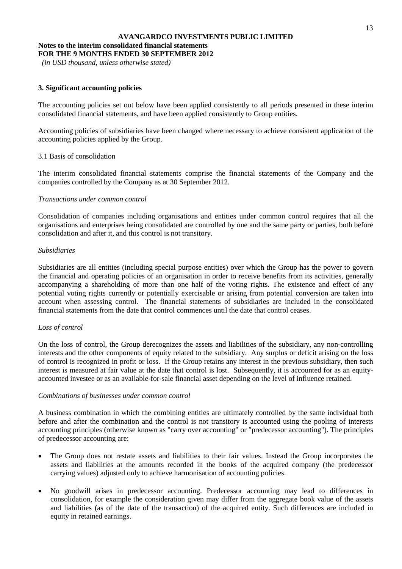*(in USD thousand, unless otherwise stated)*

### **3. Significant accounting policies**

The accounting policies set out below have been applied consistently to all periods presented in these interim consolidated financial statements, and have been applied consistently to Group entities.

Accounting policies of subsidiaries have been changed where necessary to achieve consistent application of the accounting policies applied by the Group.

### 3.1 Basis of consolidation

The interim consolidated financial statements comprise the financial statements of the Company and the companies controlled by the Company as at 30 September 2012.

#### *Transactions under common control*

Consolidation of companies including organisations and entities under common control requires that all the organisations and enterprises being consolidated are controlled by one and the same party or parties, both before consolidation and after it, and this control is not transitory.

#### *Subsidiaries*

Subsidiaries are all entities (including special purpose entities) over which the Group has the power to govern the financial and operating policies of an organisation in order to receive benefits from its activities, generally accompanying a shareholding of more than one half of the voting rights. The existence and effect of any potential voting rights currently or potentially exercisable or arising from potential conversion are taken into account when assessing control. The financial statements of subsidiaries are included in the consolidated financial statements from the date that control commences until the date that control ceases.

#### *Loss of control*

On the loss of control, the Group derecognizes the assets and liabilities of the subsidiary, any non-controlling interests and the other components of equity related to the subsidiary. Any surplus or deficit arising on the loss of control is recognized in profit or loss. If the Group retains any interest in the previous subsidiary, then such interest is measured at fair value at the date that control is lost. Subsequently, it is accounted for as an equityaccounted investee or as an available-for-sale financial asset depending on the level of influence retained.

#### *Combinations of businesses under common control*

A business combination in which the combining entities are ultimately controlled by the same individual both before and after the combination and the control is not transitory is accounted using the pooling of interests accounting principles (otherwise known as "carry over accounting" or "predecessor accounting"). The principles of predecessor accounting are:

- The Group does not restate assets and liabilities to their fair values. Instead the Group incorporates the assets and liabilities at the amounts recorded in the books of the acquired company (the predecessor carrying values) adjusted only to achieve harmonisation of accounting policies.
- No goodwill arises in predecessor accounting. Predecessor accounting may lead to differences in consolidation, for example the consideration given may differ from the aggregate book value of the assets and liabilities (as of the date of the transaction) of the acquired entity. Such differences are included in equity in retained earnings.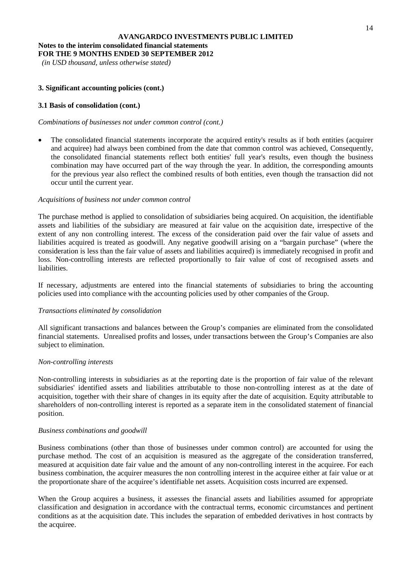*(in USD thousand, unless otherwise stated)*

### **3. Significant accounting policies (cont.)**

### **3.1 Basis of consolidation (cont.)**

*Combinations of businesses not under common control (cont.)*

• The consolidated financial statements incorporate the acquired entity's results as if both entities (acquirer and acquiree) had always been combined from the date that common control was achieved, Consequently, the consolidated financial statements reflect both entities' full year's results, even though the business combination may have occurred part of the way through the year. In addition, the corresponding amounts for the previous year also reflect the combined results of both entities, even though the transaction did not occur until the current year.

#### *Acquisitions of business not under common control*

The purchase method is applied to consolidation of subsidiaries being acquired. On acquisition, the identifiable assets and liabilities of the subsidiary are measured at fair value on the acquisition date, irrespective of the extent of any non controlling interest. The excess of the consideration paid over the fair value of assets and liabilities acquired is treated as goodwill. Any negative goodwill arising on a "bargain purchase" (where the consideration is less than the fair value of assets and liabilities acquired) is immediately recognised in profit and loss. Non-controlling interests are reflected proportionally to fair value of cost of recognised assets and liabilities.

If necessary, adjustments are entered into the financial statements of subsidiaries to bring the accounting policies used into compliance with the accounting policies used by other companies of the Group.

### *Transactions eliminated by consolidation*

All significant transactions and balances between the Group's companies are eliminated from the consolidated financial statements. Unrealised profits and losses, under transactions between the Group's Companies are also subject to elimination.

### *Non-controlling interests*

Non-controlling interests in subsidiaries as at the reporting date is the proportion of fair value of the relevant subsidiaries' identified assets and liabilities attributable to those non-controlling interest as at the date of acquisition, together with their share of changes in its equity after the date of acquisition. Equity attributable to shareholders of non-controlling interest is reported as a separate item in the consolidated statement of financial position.

#### *Business combinations and goodwill*

Business combinations (other than those of businesses under common control) are accounted for using the purchase method. The cost of an acquisition is measured as the aggregate of the consideration transferred, measured at acquisition date fair value and the amount of any non-controlling interest in the acquiree. For each business combination, the acquirer measures the non controlling interest in the acquiree either at fair value or at the proportionate share of the acquiree's identifiable net assets. Acquisition costs incurred are expensed.

When the Group acquires a business, it assesses the financial assets and liabilities assumed for appropriate classification and designation in accordance with the contractual terms, economic circumstances and pertinent conditions as at the acquisition date. This includes the separation of embedded derivatives in host contracts by the acquiree.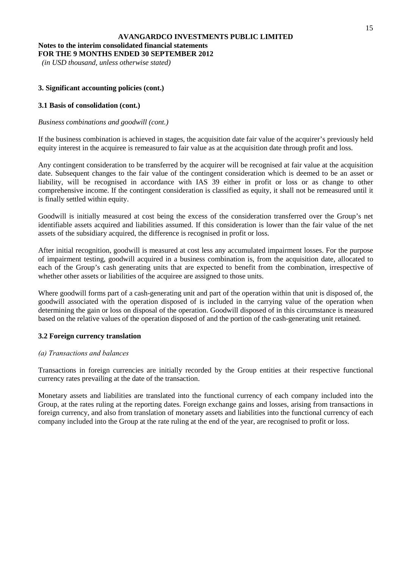*(in USD thousand, unless otherwise stated)*

### **3. Significant accounting policies (cont.)**

### **3.1 Basis of consolidation (cont.)**

### *Business combinations and goodwill (cont.)*

If the business combination is achieved in stages, the acquisition date fair value of the acquirer's previously held equity interest in the acquiree is remeasured to fair value as at the acquisition date through profit and loss.

Any contingent consideration to be transferred by the acquirer will be recognised at fair value at the acquisition date. Subsequent changes to the fair value of the contingent consideration which is deemed to be an asset or liability, will be recognised in accordance with IAS 39 either in profit or loss or as change to other comprehensive income. If the contingent consideration is classified as equity, it shall not be remeasured until it is finally settled within equity.

Goodwill is initially measured at cost being the excess of the consideration transferred over the Group's net identifiable assets acquired and liabilities assumed. If this consideration is lower than the fair value of the net assets of the subsidiary acquired, the difference is recognised in profit or loss.

After initial recognition, goodwill is measured at cost less any accumulated impairment losses. For the purpose of impairment testing, goodwill acquired in a business combination is, from the acquisition date, allocated to each of the Group's cash generating units that are expected to benefit from the combination, irrespective of whether other assets or liabilities of the acquiree are assigned to those units.

Where goodwill forms part of a cash-generating unit and part of the operation within that unit is disposed of, the goodwill associated with the operation disposed of is included in the carrying value of the operation when determining the gain or loss on disposal of the operation. Goodwill disposed of in this circumstance is measured based on the relative values of the operation disposed of and the portion of the cash-generating unit retained.

### **3.2 Foreign currency translation**

### *(а) Transactions and balances*

Transactions in foreign currencies are initially recorded by the Group entities at their respective functional currency rates prevailing at the date of the transaction.

Monetary assets and liabilities are translated into the functional currency of each company included into the Group, at the rates ruling at the reporting dates. Foreign exchange gains and losses, arising from transactions in foreign currency, and also from translation of monetary assets and liabilities into the functional currency of each company included into the Group at the rate ruling at the end of the year, are recognised to profit or loss.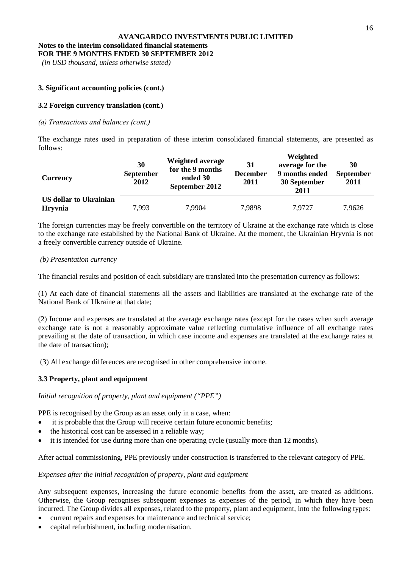*(in USD thousand, unless otherwise stated)*

### **3. Significant accounting policies (cont.)**

### **3.2 Foreign currency translation (cont.)**

### *(а) Transactions and balances (cont.)*

The exchange rates used in preparation of these interim consolidated financial statements, are presented as follows: **WEIGHT** 

| <b>Currency</b>               | 30<br><b>September</b><br>2012 | Weighted average<br>for the 9 months<br>ended 30<br>September 2012 | 31<br><b>December</b><br>2011 | weighted<br>average for the<br>9 months ended<br>30 September<br>2011 | 30<br><b>September</b><br>2011 |
|-------------------------------|--------------------------------|--------------------------------------------------------------------|-------------------------------|-----------------------------------------------------------------------|--------------------------------|
| <b>US dollar to Ukrainian</b> |                                |                                                                    |                               |                                                                       |                                |
| <b>Hryvnia</b>                | 7,993                          | 7,9904                                                             | 7,9898                        | 7.9727                                                                | 7,9626                         |

The foreign currencies may be freely convertible on the territory of Ukraine at the exchange rate which is close to the exchange rate established by the National Bank of Ukraine. At the moment, the Ukrainian Hryvnia is not a freely convertible currency outside of Ukraine.

### *(b) Presentation currency*

The financial results and position of each subsidiary are translated into the presentation currency as follows:

(1) At each date of financial statements all the assets and liabilities are translated at the exchange rate of the National Bank of Ukraine at that date;

(2) Income and expenses are translated at the average exchange rates (except for the cases when such average exchange rate is not a reasonably approximate value reflecting cumulative influence of all exchange rates prevailing at the date of transaction, in which case income and expenses are translated at the exchange rates at the date of transaction);

(3) All exchange differences are recognised in other comprehensive income.

### **3.3 Property, plant and equipment**

### *Initial recognition of property, plant and equipment ("PPE")*

PPE is recognised by the Group as an asset only in a case, when:

- it is probable that the Group will receive certain future economic benefits;
- the historical cost can be assessed in a reliable way;
- it is intended for use during more than one operating cycle (usually more than 12 months).

After actual commissioning, PPE previously under construction is transferred to the relevant category of PPE.

### *Expenses after the initial recognition of property, plant and equipment*

Any subsequent expenses, increasing the future economic benefits from the asset, are treated as additions. Otherwise, the Group recognises subsequent expenses as expenses of the period, in which they have been incurred. The Group divides all expenses, related to the property, plant and equipment, into the following types:

- current repairs and expenses for maintenance and technical service;
- capital refurbishment, including modernisation.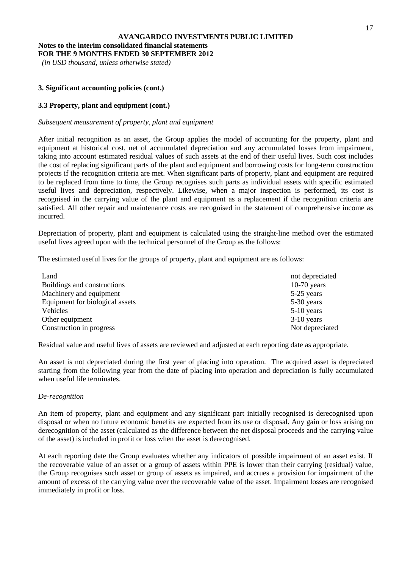*(in USD thousand, unless otherwise stated)*

### **3. Significant accounting policies (cont.)**

### **3.3 Property, plant and equipment (cont.)**

#### *Subsequent measurement of property, plant and equipment*

After initial recognition as an asset, the Group applies the model of accounting for the property, plant and equipment at historical cost, net of accumulated depreciation and any accumulated losses from impairment, taking into account estimated residual values of such assets at the end of their useful lives. Such cost includes the cost of replacing significant parts of the plant and equipment and borrowing costs for long-term construction projects if the recognition criteria are met. When significant parts of property, plant and equipment are required to be replaced from time to time, the Group recognises such parts as individual assets with specific estimated useful lives and depreciation, respectively. Likewise, when a major inspection is performed, its cost is recognised in the carrying value of the plant and equipment as a replacement if the recognition criteria are satisfied. All other repair and maintenance costs are recognised in the statement of comprehensive income as incurred.

Depreciation of property, plant and equipment is calculated using the straight-line method over the estimated useful lives agreed upon with the technical personnel of the Group as the follows:

The estimated useful lives for the groups of property, plant and equipment are as follows:

| Land                            | not depreciated |
|---------------------------------|-----------------|
| Buildings and constructions     | $10-70$ years   |
| Machinery and equipment         | 5-25 years      |
| Equipment for biological assets | 5-30 years      |
| Vehicles                        | $5-10$ years    |
| Other equipment                 | $3-10$ years    |
| Construction in progress        | Not depreciated |

Residual value and useful lives of assets are reviewed and adjusted at each reporting date as appropriate.

An asset is not depreciated during the first year of placing into operation. The acquired asset is depreciated starting from the following year from the date of placing into operation and depreciation is fully accumulated when useful life terminates.

#### *De-recognition*

An item of property, plant and equipment and any significant part initially recognised is derecognised upon disposal or when no future economic benefits are expected from its use or disposal. Any gain or loss arising on derecognition of the asset (calculated as the difference between the net disposal proceeds and the carrying value of the asset) is included in profit or loss when the asset is derecognised.

At each reporting date the Group evaluates whether any indicators of possible impairment of an asset exist. If the recoverable value of an asset or a group of assets within PPE is lower than their carrying (residual) value, the Group recognises such asset or group of assets as impaired, and accrues a provision for impairment of the amount of excess of the carrying value over the recoverable value of the asset. Impairment losses are recognised immediately in profit or loss.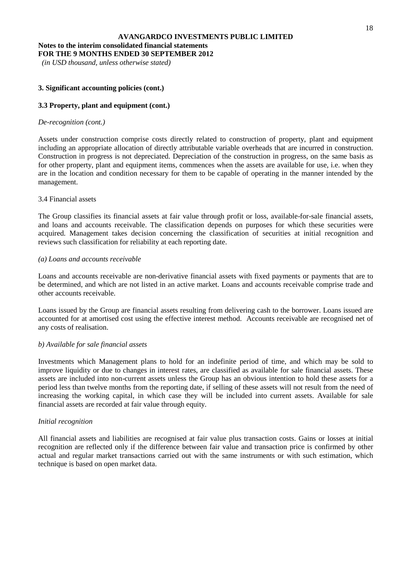*(in USD thousand, unless otherwise stated)*

### **3. Significant accounting policies (cont.)**

### **3.3 Property, plant and equipment (cont.)**

#### *De-recognition (cont.)*

Assets under construction comprise costs directly related to construction of property, plant and equipment including an appropriate allocation of directly attributable variable overheads that are incurred in construction. Construction in progress is not depreciated. Depreciation of the construction in progress, on the same basis as for other property, plant and equipment items, commences when the assets are available for use, i.e. when they are in the location and condition necessary for them to be capable of operating in the manner intended by the management.

### 3.4 Financial assets

The Group classifies its financial assets at fair value through profit or loss, available-for-sale financial assets, and loans and accounts receivable. The classification depends on purposes for which these securities were acquired. Management takes decision concerning the classification of securities at initial recognition and reviews such classification for reliability at each reporting date.

### *(a) Loans and accounts receivable*

Loans and accounts receivable are non-derivative financial assets with fixed payments or payments that are to be determined, and which are not listed in an active market. Loans and accounts receivable comprise trade and other accounts receivable.

Loans issued by the Group are financial assets resulting from delivering cash to the borrower. Loans issued are accounted for at amortised cost using the effective interest method. Accounts receivable are recognised net of any costs of realisation.

### *b) Available for sale financial assets*

Investments which Management plans to hold for an indefinite period of time, and which may be sold to improve liquidity or due to changes in interest rates, are classified as available for sale financial assets. These assets are included into non-current assets unless the Group has an obvious intention to hold these assets for a period less than twelve months from the reporting date, if selling of these assets will not result from the need of increasing the working capital, in which case they will be included into current assets. Available for sale financial assets are recorded at fair value through equity.

### *Initial recognition*

All financial assets and liabilities are recognised at fair value plus transaction costs. Gains or losses at initial recognition are reflected only if the difference between fair value and transaction price is confirmed by other actual and regular market transactions carried out with the same instruments or with such estimation, which technique is based on open market data.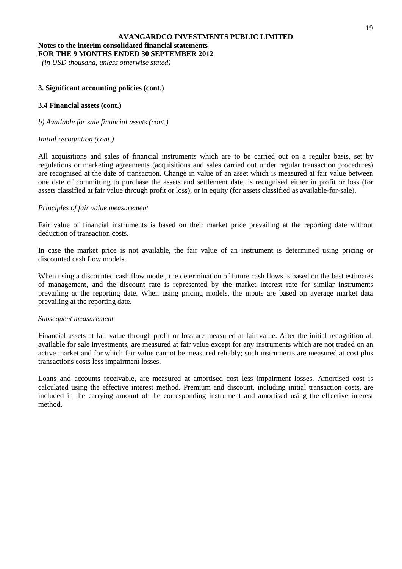*(in USD thousand, unless otherwise stated)*

### **3. Significant accounting policies (cont.)**

### **3.4 Financial assets (cont.)**

*b) Available for sale financial assets (cont.)*

### *Initial recognition (cont.)*

All acquisitions and sales of financial instruments which are to be carried out on a regular basis, set by regulations or marketing agreements (acquisitions and sales carried out under regular transaction procedures) are recognised at the date of transaction. Change in value of an asset which is measured at fair value between one date of committing to purchase the assets and settlement date, is recognised either in profit or loss (for assets classified at fair value through profit or loss), or in equity (for assets classified as available-for-sale).

### *Principles of fair value measurement*

Fair value of financial instruments is based on their market price prevailing at the reporting date without deduction of transaction costs.

In case the market price is not available, the fair value of an instrument is determined using pricing or discounted cash flow models.

When using a discounted cash flow model, the determination of future cash flows is based on the best estimates of management, and the discount rate is represented by the market interest rate for similar instruments prevailing at the reporting date. When using pricing models, the inputs are based on average market data prevailing at the reporting date.

### *Subsequent measurement*

Financial assets at fair value through profit or loss are measured at fair value. After the initial recognition all available for sale investments, are measured at fair value except for any instruments which are not traded on an active market and for which fair value cannot be measured reliably; such instruments are measured at cost plus transactions costs less impairment losses.

Loans and accounts receivable, are measured at amortised cost less impairment losses. Amortised cost is calculated using the effective interest method. Premium and discount, including initial transaction costs, are included in the carrying amount of the corresponding instrument and amortised using the effective interest method.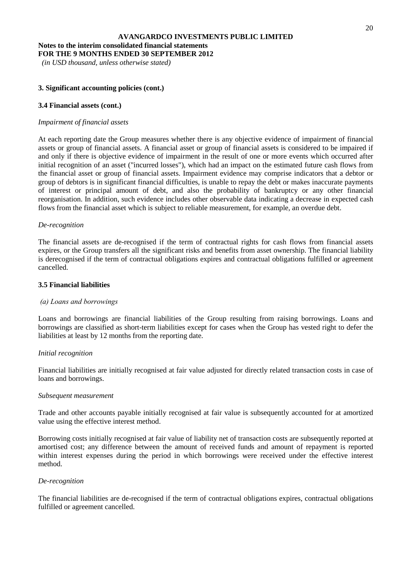*(in USD thousand, unless otherwise stated)*

### **3. Significant accounting policies (cont.)**

### **3.4 Financial assets (cont.)**

### *Impairment of financial assets*

At each reporting date the Group measures whether there is any objective evidence of impairment of financial assets or group of financial assets. A financial asset or group of financial assets is considered to be impaired if and only if there is objective evidence of impairment in the result of one or more events which occurred after initial recognition of an asset ("incurred losses"), which had an impact on the estimated future cash flows from the financial asset or group of financial assets. Impairment evidence may comprise indicators that a debtor or group of debtors is in significant financial difficulties, is unable to repay the debt or makes inaccurate payments of interest or principal amount of debt, and also the probability of bankruptcy or any other financial reorganisation. In addition, such evidence includes other observable data indicating a decrease in expected cash flows from the financial asset which is subject to reliable measurement, for example, an overdue debt.

### *De-recognition*

The financial assets are de-recognised if the term of contractual rights for cash flows from financial assets expires, or the Group transfers all the significant risks and benefits from asset ownership. The financial liability is derecognised if the term of contractual obligations expires and contractual obligations fulfilled or agreement cancelled.

### **3.5 Financial liabilities**

### *(а) Loans and borrowings*

Loans and borrowings are financial liabilities of the Group resulting from raising borrowings. Loans and borrowings are classified as short-term liabilities except for cases when the Group has vested right to defer the liabilities at least by 12 months from the reporting date.

### *Initial recognition*

Financial liabilities are initially recognised at fair value adjusted for directly related transaction costs in case of loans and borrowings.

#### *Subsequent measurement*

Trade and other accounts payable initially recognised at fair value is subsequently accounted for at amortized value using the effective interest method.

Borrowing costs initially recognised at fair value of liability net of transaction costs are subsequently reported at amortised cost; any difference between the amount of received funds and amount of repayment is reported within interest expenses during the period in which borrowings were received under the effective interest method.

### *De-recognition*

The financial liabilities are de-recognised if the term of contractual obligations expires, contractual obligations fulfilled or agreement cancelled.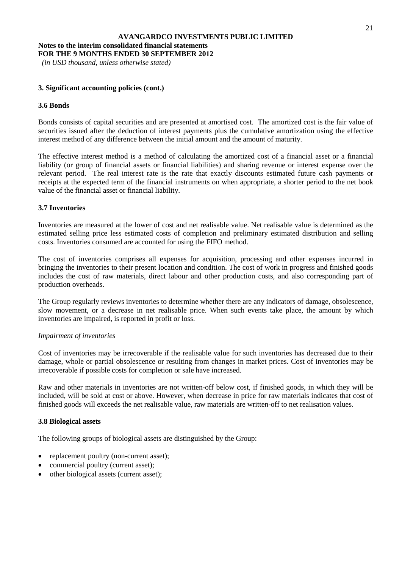*(in USD thousand, unless otherwise stated)*

### **3. Significant accounting policies (cont.)**

### **3.6 Bonds**

Bonds consists of capital securities and are presented at amortised cost. The amortized cost is the fair value of securities issued after the deduction of interest payments plus the cumulative amortization using the effective interest method of any difference between the initial amount and the amount of maturity.

The effective interest method is a method of calculating the amortized cost of a financial asset or a financial liability (or group of financial assets or financial liabilities) and sharing revenue or interest expense over the relevant period. The real interest rate is the rate that exactly discounts estimated future cash payments or receipts at the expected term of the financial instruments on when appropriate, a shorter period to the net book value of the financial asset or financial liability.

### **3.7 Inventories**

Inventories are measured at the lower of cost and net realisable value. Net realisable value is determined as the estimated selling price less estimated costs of completion and preliminary estimated distribution and selling costs. Inventories consumed are accounted for using the FIFO method.

The cost of inventories comprises all expenses for acquisition, processing and other expenses incurred in bringing the inventories to their present location and condition. The cost of work in progress and finished goods includes the cost of raw materials, direct labour and other production costs, and also corresponding part of production overheads.

The Group regularly reviews inventories to determine whether there are any indicators of damage, obsolescence, slow movement, or a decrease in net realisable price. When such events take place, the amount by which inventories are impaired, is reported in profit or loss.

### *Impairment of inventories*

Cost of inventories may be irrecoverable if the realisable value for such inventories has decreased due to their damage, whole or partial obsolescence or resulting from changes in market prices. Cost of inventories may be irrecoverable if possible costs for completion or sale have increased.

Raw and other materials in inventories are not written-off below cost, if finished goods, in which they will be included, will be sold at cost or above. However, when decrease in price for raw materials indicates that cost of finished goods will exceeds the net realisable value, raw materials are written-off to net realisation values.

### **3.8 Biological assets**

The following groups of biological assets are distinguished by the Group:

- replacement poultry (non-current asset);
- commercial poultry (current asset);
- other biological assets (current asset);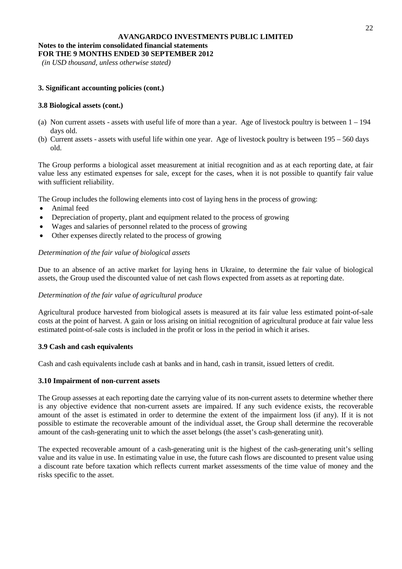*(in USD thousand, unless otherwise stated)*

### **3. Significant accounting policies (cont.)**

### **3.8 Biological assets (cont.)**

- (a) Non current assets assets with useful life of more than a year. Age of livestock poultry is between  $1 194$ days old.
- (b) Current assets assets with useful life within one year. Age of livestock poultry is between 195 560 days old.

The Group performs a biological asset measurement at initial recognition and as at each reporting date, at fair value less any estimated expenses for sale, except for the cases, when it is not possible to quantify fair value with sufficient reliability.

The Group includes the following elements into cost of laying hens in the process of growing:

- Animal feed
- Depreciation of property, plant and equipment related to the process of growing
- Wages and salaries of personnel related to the process of growing
- Other expenses directly related to the process of growing

### *Determination of the fair value of biological assets*

Due to an absence of an active market for laying hens in Ukraine, to determine the fair value of biological assets, the Group used the discounted value of net cash flows expected from assets as at reporting date.

### *Determination of the fair value of agricultural produce*

Agricultural produce harvested from biological assets is measured at its fair value less estimated point-of-sale costs at the point of harvest. A gain or loss arising on initial recognition of agricultural produce at fair value less estimated point-of-sale costs is included in the profit or loss in the period in which it arises.

### **3.9 Cash and cash equivalents**

Cash and cash equivalents include cash at banks and in hand, cash in transit, issued letters of credit.

### **3.10 Impairment of non-current assets**

The Group assesses at each reporting date the carrying value of its non-current assets to determine whether there is any objective evidence that non-current assets are impaired. If any such evidence exists, the recoverable amount of the asset is estimated in order to determine the extent of the impairment loss (if any). If it is not possible to estimate the recoverable amount of the individual asset, the Group shall determine the recoverable amount of the cash-generating unit to which the asset belongs (the asset's cash-generating unit).

The expected recoverable amount of a cash-generating unit is the highest of the cash-generating unit's selling value and its value in use. In estimating value in use, the future cash flows are discounted to present value using a discount rate before taxation which reflects current market assessments of the time value of money and the risks specific to the asset.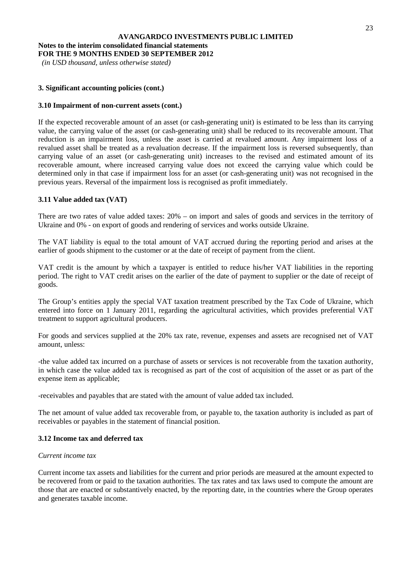*(in USD thousand, unless otherwise stated)*

### **3. Significant accounting policies (cont.)**

#### **3.10 Impairment of non-current assets (cont.)**

If the expected recoverable amount of an asset (or cash-generating unit) is estimated to be less than its carrying value, the carrying value of the asset (or cash-generating unit) shall be reduced to its recoverable amount. That reduction is an impairment loss, unless the asset is carried at revalued amount. Any impairment loss of a revalued asset shall be treated as a revaluation decrease. If the impairment loss is reversed subsequently, than carrying value of an asset (or cash-generating unit) increases to the revised and estimated amount of its recoverable amount, where increased carrying value does not exceed the carrying value which could be determined only in that case if impairment loss for an asset (or cash-generating unit) was not recognised in the previous years. Reversal of the impairment loss is recognised as profit immediately.

### **3.11 Value added tax (VAT)**

There are two rates of value added taxes: 20% – on import and sales of goods and services in the territory of Ukraine and 0% - on export of goods and rendering of services and works outside Ukraine.

The VAT liability is equal to the total amount of VAT accrued during the reporting period and arises at the earlier of goods shipment to the customer or at the date of receipt of payment from the client.

VAT credit is the amount by which a taxpayer is entitled to reduce his/her VAT liabilities in the reporting period. The right to VAT credit arises on the earlier of the date of payment to supplier or the date of receipt of goods.

The Group's entities apply the special VAT taxation treatment prescribed by the Tax Code of Ukraine, which entered into force on 1 January 2011, regarding the agricultural activities, which provides preferential VAT treatment to support agricultural producers.

For goods and services supplied at the 20% tax rate, revenue, expenses and assets are recognised net of VAT amount, unless:

-the value added tax incurred on a purchase of assets or services is not recoverable from the taxation authority, in which case the value added tax is recognised as part of the cost of acquisition of the asset or as part of the expense item as applicable;

-receivables and payables that are stated with the amount of value added tax included.

The net amount of value added tax recoverable from, or payable to, the taxation authority is included as part of receivables or payables in the statement of financial position.

### **3.12 Income tax and deferred tax**

### *Current income tax*

Current income tax assets and liabilities for the current and prior periods are measured at the amount expected to be recovered from or paid to the taxation authorities. The tax rates and tax laws used to compute the amount are those that are enacted or substantively enacted, by the reporting date, in the countries where the Group operates and generates taxable income.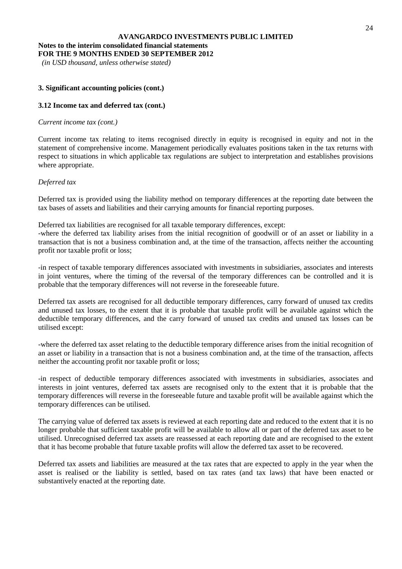*(in USD thousand, unless otherwise stated)*

### **3. Significant accounting policies (cont.)**

### **3.12 Income tax and deferred tax (cont.)**

*Current income tax (cont.)*

Current income tax relating to items recognised directly in equity is recognised in equity and not in the statement of comprehensive income. Management periodically evaluates positions taken in the tax returns with respect to situations in which applicable tax regulations are subject to interpretation and establishes provisions where appropriate.

### *Deferred tax*

Deferred tax is provided using the liability method on temporary differences at the reporting date between the tax bases of assets and liabilities and their carrying amounts for financial reporting purposes.

Deferred tax liabilities are recognised for all taxable temporary differences, except:

-where the deferred tax liability arises from the initial recognition of goodwill or of an asset or liability in a transaction that is not a business combination and, at the time of the transaction, affects neither the accounting profit nor taxable profit or loss;

-in respect of taxable temporary differences associated with investments in subsidiaries, associates and interests in joint ventures, where the timing of the reversal of the temporary differences can be controlled and it is probable that the temporary differences will not reverse in the foreseeable future.

Deferred tax assets are recognised for all deductible temporary differences, carry forward of unused tax credits and unused tax losses, to the extent that it is probable that taxable profit will be available against which the deductible temporary differences, and the carry forward of unused tax credits and unused tax losses can be utilised except:

-where the deferred tax asset relating to the deductible temporary difference arises from the initial recognition of an asset or liability in a transaction that is not a business combination and, at the time of the transaction, affects neither the accounting profit nor taxable profit or loss;

-in respect of deductible temporary differences associated with investments in subsidiaries, associates and interests in joint ventures, deferred tax assets are recognised only to the extent that it is probable that the temporary differences will reverse in the foreseeable future and taxable profit will be available against which the temporary differences can be utilised.

The carrying value of deferred tax assets is reviewed at each reporting date and reduced to the extent that it is no longer probable that sufficient taxable profit will be available to allow all or part of the deferred tax asset to be utilised. Unrecognised deferred tax assets are reassessed at each reporting date and are recognised to the extent that it has become probable that future taxable profits will allow the deferred tax asset to be recovered.

Deferred tax assets and liabilities are measured at the tax rates that are expected to apply in the year when the asset is realised or the liability is settled, based on tax rates (and tax laws) that have been enacted or substantively enacted at the reporting date.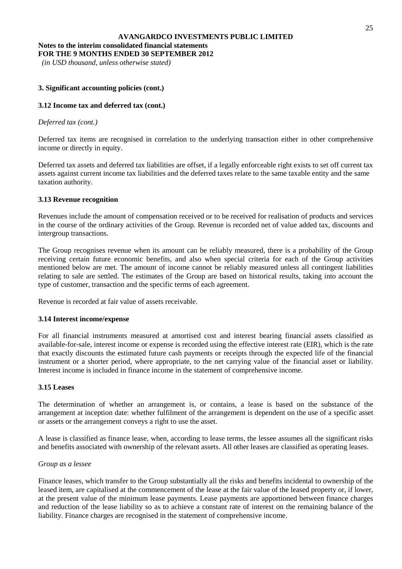*(in USD thousand, unless otherwise stated)*

### **3. Significant accounting policies (cont.)**

### **3.12 Income tax and deferred tax (cont.)**

*Deferred tax (cont.)*

Deferred tax items are recognised in correlation to the underlying transaction either in other comprehensive income or directly in equity.

Deferred tax assets and deferred tax liabilities are offset, if a legally enforceable right exists to set off current tax assets against current income tax liabilities and the deferred taxes relate to the same taxable entity and the same taxation authority.

### **3.13 Revenue recognition**

Revenues include the amount of compensation received or to be received for realisation of products and services in the course of the ordinary activities of the Group. Revenue is recorded net of value added tax, discounts and intergroup transactions.

The Group recognises revenue when its amount can be reliably measured, there is a probability of the Group receiving certain future economic benefits, and also when special criteria for each of the Group activities mentioned below are met. The amount of income cannot be reliably measured unless all contingent liabilities relating to sale are settled. The estimates of the Group are based on historical results, taking into account the type of customer, transaction and the specific terms of each agreement.

Revenue is recorded at fair value of assets receivable.

### **3.14 Interest income/expense**

For all financial instruments measured at amortised cost and interest bearing financial assets classified as available-for-sale, interest income or expense is recorded using the effective interest rate (EIR), which is the rate that exactly discounts the estimated future cash payments or receipts through the expected life of the financial instrument or a shorter period, where appropriate, to the net carrying value of the financial asset or liability. Interest income is included in finance income in the statement of comprehensive income.

### **3.15 Leases**

The determination of whether an arrangement is, or contains, a lease is based on the substance of the arrangement at inception date: whether fulfilment of the arrangement is dependent on the use of a specific asset or assets or the arrangement conveys a right to use the asset.

A lease is classified as finance lease, when, according to lease terms, the lessee assumes all the significant risks and benefits associated with ownership of the relevant assets. All other leases are classified as operating leases.

#### *Group as a lessee*

Finance leases, which transfer to the Group substantially all the risks and benefits incidental to ownership of the leased item, are capitalised at the commencement of the lease at the fair value of the leased property or, if lower, at the present value of the minimum lease payments. Lease payments are apportioned between finance charges and reduction of the lease liability so as to achieve a constant rate of interest on the remaining balance of the liability. Finance charges are recognised in the statement of comprehensive income.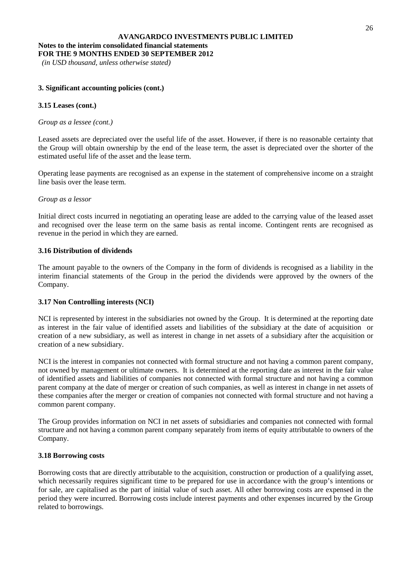*(in USD thousand, unless otherwise stated)*

### **3. Significant accounting policies (cont.)**

### **3.15 Leases (cont.)**

#### *Group as a lessee (cont.)*

Leased assets are depreciated over the useful life of the asset. However, if there is no reasonable certainty that the Group will obtain ownership by the end of the lease term, the asset is depreciated over the shorter of the estimated useful life of the asset and the lease term.

Operating lease payments are recognised as an expense in the statement of comprehensive income on a straight line basis over the lease term.

### *Group as a lessor*

Initial direct costs incurred in negotiating an operating lease are added to the carrying value of the leased asset and recognised over the lease term on the same basis as rental income. Contingent rents are recognised as revenue in the period in which they are earned.

### **3.16 Distribution of dividends**

The amount payable to the owners of the Company in the form of dividends is recognised as a liability in the interim financial statements of the Group in the period the dividends were approved by the owners of the Company.

### **3.17 Non Controlling interests (NCI)**

NCI is represented by interest in the subsidiaries not owned by the Group. It is determined at the reporting date as interest in the fair value of identified assets and liabilities of the subsidiary at the date of acquisition or creation of a new subsidiary, as well as interest in change in net assets of a subsidiary after the acquisition or creation of a new subsidiary.

NCI is the interest in companies not connected with formal structure and not having a common parent company, not owned by management or ultimate owners. It is determined at the reporting date as interest in the fair value of identified assets and liabilities of companies not connected with formal structure and not having a common parent company at the date of merger or creation of such companies, as well as interest in change in net assets of these companies after the merger or creation of companies not connected with formal structure and not having a common parent company.

The Group provides information on NCI in net assets of subsidiaries and companies not connected with formal structure and not having a common parent company separately from items of equity attributable to owners of the Company.

### **3.18 Borrowing costs**

Borrowing costs that are directly attributable to the acquisition, construction or production of a qualifying asset, which necessarily requires significant time to be prepared for use in accordance with the group's intentions or for sale, are capitalised as the part of initial value of such asset. All other borrowing costs are expensed in the period they were incurred. Borrowing costs include interest payments and other expenses incurred by the Group related to borrowings.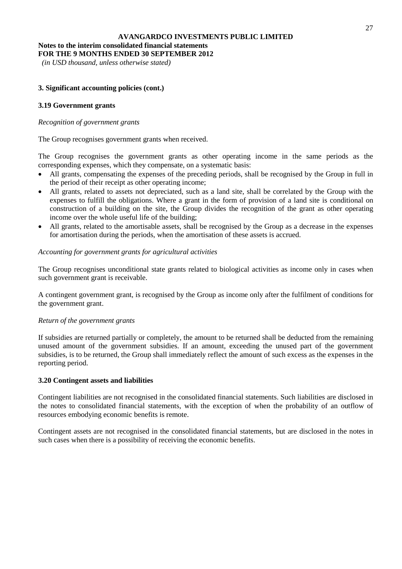*(in USD thousand, unless otherwise stated)*

### **3. Significant accounting policies (cont.)**

### **3.19 Government grants**

### *Recognition of government grants*

The Group recognises government grants when received.

The Group recognises the government grants as other operating income in the same periods as the corresponding expenses, which they compensate, on a systematic basis:

- All grants, compensating the expenses of the preceding periods, shall be recognised by the Group in full in the period of their receipt as other operating income;
- All grants, related to assets not depreciated, such as a land site, shall be correlated by the Group with the expenses to fulfill the obligations. Where a grant in the form of provision of a land site is conditional on construction of a building on the site, the Group divides the recognition of the grant as other operating income over the whole useful life of the building;
- All grants, related to the amortisable assets, shall be recognised by the Group as a decrease in the expenses for amortisation during the periods, when the amortisation of these assets is accrued.

#### *Accounting for government grants for agricultural activities*

The Group recognises unconditional state grants related to biological activities as income only in cases when such government grant is receivable.

A contingent government grant, is recognised by the Group as income only after the fulfilment of conditions for the government grant.

### *Return of the government grants*

If subsidies are returned partially or completely, the amount to be returned shall be deducted from the remaining unused amount of the government subsidies. If an amount, exceeding the unused part of the government subsidies, is to be returned, the Group shall immediately reflect the amount of such excess as the expenses in the reporting period.

### **3.20 Contingent assets and liabilities**

Contingent liabilities are not recognised in the consolidated financial statements. Such liabilities are disclosed in the notes to consolidated financial statements, with the exception of when the probability of an outflow of resources embodying economic benefits is remote.

Contingent assets are not recognised in the consolidated financial statements, but are disclosed in the notes in such cases when there is a possibility of receiving the economic benefits.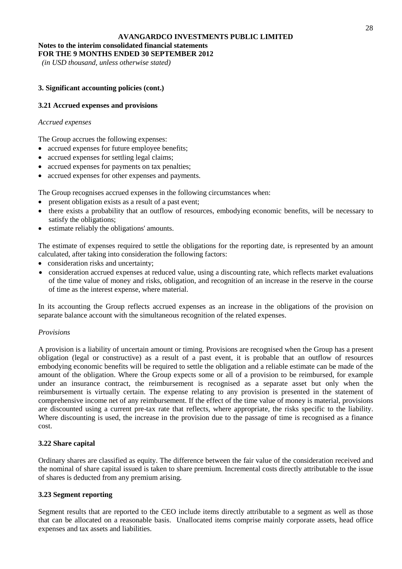*(in USD thousand, unless otherwise stated)*

### **3. Significant accounting policies (cont.)**

### **3.21 Accrued expenses and provisions**

### *Accrued expenses*

The Group accrues the following expenses:

- accrued expenses for future employee benefits;
- accrued expenses for settling legal claims;
- accrued expenses for payments on tax penalties;
- accrued expenses for other expenses and payments.

The Group recognises accrued expenses in the following circumstances when:

- present obligation exists as a result of a past event;
- there exists a probability that an outflow of resources, embodying economic benefits, will be necessary to satisfy the obligations;
- estimate reliably the obligations' amounts.

The estimate of expenses required to settle the obligations for the reporting date, is represented by an amount calculated, after taking into consideration the following factors:

- consideration risks and uncertainty;
- consideration accrued expenses at reduced value, using a discounting rate, which reflects market evaluations of the time value of money and risks, obligation, and recognition of an increase in the reserve in the course of time as the interest expense, where material.

In its accounting the Group reflects accrued expenses as an increase in the obligations of the provision on separate balance account with the simultaneous recognition of the related expenses.

### *Provisions*

A provision is a liability of uncertain amount or timing. Provisions are recognised when the Group has a present obligation (legal or constructive) as a result of a past event, it is probable that an outflow of resources embodying economic benefits will be required to settle the obligation and a reliable estimate can be made of the amount of the obligation. Where the Group expects some or all of a provision to be reimbursed, for example under an insurance contract, the reimbursement is recognised as a separate asset but only when the reimbursement is virtually certain. The expense relating to any provision is presented in the statement of comprehensive income net of any reimbursement. If the effect of the time value of money is material, provisions are discounted using a current pre-tax rate that reflects, where appropriate, the risks specific to the liability. Where discounting is used, the increase in the provision due to the passage of time is recognised as a finance cost.

### **3.22 Share capital**

Ordinary shares are classified as equity. The difference between the fair value of the consideration received and the nominal of share capital issued is taken to share premium. Incremental costs directly attributable to the issue of shares is deducted from any premium arising.

### **3.23 Segment reporting**

Segment results that are reported to the CEO include items directly attributable to a segment as well as those that can be allocated on a reasonable basis. Unallocated items comprise mainly corporate assets, head office expenses and tax assets and liabilities.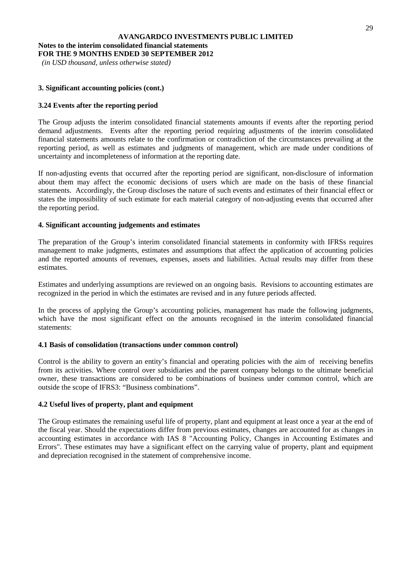*(in USD thousand, unless otherwise stated)*

### **3. Significant accounting policies (cont.)**

### **3.24 Events after the reporting period**

The Group adjusts the interim consolidated financial statements amounts if events after the reporting period demand adjustments. Events after the reporting period requiring adjustments of the interim consolidated financial statements amounts relate to the confirmation or contradiction of the circumstances prevailing at the reporting period, as well as estimates and judgments of management, which are made under conditions of uncertainty and incompleteness of information at the reporting date.

If non-adjusting events that occurred after the reporting period are significant, non-disclosure of information about them may affect the economic decisions of users which are made on the basis of these financial statements. Accordingly, the Group discloses the nature of such events and estimates of their financial effect or states the impossibility of such estimate for each material category of non-adjusting events that occurred after the reporting period.

### **4. Significant accounting judgements and estimates**

The preparation of the Group's interim consolidated financial statements in conformity with IFRSs requires management to make judgments, estimates and assumptions that affect the application of accounting policies and the reported amounts of revenues, expenses, assets and liabilities. Actual results may differ from these estimates.

Estimates and underlying assumptions are reviewed on an ongoing basis. Revisions to accounting estimates are recognized in the period in which the estimates are revised and in any future periods affected.

In the process of applying the Group's accounting policies, management has made the following judgments, which have the most significant effect on the amounts recognised in the interim consolidated financial statements:

### **4.1 Basis of consolidation (transactions under common control)**

Control is the ability to govern an entity's financial and operating policies with the aim of receiving benefits from its activities. Where control over subsidiaries and the parent company belongs to the ultimate beneficial owner, these transactions are considered to be combinations of business under common control, which are outside the scope of IFRS3: "Business combinations".

### **4.2 Useful lives of property, plant and equipment**

The Group estimates the remaining useful life of property, plant and equipment at least once a year at the end of the fiscal year. Should the expectations differ from previous estimates, changes are accounted for as changes in accounting estimates in accordance with IAS 8 "Accounting Policy, Changes in Accounting Estimates and Errors". These estimates may have a significant effect on the carrying value of property, plant and equipment and depreciation recognised in the statement of comprehensive income.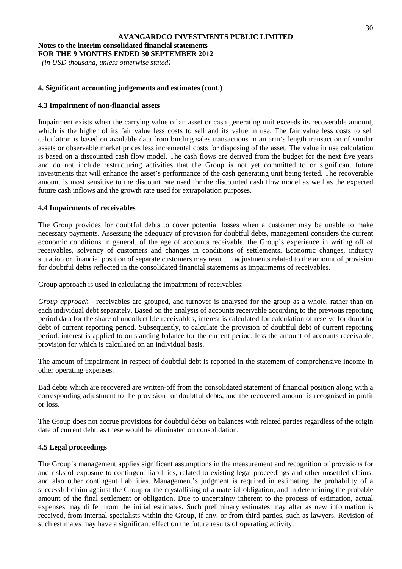*(in USD thousand, unless otherwise stated)*

#### **4. Significant accounting judgements and estimates (cont.)**

#### **4.3 Impairment of non-financial assets**

Impairment exists when the carrying value of an asset or cash generating unit exceeds its recoverable amount, which is the higher of its fair value less costs to sell and its value in use. The fair value less costs to sell calculation is based on available data from binding sales transactions in an arm's length transaction of similar assets or observable market prices less incremental costs for disposing of the asset. The value in use calculation is based on a discounted cash flow model. The cash flows are derived from the budget for the next five years and do not include restructuring activities that the Group is not yet committed to or significant future investments that will enhance the asset's performance of the cash generating unit being tested. The recoverable amount is most sensitive to the discount rate used for the discounted cash flow model as well as the expected future cash inflows and the growth rate used for extrapolation purposes.

#### **4.4 Impairments of receivables**

The Group provides for doubtful debts to cover potential losses when a customer may be unable to make necessary payments. Assessing the adequacy of provision for doubtful debts, management considers the current economic conditions in general, of the age of accounts receivable, the Group's experience in writing off of receivables, solvency of customers and changes in conditions of settlements. Economic changes, industry situation or financial position of separate customers may result in adjustments related to the amount of provision for doubtful debts reflected in the consolidated financial statements as impairments of receivables.

Group approach is used in calculating the impairment of receivables:

*Group approach* - receivables are grouped, and turnover is analysed for the group as a whole, rather than on each individual debt separately. Based on the analysis of accounts receivable according to the previous reporting period data for the share of uncollectible receivables, interest is calculated for calculation of reserve for doubtful debt of current reporting period. Subsequently, to calculate the provision of doubtful debt of current reporting period, interest is applied to outstanding balance for the current period, less the amount of accounts receivable, provision for which is calculated on an individual basis.

The amount of impairment in respect of doubtful debt is reported in the statement of comprehensive income in other operating expenses.

Bad debts which are recovered are written-off from the consolidated statement of financial position along with a corresponding adjustment to the provision for doubtful debts, and the recovered amount is recognised in profit or loss.

The Group does not accrue provisions for doubtful debts on balances with related parties regardless of the origin date of current debt, as these would be eliminated on consolidation.

### **4.5 Legal proceedings**

The Group's management applies significant assumptions in the measurement and recognition of provisions for and risks of exposure to contingent liabilities, related to existing legal proceedings and other unsettled claims, and also other contingent liabilities. Management's judgment is required in estimating the probability of a successful claim against the Group or the crystallising of a material obligation, and in determining the probable amount of the final settlement or obligation. Due to uncertainty inherent to the process of estimation, actual expenses may differ from the initial estimates. Such preliminary estimates may alter as new information is received, from internal specialists within the Group, if any, or from third parties, such as lawyers. Revision of such estimates may have a significant effect on the future results of operating activity.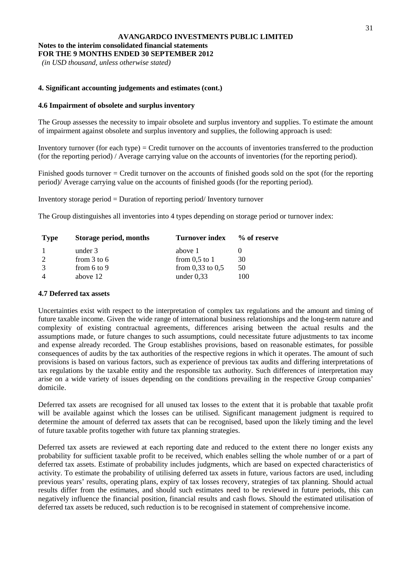*(in USD thousand, unless otherwise stated)*

### **4. Significant accounting judgements and estimates (cont.)**

### **4.6 Impairment of obsolete and surplus inventory**

The Group assesses the necessity to impair obsolete and surplus inventory and supplies. To estimate the amount of impairment against obsolete and surplus inventory and supplies, the following approach is used:

Inventory turnover (for each type) = Credit turnover on the accounts of inventories transferred to the production (for the reporting period) / Average carrying value on the accounts of inventories (for the reporting period).

Finished goods turnover = Credit turnover on the accounts of finished goods sold on the spot (for the reporting period)/ Average carrying value on the accounts of finished goods (for the reporting period).

Inventory storage period = Duration of reporting period/ Inventory turnover

The Group distinguishes all inventories into 4 types depending on storage period or turnover index:

| <b>Type</b> | Storage period, months | Turnover index       | % of reserve |
|-------------|------------------------|----------------------|--------------|
|             | under $3$              | above 1              |              |
|             | from $3$ to $6$        | from $0.5$ to $1$    | 30           |
| 3           | from $6$ to $9$        | from $0,33$ to $0,5$ | 50           |
|             | above 12               | under $0.33$         | 100          |

### **4.7 Deferred tax assets**

Uncertainties exist with respect to the interpretation of complex tax regulations and the amount and timing of future taxable income. Given the wide range of international business relationships and the long-term nature and complexity of existing contractual agreements, differences arising between the actual results and the assumptions made, or future changes to such assumptions, could necessitate future adjustments to tax income and expense already recorded. The Group establishes provisions, based on reasonable estimates, for possible consequences of audits by the tax authorities of the respective regions in which it operates. The amount of such provisions is based on various factors, such as experience of previous tax audits and differing interpretations of tax regulations by the taxable entity and the responsible tax authority. Such differences of interpretation may arise on a wide variety of issues depending on the conditions prevailing in the respective Group companies' domicile.

Deferred tax assets are recognised for all unused tax losses to the extent that it is probable that taxable profit will be available against which the losses can be utilised. Significant management judgment is required to determine the amount of deferred tax assets that can be recognised, based upon the likely timing and the level of future taxable profits together with future tax planning strategies.

Deferred tax assets are reviewed at each reporting date and reduced to the extent there no longer exists any probability for sufficient taxable profit to be received, which enables selling the whole number of or a part of deferred tax assets. Estimate of probability includes judgments, which are based on expected characteristics of activity. To estimate the probability of utilising deferred tax assets in future, various factors are used, including previous years' results, operating plans, expiry of tax losses recovery, strategies of tax planning. Should actual results differ from the estimates, and should such estimates need to be reviewed in future periods, this can negatively influence the financial position, financial results and cash flows. Should the estimated utilisation of deferred tax assets be reduced, such reduction is to be recognised in statement of comprehensive income.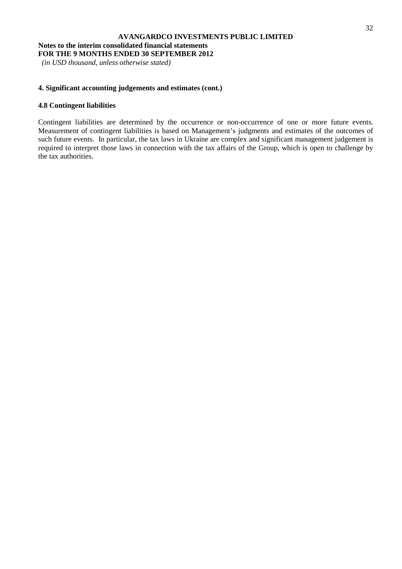*(in USD thousand, unless otherwise stated)*

### **4. Significant accounting judgements and estimates (cont.)**

### **4.8 Contingent liabilities**

Contingent liabilities are determined by the occurrence or non-occurrence of one or more future events. Measurement of contingent liabilities is based on Management's judgments and estimates of the outcomes of such future events. In particular, the tax laws in Ukraine are complex and significant management judgement is required to interpret those laws in connection with the tax affairs of the Group, which is open to challenge by the tax authorities.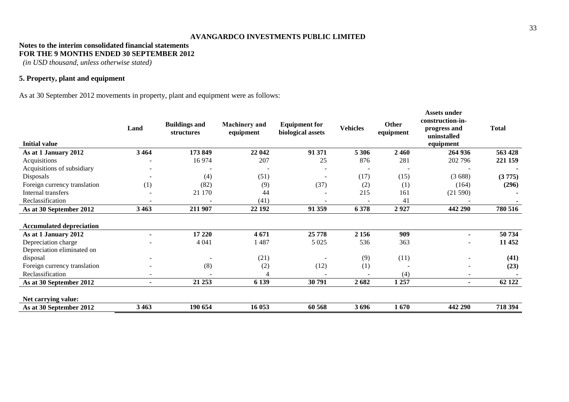# **Notes to the interim consolidated financial statements FOR THE 9 MONTHS ENDED 30 SEPTEMBER 2012**

*(in USD thousand, unless otherwise stated)*

# **5. Property, plant and equipment**

As at 30 September 2012 movements in property, plant and equipment were as follows:

| <b>Initial value</b>            | Land           | <b>Buildings and</b><br>structures | <b>Machinery</b> and<br>equipment | <b>Equipment for</b><br>biological assets | <b>Vehicles</b> | Other<br>equipment | <b>Assets under</b><br>construction-in-<br>progress and<br>uninstalled<br>equipment | <b>Total</b> |
|---------------------------------|----------------|------------------------------------|-----------------------------------|-------------------------------------------|-----------------|--------------------|-------------------------------------------------------------------------------------|--------------|
| As at 1 January 2012            | 3 4 6 4        | 173 849                            | 22 042                            | 91 371                                    | 5 3 0 6         | 2 4 6 0            | 264 936                                                                             | 563 428      |
| Acquisitions                    |                | 16 974                             | 207                               | 25                                        | 876             | 281                | 202 796                                                                             | 221 159      |
| Acquisitions of subsidiary      |                |                                    |                                   |                                           |                 |                    |                                                                                     |              |
| Disposals                       |                | (4)                                | (51)                              |                                           | (17)            | (15)               | (3688)                                                                              | (3775)       |
| Foreign currency translation    | (1)            | (82)                               | (9)                               | (37)                                      | (2)             | (1)                | (164)                                                                               |              |
| Internal transfers              |                | 21 170                             | 44                                |                                           | 215             | 161                | (21590)                                                                             | (296)        |
|                                 |                |                                    |                                   |                                           |                 |                    |                                                                                     |              |
| Reclassification                |                |                                    | (41)                              |                                           |                 | 41                 |                                                                                     |              |
| As at 30 September 2012         | 3 4 6 3        | 211 907                            | 22 192                            | 91 359                                    | 6 3 7 8         | 2927               | 442 290                                                                             | 780 516      |
| <b>Accumulated depreciation</b> |                |                                    |                                   |                                           |                 |                    |                                                                                     |              |
| As at 1 January 2012            | $\blacksquare$ | 17 220                             | 4671                              | 25 7 78                                   | 2 1 5 6         | 909                |                                                                                     | 50734        |
| Depreciation charge             |                | 4 0 4 1                            | 1487                              | 5 0 2 5                                   | 536             | 363                |                                                                                     | 11 452       |
| Depreciation eliminated on      |                |                                    |                                   |                                           |                 |                    |                                                                                     |              |
| disposal                        |                |                                    | (21)                              |                                           | (9)             | (11)               |                                                                                     | (41)         |
| Foreign currency translation    |                | (8)                                | (2)                               | (12)                                      | (1)             |                    |                                                                                     | (23)         |
| Reclassification                |                |                                    |                                   |                                           |                 | (4)                |                                                                                     |              |
| As at 30 September 2012         | $\blacksquare$ | 21 25 3                            | 6 1 39                            | 30 791                                    | 2682            | 1 257              |                                                                                     | 62 122       |
| Net carrying value:             |                |                                    |                                   |                                           |                 |                    |                                                                                     |              |
| As at 30 September 2012         | 3 4 6 3        | 190 654                            | 16 053                            | 60 568                                    | 3696            | 1670               | 442 290                                                                             | 718 394      |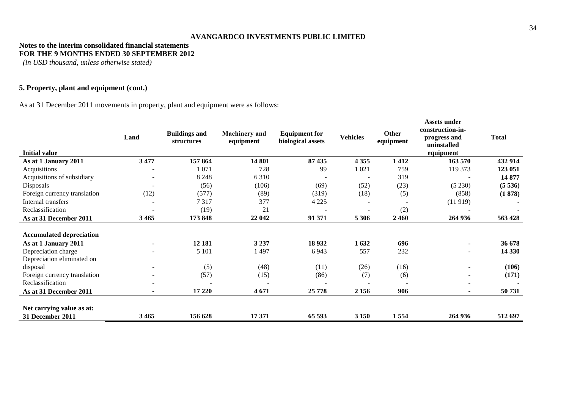# **Notes to the interim consolidated financial statements FOR THE 9 MONTHS ENDED 30 SEPTEMBER 2012**

*(in USD thousand, unless otherwise stated)*

## **5. Property, plant and equipment (cont.)**

As at 31 December 2011 movements in property, plant and equipment were as follows:

| <b>Initial value</b>            | Land           | <b>Buildings and</b><br>structures | <b>Machinery</b> and<br>equipment | <b>Equipment for</b><br>biological assets | <b>Vehicles</b> | Other<br>equipment | <b>Assets under</b><br>construction-in-<br>progress and<br>uninstalled<br>equipment | <b>Total</b> |
|---------------------------------|----------------|------------------------------------|-----------------------------------|-------------------------------------------|-----------------|--------------------|-------------------------------------------------------------------------------------|--------------|
| As at 1 January 2011            | 3 477          | 157 864                            | 14 801                            | 87 435                                    | 4 3 5 5         | 1412               | 163 570                                                                             | 432 914      |
| Acquisitions                    |                | 1 0 7 1                            | 728                               | 99                                        | 1 0 2 1         | 759                | 119 373                                                                             | 123 051      |
| Acquisitions of subsidiary      |                | 8 2 4 8                            | 6 3 1 0                           |                                           |                 | 319                |                                                                                     | 14 877       |
| Disposals                       |                | (56)                               | (106)                             | (69)                                      | (52)            | (23)               | (5 230)                                                                             | (5536)       |
| Foreign currency translation    | (12)           | (577)                              | (89)                              | (319)                                     | (18)            | (5)                | (858)                                                                               | (1878)       |
| Internal transfers              |                | 7317                               | 377                               | 4 2 2 5                                   |                 |                    | (11919)                                                                             |              |
| Reclassification                |                | (19)                               | 21                                |                                           |                 | (2)                |                                                                                     |              |
| As at 31 December 2011          | 3 4 6 5        | 173 848                            | 22 042                            | 91 371                                    | 5 3 0 6         | 2460               | 264 936                                                                             | 563 428      |
| <b>Accumulated depreciation</b> |                |                                    |                                   |                                           |                 |                    |                                                                                     |              |
| As at 1 January 2011            |                | 12 18 1                            | 3 2 3 7                           | 18932                                     | 1632            | 696                |                                                                                     | 36 678       |
| Depreciation charge             |                | 5 1 0 1                            | 1497                              | 6943                                      | 557             | 232                |                                                                                     | 14 330       |
| Depreciation eliminated on      |                |                                    |                                   |                                           |                 |                    |                                                                                     |              |
| disposal                        |                | (5)                                | (48)                              | (11)                                      | (26)            | (16)               |                                                                                     | (106)        |
| Foreign currency translation    |                | (57)                               | (15)                              | (86)                                      | (7)             | (6)                |                                                                                     | (171)        |
| Reclassification                |                |                                    |                                   |                                           |                 |                    |                                                                                     |              |
| As at 31 December 2011          | $\blacksquare$ | 17 220                             | 4671                              | 25 7 78                                   | 2 1 5 6         | 906                |                                                                                     | 50 731       |
| Net carrying value as at:       |                |                                    |                                   |                                           |                 |                    |                                                                                     |              |
| 31 December 2011                | 3 4 6 5        | 156 628                            | 17 371                            | 65 593                                    | 3 1 5 0         | 1554               | 264 936                                                                             | 512 697      |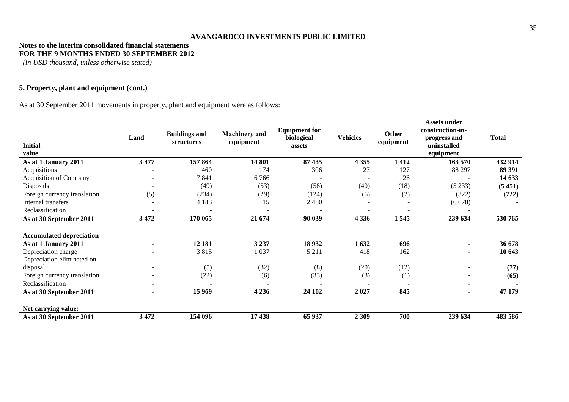# **Notes to the interim consolidated financial statements FOR THE 9 MONTHS ENDED 30 SEPTEMBER 2012**

*(in USD thousand, unless otherwise stated)*

## **5. Property, plant and equipment (cont.)**

As at 30 September 2011 movements in property, plant and equipment were as follows:

| <b>Initial</b><br>value         | Land    | <b>Buildings and</b><br>structures | <b>Machinery</b> and<br>equipment | <b>Equipment for</b><br>biological<br>assets | <b>Vehicles</b> | <b>Other</b><br>equipment | <b>Assets under</b><br>construction-in-<br>progress and<br>uninstalled<br>equipment | <b>Total</b> |
|---------------------------------|---------|------------------------------------|-----------------------------------|----------------------------------------------|-----------------|---------------------------|-------------------------------------------------------------------------------------|--------------|
| As at 1 January 2011            | 3 4 7 7 | 157 864                            | 14 801                            | 87 435                                       | 4 3 5 5         | 1412                      | 163 570                                                                             | 432 914      |
| Acquisitions                    |         | 460                                | 174                               | 306                                          | 27              | 127                       | 88 297                                                                              | 89 391       |
| <b>Acquisition of Company</b>   |         | 7841                               | 6766                              |                                              |                 | 26                        |                                                                                     | 14 633       |
| Disposals                       |         | (49)                               | (53)                              | (58)                                         | (40)            | (18)                      | (5233)                                                                              | (5451)       |
| Foreign currency translation    | (5)     | (234)                              | (29)                              | (124)                                        | (6)             | (2)                       | (322)                                                                               | (722)        |
| Internal transfers              |         | 4 1 8 3                            | 15                                | 2480                                         |                 |                           | (6678)                                                                              |              |
| Reclassification                |         |                                    |                                   |                                              |                 |                           |                                                                                     |              |
| As at 30 September 2011         | 3 4 7 2 | 170 065                            | 21 674                            | 90 039                                       | 4 3 3 6         | 1545                      | 239 634                                                                             | 530 765      |
| <b>Accumulated depreciation</b> |         |                                    |                                   |                                              |                 |                           |                                                                                     |              |
| As at 1 January 2011            |         | 12 18 1                            | 3 2 3 7                           | 18 9 32                                      | 1632            | 696                       | ٠                                                                                   | 36 678       |
| Depreciation charge             |         | 3815                               | 1 0 3 7                           | 5 2 1 1                                      | 418             | 162                       |                                                                                     | 10 643       |
| Depreciation eliminated on      |         |                                    |                                   |                                              |                 |                           |                                                                                     |              |
| disposal                        |         | (5)                                | (32)                              | (8)                                          | (20)            | (12)                      |                                                                                     | (77)         |
| Foreign currency translation    |         | (22)                               | (6)                               | (33)                                         | (3)             | (1)                       |                                                                                     | (65)         |
| Reclassification                |         |                                    |                                   |                                              |                 |                           |                                                                                     |              |
| As at 30 September 2011         | ۰       | 15 9 69                            | 4 2 3 6                           | 24 102                                       | 2027            | 845                       | ۰.                                                                                  | 47 179       |
| Net carrying value:             |         |                                    |                                   |                                              |                 |                           |                                                                                     |              |
| As at 30 September 2011         | 3 4 7 2 | 154 096                            | 17 438                            | 65 937                                       | 2 3 0 9         | 700                       | 239 634                                                                             | 483 586      |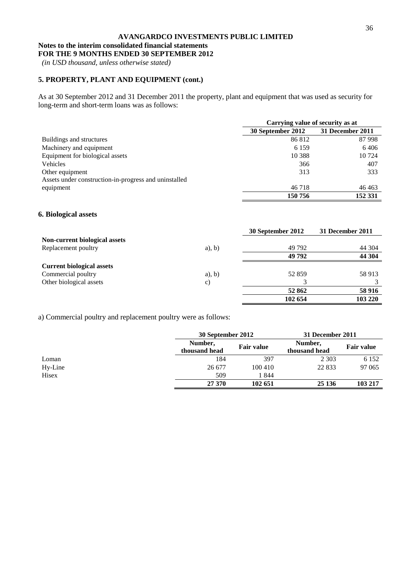*(in USD thousand, unless otherwise stated)*

## **5. PROPERTY, PLANT AND EQUIPMENT (cont.)**

As at 30 September 2012 and 31 December 2011 the property, plant and equipment that was used as security for long-term and short-term loans was as follows:

|                                                       |               | Carrying value of security as at |                  |  |
|-------------------------------------------------------|---------------|----------------------------------|------------------|--|
|                                                       |               | 30 September 2012                | 31 December 2011 |  |
| Buildings and structures                              |               | 86 812                           | 87998            |  |
| Machinery and equipment                               |               | 6 1 5 9                          | 6406             |  |
| Equipment for biological assets                       |               | 10 3 88                          | 10 7 24          |  |
| Vehicles                                              |               | 366                              | 407              |  |
| Other equipment                                       |               | 313                              | 333              |  |
| Assets under construction-in-progress and uninstalled |               |                                  |                  |  |
| equipment                                             |               | 46 718                           | 46 4 63          |  |
|                                                       |               | 150 756                          | 152 331          |  |
| 6. Biological assets                                  |               | 30 September 2012                | 31 December 2011 |  |
| Non-current biological assets                         |               |                                  |                  |  |
| Replacement poultry                                   | $a)$ , b)     | 49 792                           | 44 304           |  |
|                                                       |               | 49 792                           | 44 304           |  |
| <b>Current biological assets</b>                      |               |                                  |                  |  |
| Commercial poultry                                    | $a)$ , b)     | 52 859                           | 58 913           |  |
| Other biological assets                               | $\mathbf{c})$ | 3                                | 3                |  |
|                                                       |               | 52 862                           | 58 916           |  |

a) Commercial poultry and replacement poultry were as follows:

|         |                          | 30 September 2012 |                          | 31 December 2011  |
|---------|--------------------------|-------------------|--------------------------|-------------------|
|         | Number,<br>thousand head | <b>Fair value</b> | Number,<br>thousand head | <b>Fair value</b> |
| Loman   | 184                      | 397               | 2 3 0 3                  | 6 1 5 2           |
| Hy-Line | 26 677                   | 100 410           | 22 833                   | 97 065            |
| Hisex   | 509                      | 1 844             |                          |                   |
|         | 27 370                   | 102 651           | 25 1 36                  | 103 217           |

**102 654 103 220**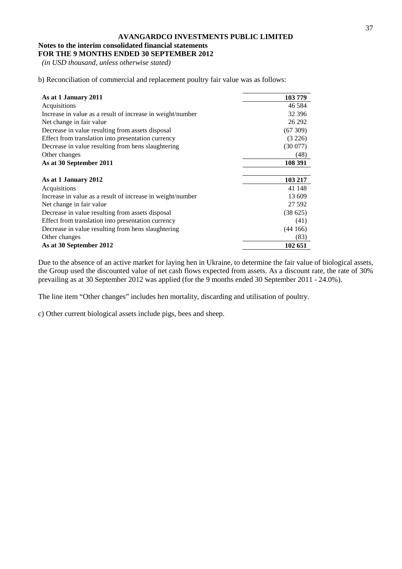*(in USD thousand, unless otherwise stated)*

b) Reconciliation of commercial and replacement poultry fair value was as follows:

| As at 1 January 2011                                       | 103 779 |
|------------------------------------------------------------|---------|
| Acquisitions                                               | 46 5 84 |
| Increase in value as a result of increase in weight/number | 32 39 6 |
| Net change in fair value                                   | 26 29 2 |
| Decrease in value resulting from assets disposal           | (67309) |
| Effect from translation into presentation currency         | (3 226) |
| Decrease in value resulting from hens slaughtering         | (30077) |
| Other changes                                              | (48)    |
| As at 30 September 2011                                    | 108 391 |
|                                                            |         |
| As at 1 January 2012                                       | 103 217 |
| Acquisitions                                               | 41 148  |
| Increase in value as a result of increase in weight/number | 13 609  |
| Net change in fair value                                   | 27 592  |
| Decrease in value resulting from assets disposal           | (38625) |
| Effect from translation into presentation currency         | (41)    |
| Decrease in value resulting from hens slaughtering         | (44166) |
| Other changes                                              | (83)    |
| As at 30 September 2012                                    | 102 651 |

Due to the absence of an active market for laying hen in Ukraine, to determine the fair value of biological assets, the Group used the discounted value of net cash flows expected from assets. As a discount rate, the rate of 30% prevailing as at 30 September 2012 was applied (for the 9 months ended 30 September 2011 - 24.0%).

The line item "Other changes" includes hen mortality, discarding and utilisation of poultry.

c) Other current biological assets include pigs, bees and sheep.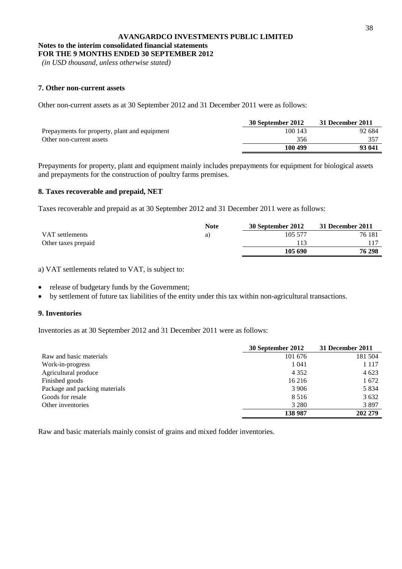*(in USD thousand, unless otherwise stated)*

### **7. Other non-current assets**

Other non-current assets as at 30 September 2012 and 31 December 2011 were as follows:

|                                               | 30 September 2012 | 31 December 2011 |
|-----------------------------------------------|-------------------|------------------|
| Prepayments for property, plant and equipment | 100 143           | 92 684           |
| Other non-current assets                      | 356               |                  |
|                                               | 100 499           | 93 041           |

Prepayments for property, plant and equipment mainly includes prepayments for equipment for biological assets and prepayments for the construction of poultry farms premises.

### **8. Taxes recoverable and prepaid, NET**

Taxes recoverable and prepaid as at 30 September 2012 and 31 December 2011 were as follows:

|                     | <b>Note</b> | 30 September 2012 | 31 December 2011 |
|---------------------|-------------|-------------------|------------------|
| VAT settlements     | a           | 105 577           | 76 181           |
| Other taxes prepaid |             |                   |                  |
|                     |             | 105 690           | 76 298           |
|                     |             |                   |                  |

a) VAT settlements related to VAT, is subject to:

- release of budgetary funds by the Government;
- by settlement of future tax liabilities of the entity under this tax within non-agricultural transactions.

### **9. Inventories**

Inventories as at 30 September 2012 and 31 December 2011 were as follows:

|                               | 30 September 2012 | 31 December 2011 |
|-------------------------------|-------------------|------------------|
| Raw and basic materials       | 101 676           | 181 504          |
| Work-in-progress              | 1 0 4 1           | 1 1 1 7          |
| Agricultural produce          | 4 3 5 2           | 4 6 23           |
| Finished goods                | 16 216            | 1672             |
| Package and packing materials | 3 9 0 6           | 5 8 3 4          |
| Goods for resale              | 8 5 1 6           | 3 6 3 2          |
| Other inventories             | 3 2 8 0           | 3897             |
|                               | 138 987           | 202 279          |

Raw and basic materials mainly consist of grains and mixed fodder inventories.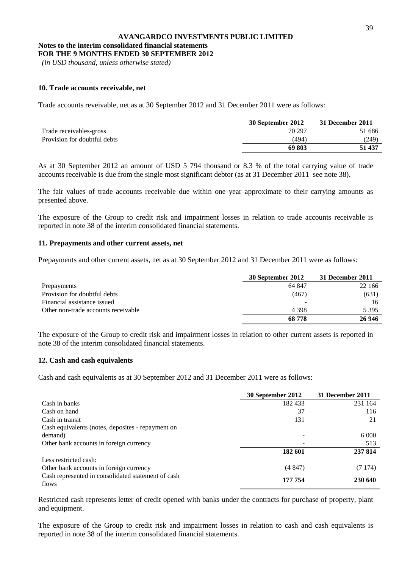*(in USD thousand, unless otherwise stated)*

### **10. Trade accounts receivable, net**

Trade accounts reveivable, net as at 30 September 2012 and 31 December 2011 were as follows:

|                              | 30 September 2012 | 31 December 2011 |
|------------------------------|-------------------|------------------|
| Trade receivables-gross      | 70 297            | 51 686           |
| Provision for doubtful debts | (494)             | (249)            |
|                              | 69803             | 51 437           |

As at 30 September 2012 an amount of USD 5 794 thousand or 8.3 % of the total carrying value of trade accounts receivable is due from the single most significant debtor (as at 31 December 2011–see note 38).

The fair values of trade accounts receivable due within one year approximate to their carrying amounts as presented above.

The exposure of the Group to credit risk and impairment losses in relation to trade accounts receivable is reported in note 38 of the interim consolidated financial statements.

### **11. Prepayments and other current assets, net**

Prepayments and other current assets, net as at 30 September 2012 and 31 December 2011 were as follows:

|                                     | 30 September 2012        | 31 December 2011 |
|-------------------------------------|--------------------------|------------------|
| Prepayments                         | 64 847                   | 22 166           |
| Provision for doubtful debts        | (467)                    | (631)            |
| Financial assistance issued         | $\overline{\phantom{a}}$ | 16               |
| Other non-trade accounts receivable | 4 3 9 8                  | 5 3 9 5          |
|                                     | 68778                    | 26 946           |

The exposure of the Group to credit risk and impairment losses in relation to other current assets is reported in note 38 of the interim consolidated financial statements.

### **12. Cash and cash equivalents**

Cash and cash equivalents as at 30 September 2012 and 31 December 2011 were as follows:

|                                                             | 30 September 2012 | 31 December 2011 |
|-------------------------------------------------------------|-------------------|------------------|
| Cash in banks                                               | 182433            | 231 164          |
| Cash on hand                                                | 37                | 116              |
| Cash in transit                                             | 131               | 21               |
| Cash equivalents (notes, deposites - repayment on           |                   |                  |
| demand)                                                     |                   | 6 0 0 0          |
| Other bank accounts in foreign currency                     |                   | 513              |
|                                                             | 182 601           | 237 814          |
| Less restricted cash:                                       |                   |                  |
| Other bank accounts in foreign currency                     | (4847)            | (7 174)          |
| Cash represented in consolidated statement of cash<br>flows | 177 754           | 230 640          |

Restricted cash represents letter of credit opened with banks under the contracts for purchase of property, plant and equipment.

The exposure of the Group to credit risk and impairment losses in relation to cash and cash equivalents is reported in note 38 of the interim consolidated financial statements.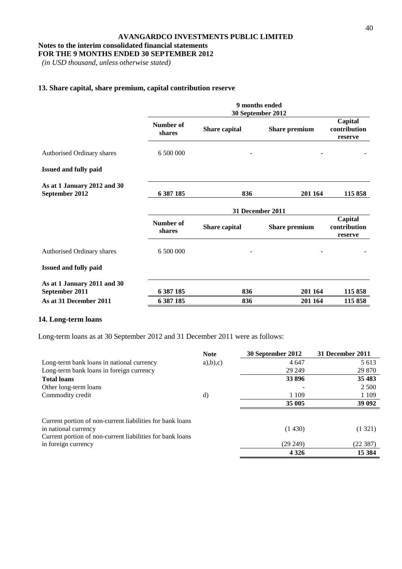*(in USD thousand, unless otherwise stated)*

## **13. Share capital, share premium, capital contribution reserve**

|                                               | 9 months ended<br>30 September 2012 |               |                      |                                    |
|-----------------------------------------------|-------------------------------------|---------------|----------------------|------------------------------------|
|                                               | Number of<br>shares                 | Share capital | <b>Share premium</b> | Capital<br>contribution<br>reserve |
| Authorised Ordinary shares                    | 6 500 000                           |               |                      |                                    |
| <b>Issued and fully paid</b>                  |                                     |               |                      |                                    |
| As at 1 January 2012 and 30<br>September 2012 | 6 387 185                           | 836           | 201 164              | 115 858                            |
|                                               | 31 December 2011                    |               |                      |                                    |
|                                               | Number of<br>shares                 | Share capital | <b>Share premium</b> | Capital<br>contribution<br>reserve |
| Authorised Ordinary shares                    | 6 500 000                           |               |                      |                                    |
| <b>Issued and fully paid</b>                  |                                     |               |                      |                                    |
| As at 1 January 2011 and 30<br>September 2011 | 6 387 185                           | 836           | 201 164              | 115 858                            |
| As at 31 December 2011                        | 6 387 185                           | 836           | 201 164              | 115 858                            |

### **14. Long-term loans**

Long-term loans as at 30 September 2012 and 31 December 2011 were as follows:

|                                                                                   | <b>Note</b> | 30 September 2012 | 31 December 2011 |
|-----------------------------------------------------------------------------------|-------------|-------------------|------------------|
| Long-term bank loans in national currency                                         | a), b), c)  | 4 6 4 7           | 5 6 1 3          |
| Long-term bank loans in foreign currency                                          |             | 29 24 9           | 29 870           |
| <b>Total loans</b>                                                                |             | 33896             | 35 483           |
| Other long-term loans                                                             |             |                   | 2 5 0 0          |
| Commodity credit                                                                  | d)          | 1 1 0 9           | 1 1 0 9          |
|                                                                                   |             | 35 005            | 39 092           |
| Current portion of non-current liabilities for bank loans                         |             |                   |                  |
| in national currency<br>Current portion of non-current liabilities for bank loans |             | (1430)            | (1321)           |
| in foreign currency                                                               |             | (29 249)          | (22387)          |
|                                                                                   |             | 4 3 2 6           | 15 3 84          |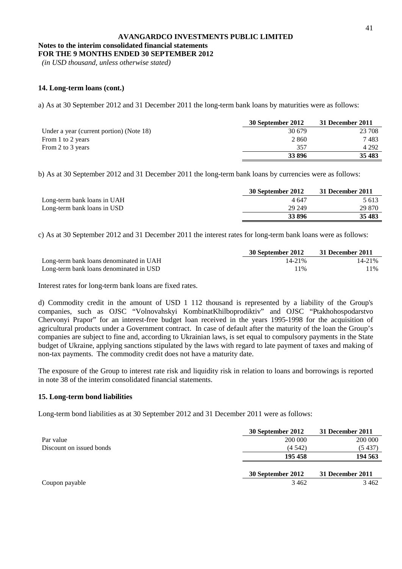*(in USD thousand, unless otherwise stated)*

### **14. Long-term loans (cont.)**

a) As at 30 September 2012 and 31 December 2011 the long-term bank loans by maturities were as follows:

|                                          | 30 September 2012 | 31 December 2011 |
|------------------------------------------|-------------------|------------------|
| Under a year (current portion) (Note 18) | 30 679            | 23 708           |
| From 1 to 2 years                        | 2 8 6 0           | 7483             |
| From 2 to 3 years                        | 357               | 4 2 9 2          |
|                                          | 33896             | 35 483           |

b) As at 30 September 2012 and 31 December 2011 the long-term bank loans by currencies were as follows:

|                             | 30 September 2012 | 31 December 2011 |
|-----------------------------|-------------------|------------------|
| Long-term bank loans in UAH | 4 647             | 5 613            |
| Long-term bank loans in USD | 29 24 9           | 29 870           |
|                             | 33896             | 35 483           |

c) As at 30 September 2012 and 31 December 2011 the interest rates for long-term bank loans were as follows:

|                                         | 30 September 2012 | 31 December 2011 |
|-----------------------------------------|-------------------|------------------|
| Long-term bank loans denominated in UAH | 14-21%            | 14-21%           |
| Long-term bank loans denominated in USD | 1%،               | 11%              |

Interest rates for long-term bank loans are fixed rates.

d) Commodity credit in the amount of USD 1 112 thousand is represented by a liability of the Group's companies, such as OJSC "Volnovahskyi KombinatKhilboprodiktiv" and OJSC "Ptakhohospodarstvo Chervonyi Prapor" for an interest-free budget loan received in the years 1995-1998 for the acquisition of agricultural products under a Government contract. In case of default after the maturity of the loan the Group's companies are subject to fine and, according to Ukrainian laws, is set equal to compulsory payments in the State budget of Ukraine, applying sanctions stipulated by the laws with regard to late payment of taxes and making of non-tax payments. The commodity credit does not have a maturity date.

The exposure of the Group to interest rate risk and liquidity risk in relation to loans and borrowings is reported in note 38 of the interim consolidated financial statements.

### **15. Long-term bond liabilities**

Long-term bond liabilities as at 30 September 2012 and 31 December 2011 were as follows:

|                          | 30 September 2012 | 31 December 2011 |
|--------------------------|-------------------|------------------|
| Par value                | 200 000           | 200 000          |
| Discount on issued bonds | (4542)            | (5437)           |
|                          | 195 458           | 194 563          |
|                          | 30 September 2012 | 31 December 2011 |
| Coupon payable           | 3462              | 3462             |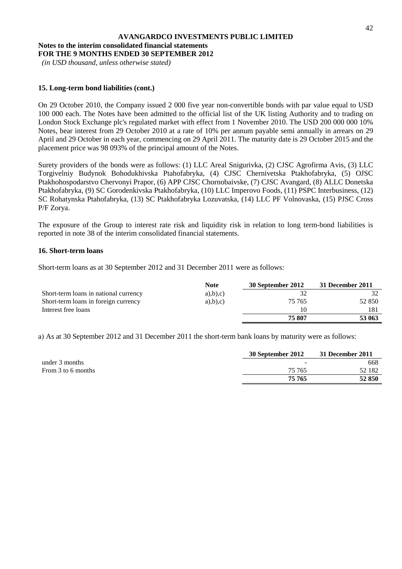*(in USD thousand, unless otherwise stated)*

### **15. Long-term bond liabilities (cont.)**

On 29 October 2010, the Company issued 2 000 five year non-convertible bonds with par value equal to USD 100 000 each. The Notes have been admitted to the official list of the UK listing Authority and to trading on London Stock Exchange plc's regulated market with effect from 1 November 2010. The USD 200 000 000 10% Notes, bear interest from 29 October 2010 at a rate of 10% per annum payable semi annually in arrears on 29 April and 29 October in each year, commencing on 29 April 2011. The maturity date is 29 October 2015 and the placement price was 98 093% of the principal amount of the Notes.

Surety providers of the bonds were as follows: (1) LLC Areal Snigurivka, (2) CJSC Agrofirma Avis, (3) LLC Torgivelniy Budynok Bohodukhivska Ptahofabryka, (4) CJSC Chernivetska Ptakhofabryka, (5) OJSC Ptakhohospodarstvo Chervonyi Prapor, (6) APP CJSC Chornobaivske, (7) CJSC Avangard, (8) ALLC Donetska Ptakhofabryka, (9) SC Gorodenkivska Ptakhofabryka, (10) LLC Imperovo Foods, (11) PSPC Interbusiness, (12) SC Rohatynska Ptahofabryka, (13) SC Ptakhofabryka Lozuvatska, (14) LLC PF Volnovaska, (15) PJSC Cross P/F Zorya.

The exposure of the Group to interest rate risk and liquidity risk in relation to long term-bond liabilities is reported in note 38 of the interim consolidated financial statements.

### **16. Short-term loans**

Short-term loans as at 30 September 2012 and 31 December 2011 were as follows:

|                                       | <b>Note</b> | 30 September 2012 | 31 December 2011 |
|---------------------------------------|-------------|-------------------|------------------|
| Short-term loans in national currency | a), b), c)  |                   |                  |
| Short-term loans in foreign currency  | a), b), c)  | 75 765            | 52 850           |
| Interest free loans                   |             | 10                | 181              |
|                                       |             | 75 807            | 53 063           |

а) As at 30 September 2012 and 31 December 2011 the short-term bank loans by maturity were as follows:

|                    | 30 September 2012        | 31 December 2011 |
|--------------------|--------------------------|------------------|
| under 3 months     | $\overline{\phantom{0}}$ | 668              |
| From 3 to 6 months | 75 765                   | 52 182           |
|                    | 75 765                   | 52 850           |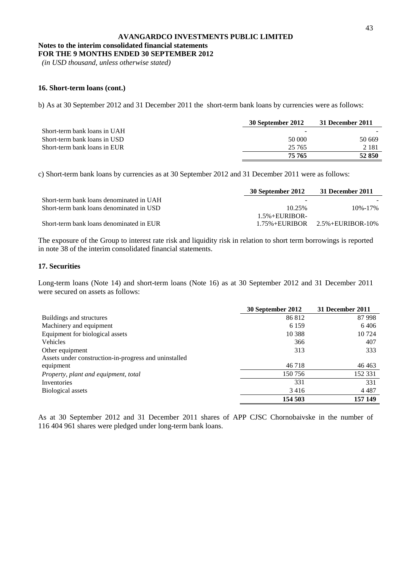*(in USD thousand, unless otherwise stated)*

### **16. Short-term loans (cont.)**

b) As at 30 September 2012 and 31 December 2011 the short-term bank loans by currencies were as follows:

|                              | 30 September 2012        | 31 December 2011 |
|------------------------------|--------------------------|------------------|
| Short-term bank loans in UAH | $\overline{\phantom{0}}$ |                  |
| Short-term bank loans in USD | 50 000                   | 50 669           |
| Short-term bank loans in EUR | 25 7 65                  | 2 1 8 1          |
|                              | 75 765                   | 52 850           |

c) Short-term bank loans by currencies as at 30 September 2012 and 31 December 2011 were as follows:

|                                          | 30 September 2012   | 31 December 2011        |
|------------------------------------------|---------------------|-------------------------|
| Short-term bank loans denominated in UAH | -                   |                         |
| Short-term bank loans denominated in USD | 10.25%              | $10\% - 17\%$           |
|                                          | $1.5% + EURIBOR -$  |                         |
| Short-term bank loans denominated in EUR | $1.75\% + EI$ RIBOR | $2.5\% + EIIRIBOR-10\%$ |

The exposure of the Group to interest rate risk and liquidity risk in relation to short term borrowings is reported in note 38 of the interim consolidated financial statements.

### **17. Securities**

Long-term loans (Note 14) and short-term loans (Note 16) as at 30 September 2012 and 31 December 2011 were secured on assets as follows:

|                                                       | 30 September 2012 | 31 December 2011 |
|-------------------------------------------------------|-------------------|------------------|
| Buildings and structures                              | 86812             | 87998            |
| Machinery and equipment                               | 6 1 5 9           | 6406             |
| Equipment for biological assets                       | 10 3 8 8          | 10724            |
| Vehicles                                              | 366               | 407              |
| Other equipment                                       | 313               | 333              |
| Assets under construction-in-progress and uninstalled |                   |                  |
| equipment                                             | 46 718            | 46 4 63          |
| Property, plant and equipment, total                  | 150 756           | 152 331          |
| Inventories                                           | 331               | 331              |
| <b>Biological assets</b>                              | 3416              | 4 4 8 7          |
|                                                       | 154 503           | 157 149          |

As at 30 September 2012 and 31 December 2011 shares of APP CJSC Chornobaivske in the number of 116 404 961 shares were pledged under long-term bank loans.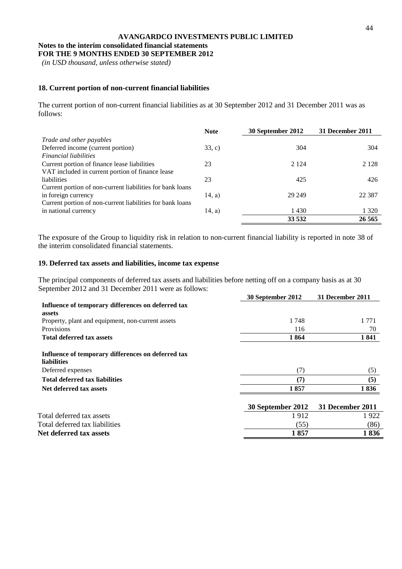*(in USD thousand, unless otherwise stated)*

### **18. Current portion of non-current financial liabilities**

The current portion of non-current financial liabilities as at 30 September 2012 and 31 December 2011 was as follows:

|                                                           | <b>Note</b> | 30 September 2012 | 31 December 2011 |
|-----------------------------------------------------------|-------------|-------------------|------------------|
| <i>Trade and other payables</i>                           |             |                   |                  |
| Deferred income (current portion)                         | 33, c)      | 304               | 304              |
| <i>Financial liabilities</i>                              |             |                   |                  |
| Current portion of finance lease liabilities              | 23          | 2 1 2 4           | 2 1 2 8          |
| VAT included in current portion of finance lease          |             |                   |                  |
| liabilities                                               | 23          | 425               | 426              |
| Current portion of non-current liabilities for bank loans |             |                   |                  |
| in foreign currency                                       | 14, a)      | 29 24 9           | 22 3 8 7         |
| Current portion of non-current liabilities for bank loans |             |                   |                  |
| in national currency                                      | 14, a)      | 1430              | 1 3 2 0          |
|                                                           |             | 33 532            | 26 5 65          |

The exposure of the Group to liquidity risk in relation to non-current financial liability is reported in note 38 of the interim consolidated financial statements.

## **19. Deferred tax assets and liabilities, income tax expense**

The principal components of deferred tax assets and liabilities before netting off on a company basis as at 30 September 2012 and 31 December 2011 were as follows:

|                                                                          | 30 September 2012 | 31 December 2011 |
|--------------------------------------------------------------------------|-------------------|------------------|
| Influence of temporary differences on deferred tax                       |                   |                  |
| assets                                                                   |                   |                  |
| Property, plant and equipment, non-current assets                        | 1 748             | 1 771            |
| <b>Provisions</b>                                                        | 116               | 70               |
| <b>Total deferred tax assets</b>                                         | 1864              | 1841             |
| Influence of temporary differences on deferred tax<br><b>liabilities</b> |                   |                  |
| Deferred expenses                                                        | (7)               | (5)              |
| <b>Total deferred tax liabilities</b>                                    | (7)               | (5)              |
| Net deferred tax assets                                                  | 1857              | 1836             |
|                                                                          | 30 September 2012 | 31 December 2011 |
| Total deferred tax assets                                                | 1912              | 1922             |
| Total deferred tax liabilities                                           | (55)              | (86)             |
| Net deferred tax assets                                                  | 1857              | 1836             |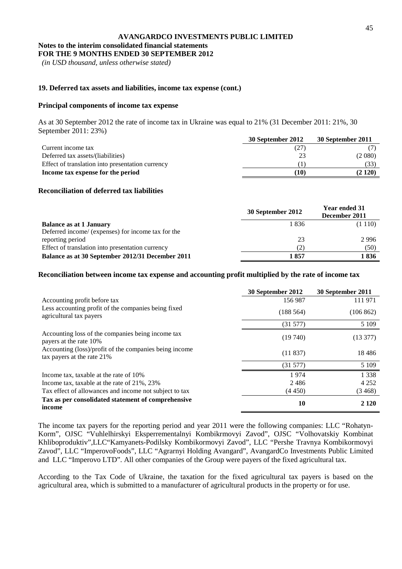*(in USD thousand, unless otherwise stated)*

### **19. Deferred tax assets and liabilities, income tax expense (cont.)**

### **Principal components of income tax expense**

As at 30 September 2012 the rate of income tax in Ukraine was equal to 21% (31 December 2011: 21%, 30 September 2011: 23%)

|                                                  | 30 September 2012 | 30 September 2011 |
|--------------------------------------------------|-------------------|-------------------|
| Current income tax                               | 27                |                   |
| Deferred tax assets/(liabilities)                |                   | (2080)            |
| Effect of translation into presentation currency |                   | (33)              |
| Income tax expense for the period                | 10)               | (2120)            |

### **Reconciliation of deferred tax liabilities**

|                                                    | 30 September 2012 | Year ended 31<br>December 2011 |
|----------------------------------------------------|-------------------|--------------------------------|
| <b>Balance as at 1 January</b>                     | 1836              | (1110)                         |
| Deferred income/ (expenses) for income tax for the |                   |                                |
| reporting period                                   | 23                | 2996                           |
| Effect of translation into presentation currency   | (2)               | (50)                           |
| Balance as at 30 September 2012/31 December 2011   | 1 857             | 1 836                          |

#### **Reconciliation between income tax expense and accounting profit multiplied by the rate of income tax**

|                                                                                      | 30 September 2012 | 30 September 2011 |
|--------------------------------------------------------------------------------------|-------------------|-------------------|
| Accounting profit before tax                                                         | 156 987           | 111971            |
| Less accounting profit of the companies being fixed<br>agricultural tax payers       | (188564)          | (106 862)         |
|                                                                                      | (31 577)          | 5 1 0 9           |
| Accounting loss of the companies being income tax<br>payers at the rate 10%          | (19740)           | (13 377)          |
| Accounting (loss)/profit of the companies being income<br>tax payers at the rate 21% | (11837)           | 18486             |
|                                                                                      | (31 577)          | 5 1 0 9           |
| Income tax, taxable at the rate of 10%                                               | 1974              | 1 3 3 8           |
| Income tax, taxable at the rate of 21%, 23%                                          | 2486              | 4 2 5 2           |
| Tax effect of allowances and income not subject to tax                               | (4450)            | (3468)            |
| Tax as per consolidated statement of comprehensive<br>income                         | 10                | 2 1 2 0           |

The income tax payers for the reporting period and year 2011 were the following companies: LLC "Rohatyn-Korm", OJSC "Vuhlelhirskyi Eksperrementalnyi Kombikrmovyi Zavod", OJSC "Volhovatskiy Kombinat Khliboproduktiv",LLC"Kamyanets-Podilsky Kombikormovyi Zavod", LLC "Pershe Travnya Kombikormovyi Zavod", LLC "ImperovoFoods", LLC "Agrarnyi Holding Avangard", AvangardCo Investments Public Limited and LLC "Imperovo LTD". All other companies of the Group were payers of the fixed agricultural tax.

According to the Tax Code of Ukraine, the taxation for the fixed agricultural tax payers is based on the agricultural area, which is submitted to a manufacturer of agricultural products in the property or for use.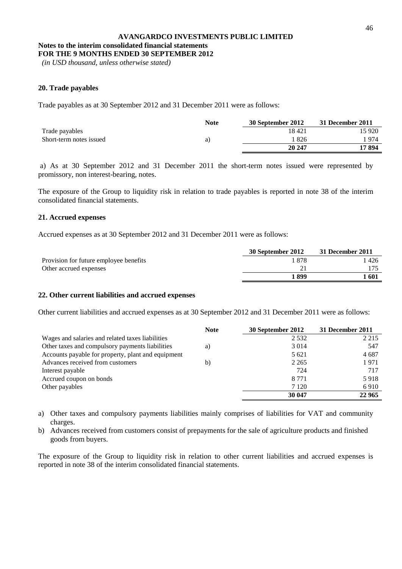*(in USD thousand, unless otherwise stated)*

### **20. Trade payables**

Trade payables as at 30 September 2012 and 31 December 2011 were as follows:

|                         | <b>Note</b> | 30 September 2012 | 31 December 2011 |
|-------------------------|-------------|-------------------|------------------|
| Trade payables          |             | 18 421            | 15 920           |
| Short-term notes issued | a.          | 826               | 974              |
|                         |             | 20 247            | 17 894           |

a) As at 30 September 2012 and 31 December 2011 the short-term notes issued were represented by promissory, non interest-bearing, notes.

The exposure of the Group to liquidity risk in relation to trade payables is reported in note 38 of the interim consolidated financial statements.

### **21. Accrued expenses**

Accrued expenses as at 30 September 2012 and 31 December 2011 were as follows:

|                                        | 30 September 2012 | 31 December 2011 |
|----------------------------------------|-------------------|------------------|
| Provision for future employee benefits | 878               | 426              |
| Other accrued expenses                 |                   |                  |
|                                        | 1 899             | ! 601            |

### **22. Other current liabilities and accrued expenses**

Other current liabilities and accrued expenses as at 30 September 2012 and 31 December 2011 were as follows:

|                                                    | <b>Note</b> | 30 September 2012 | 31 December 2011 |
|----------------------------------------------------|-------------|-------------------|------------------|
| Wages and salaries and related taxes liabilities   |             | 2 5 3 2           | 2 2 1 5          |
| Other taxes and compulsory payments liabilities    | a)          | 3 0 1 4           | 547              |
| Accounts payable for property, plant and equipment |             | 5 6 2 1           | 4 6 8 7          |
| Advances received from customers                   | b)          | 2 2 6 5           | 1971             |
| Interest payable                                   |             | 724               | 717              |
| Accrued coupon on bonds                            |             | 8 7 7 1           | 5918             |
| Other payables                                     |             | 7 1 2 0           | 6910             |
|                                                    |             | 30 047            | 22 965           |

a) Other taxes and compulsory payments liabilities mainly comprises of liabilities for VAT and community charges.

b) Advances received from customers consist of prepayments for the sale of agriculture products and finished goods from buyers.

The exposure of the Group to liquidity risk in relation to other current liabilities and accrued expenses is reported in note 38 of the interim consolidated financial statements.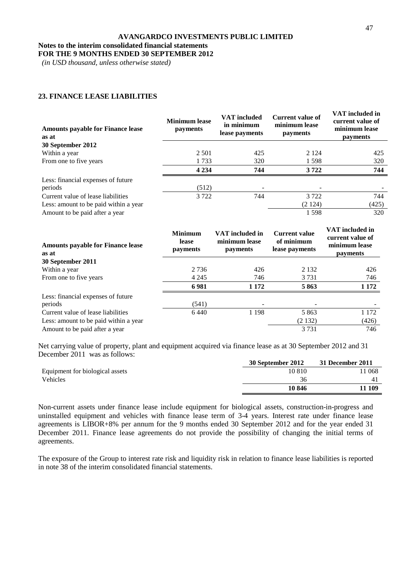*(in USD thousand, unless otherwise stated)*

### **23. FINANCE LEASE LIABILITIES**

| <b>Amounts payable for Finance lease</b><br>as at | <b>Minimum lease</b><br>payments | <b>VAT</b> included<br>in minimum<br>lease payments | Current value of<br>minimum lease<br><i>payments</i> | VAT included in<br>current value of<br>minimum lease<br><i>payments</i> |
|---------------------------------------------------|----------------------------------|-----------------------------------------------------|------------------------------------------------------|-------------------------------------------------------------------------|
| 30 September 2012                                 |                                  |                                                     |                                                      |                                                                         |
| Within a year                                     | 2 5 0 1                          | 425                                                 | 2 1 2 4                                              | 425                                                                     |
| From one to five years                            | 1 7 3 3                          | 320                                                 | 1 5 9 8                                              | 320                                                                     |
|                                                   | 4 2 3 4                          | 744                                                 | 3 7 2 2                                              | 744                                                                     |
| Less: financial expenses of future                |                                  |                                                     |                                                      |                                                                         |
| periods                                           | (512)                            |                                                     |                                                      |                                                                         |
| Current value of lease liabilities                | 3 7 2 2                          | 744                                                 | 3 7 2 2                                              | 744                                                                     |
| Less: amount to be paid within a year             |                                  |                                                     | (2124)                                               | (425)                                                                   |
| Amount to be paid after a year                    |                                  |                                                     | 1598                                                 | 320                                                                     |

| <b>Amounts payable for Finance lease</b><br>as at | <b>Minimum</b><br>lease<br>payments | VAT included in<br>minimum lease<br>payments | <b>Current value</b><br>of minimum<br>lease payments | VAT included in<br>current value of<br>minimum lease<br><i>payments</i> |
|---------------------------------------------------|-------------------------------------|----------------------------------------------|------------------------------------------------------|-------------------------------------------------------------------------|
| 30 September 2011                                 |                                     |                                              |                                                      |                                                                         |
| Within a year                                     | 2 7 3 6                             | 426                                          | 2 1 3 2                                              | 426                                                                     |
| From one to five years                            | 4 2 4 5                             | 746                                          | 3731                                                 | 746                                                                     |
|                                                   | 6981                                | 1 1 7 2                                      | 5863                                                 | 1 1 7 2                                                                 |
| Less: financial expenses of future                |                                     |                                              |                                                      |                                                                         |
| periods                                           | (541)                               |                                              |                                                      |                                                                         |
| Current value of lease liabilities                | 6440                                | 1 1 9 8                                      | 5863                                                 | 1 172                                                                   |
| Less: amount to be paid within a year             |                                     |                                              | (2132)                                               | (426)                                                                   |
| Amount to be paid after a year                    |                                     |                                              | 3731                                                 | 746                                                                     |

Net carrying value of property, plant and equipment acquired via finance lease as at 30 September 2012 and 31 December 2011 was as follows:

|                                 | 30 September 2012 | 31 December 2011 |
|---------------------------------|-------------------|------------------|
| Equipment for biological assets | 10 810            | 1 0 6 8          |
| Vehicles                        | 36                |                  |
|                                 | 10 846            | 11 109           |

Non-current assets under finance lease include equipment for biological assets, construction-in-progress and uninstalled equipment and vehicles with finance lease term of 3-4 years. Interest rate under finance lease agreements is LIBOR+8% per annum for the 9 months ended 30 September 2012 and for the year ended 31 December 2011. Finance lease agreements do not provide the possibility of changing the initial terms of agreements.

The exposure of the Group to interest rate risk and liquidity risk in relation to finance lease liabilities is reported in note 38 of the interim consolidated financial statements.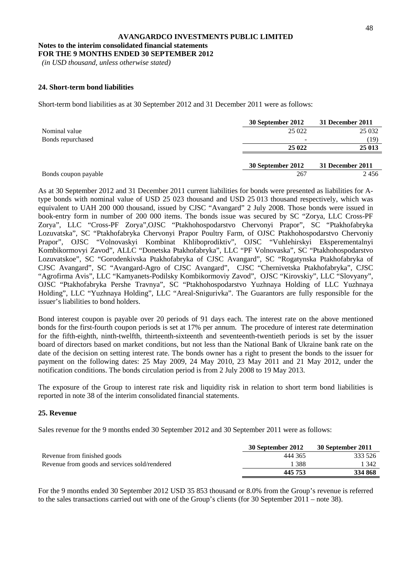*(in USD thousand, unless otherwise stated)*

### **24. Short-term bond liabilities**

Short-term bond liabilities as at 30 September 2012 and 31 December 2011 were as follows:

|                      | 30 September 2012 | 31 December 2011 |
|----------------------|-------------------|------------------|
| Nominal value        | 25 0 22           | 25 0 32          |
| Bonds repurchased    | -                 | (19)             |
|                      | 25 0 22           | 25 013           |
|                      | 30 September 2012 | 31 December 2011 |
| Bonds coupon payable | 267               | 2456             |

As at 30 September 2012 and 31 December 2011 current liabilities for bonds were presented as liabilities for Atype bonds with nominal value of USD 25 023 thousand and USD 25 013 thousand respectively, which was equivalent to UAH 200 000 thousand, issued by CJSC "Avangard" 2 July 2008. Those bonds were issued in book-entry form in number of 200 000 items. The bonds issue was secured by SC "Zorya, LLC Cross-PF Zorya", LLC "Cross-PF Zorya",OJSC "Ptakhohospodarstvo Chervonyi Prapor", SC "Ptakhofabryka Lozuvatska", SC "Ptakhofabryka Chervonyi Prapor Poultry Farm, of OJSC Ptakhohospodarstvo Chervoniy Prapor", OJSC "Volnovaskyi Kombinat Khliboprodiktiv", OJSC "Vuhlehirskyi Eksperementalnyi Kombikormovyi Zavod", ALLC "Donetska Ptakhofabryka", LLC "PF Volnovaska", SC "Ptakhohospodarstvo Lozuvatskoe", SC "Gorodenkivska Ptakhofabryka of CJSC Avangard", SC "Rogatynska Ptakhofabryka of CJSC Avangard", SC "Avangard-Agro of CJSC Avangard", CJSC "Chernivetska Ptakhofabryka", CJSC "Agrofirma Avis", LLC "Kamyanets-Podilsky Kombikormoviy Zavod", OJSC "Kirovskiy", LLC "Slovyany", OJSC "Ptakhofabryka Pershe Travnya", SC "Ptakhohospodarstvo Yuzhnaya Holding of LLC Yuzhnaya Holding", LLC "Yuzhnaya Holding", LLC "Areal-Snigurivka". The Guarantors are fully responsible for the issuer's liabilities to bond holders.

Bond interest coupon is payable over 20 periods of 91 days each. The interest rate on the above mentioned bonds for the first-fourth coupon periods is set at 17% per annum. The procedure of interest rate determination for the fifth-eighth, ninth-twelfth, thirteenth-sixteenth and seventeenth-twentieth periods is set by the issuer board of directors based on market conditions, but not less than the National Bank of Ukraine bank rate on the date of the decision on setting interest rate. The bonds owner has a right to present the bonds to the issuer for payment on the following dates: 25 May 2009, 24 May 2010, 23 May 2011 and 21 May 2012, under the notification conditions. The bonds circulation period is from 2 July 2008 to 19 May 2013.

The exposure of the Group to interest rate risk and liquidity risk in relation to short term bond liabilities is reported in note 38 of the interim consolidated financial statements.

### **25. Revenue**

Sales revenue for the 9 months ended 30 September 2012 and 30 September 2011 were as follows:

|                                               | 30 September 2012 | 30 September 2011 |
|-----------------------------------------------|-------------------|-------------------|
| Revenue from finished goods                   | 444 365           | 333 526           |
| Revenue from goods and services sold/rendered | -388              | l 342             |
|                                               | 445 753           | 334 868           |

For the 9 months ended 30 September 2012 USD 35 853 thousand or 8.0% from the Group's revenue is referred to the sales transactions carried out with one of the Group's clients (for 30 September 2011 – note 38).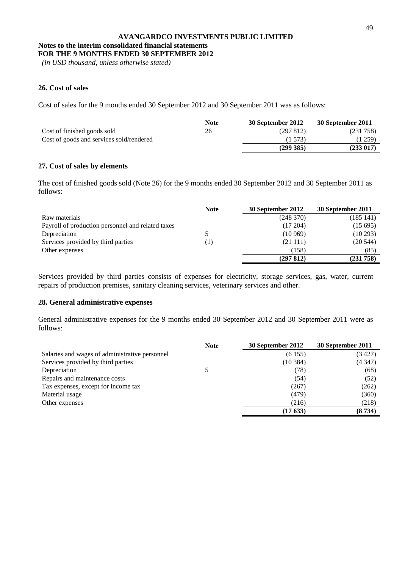*(in USD thousand, unless otherwise stated)*

### **26. Cost of sales**

Cost of sales for the 9 months ended 30 September 2012 and 30 September 2011 was as follows:

|                                          | <b>Note</b> | 30 September 2012 | 30 September 2011 |
|------------------------------------------|-------------|-------------------|-------------------|
| Cost of finished goods sold              | 26          | (297812)          | (231 758)         |
| Cost of goods and services sold/rendered |             | (1573)            | (1 259)           |
|                                          |             | (299 385)         | (233 017)         |

### **27. Cost of sales by elements**

The cost of finished goods sold (Note 26) for the 9 months ended 30 September 2012 and 30 September 2011 as follows:

|                                                   | <b>Note</b>      | 30 September 2012 | 30 September 2011 |
|---------------------------------------------------|------------------|-------------------|-------------------|
| Raw materials                                     |                  | (248 370)         | (185141)          |
| Payroll of production personnel and related taxes |                  | (17204)           | (15695)           |
| Depreciation                                      |                  | (10969)           | (10293)           |
| Services provided by third parties                | $\left(1\right)$ | (21111)           | (20544)           |
| Other expenses                                    |                  | (158)             | (85)              |
|                                                   |                  | (297812)          | (231 758)         |

Services provided by third parties consists of expenses for electricity, storage services, gas, water, current repairs of production premises, sanitary cleaning services, veterinary services and other.

### **28. General administrative expenses**

General administrative expenses for the 9 months ended 30 September 2012 and 30 September 2011 were as follows:

|                                                | <b>Note</b> | 30 September 2012 | 30 September 2011 |
|------------------------------------------------|-------------|-------------------|-------------------|
| Salaries and wages of administrative personnel |             | (6155)            | (3427)            |
| Services provided by third parties             |             | (10 384)          | (4347)            |
| Depreciation                                   |             | (78)              | (68)              |
| Repairs and maintenance costs                  |             | (54)              | (52)              |
| Tax expenses, except for income tax            |             | (267)             | (262)             |
| Material usage                                 |             | (479)             | (360)             |
| Other expenses                                 |             | (216)             | (218)             |
|                                                |             | (17633)           | (8734)            |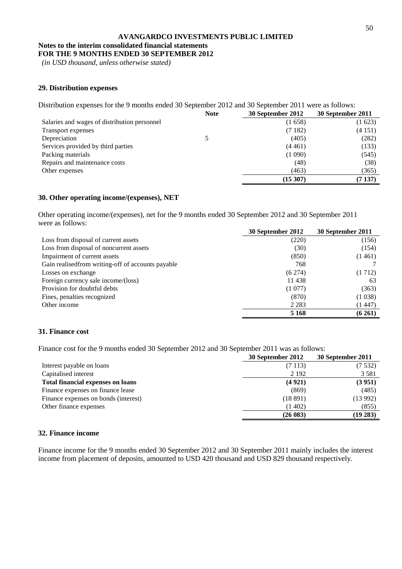*(in USD thousand, unless otherwise stated)*

### **29. Distribution expenses**

Distribution expenses for the 9 months ended 30 September 2012 and 30 September 2011 were as follows:

|                                              | <b>Note</b> | 30 September 2012 | 30 September 2011 |
|----------------------------------------------|-------------|-------------------|-------------------|
| Salaries and wages of distribution personnel |             | (1658)            | (1623)            |
| Transport expenses                           |             | (7182)            | (4151)            |
| Depreciation                                 |             | (405)             | (282)             |
| Services provided by third parties           |             | (4461)            | (133)             |
| Packing materials                            |             | (1090)            | (545)             |
| Repairs and maintenance costs                |             | (48)              | (38)              |
| Other expenses                               |             | (463)             | (365)             |
|                                              |             | (15307)           | (7137)            |

### **30. Other operating income/(expenses), NET**

Other operating income/(expenses), net for the 9 months ended 30 September 2012 and 30 September 2011 were as follows:

|                                                    | 30 September 2012 | 30 September 2011 |
|----------------------------------------------------|-------------------|-------------------|
| Loss from disposal of current assets               | (220)             | (156)             |
| Loss from disposal of noncurrent assets            | (30)              | (154)             |
| Impairment of current assets                       | (850)             | (1461)            |
| Gain realised from writing-off of accounts payable | 768               |                   |
| Losses on exchange                                 | (6274)            | (1712)            |
| Foreign currency sale income/(loss)                | 11 438            | 63                |
| Provision for doubtful debts                       | (1077)            | (363)             |
| Fines, penalties recognized                        | (870)             | (1038)            |
| Other income                                       | 2 2 8 3           | (1447)            |
|                                                    | 5 1 6 8           | (6261)            |

### **31. Finance cost**

Finance cost for the 9 months ended 30 September 2012 and 30 September 2011 was as follows:

|                                          | 30 September 2012 | 30 September 2011 |
|------------------------------------------|-------------------|-------------------|
| Interest payable on loans                | (7113)            | (7532)            |
| Capitalised interest                     | 2 1 9 2           | 3581              |
| <b>Total financial expenses on loans</b> | (4921)            | (3 951)           |
| Finance expenses on finance lease        | (869)             | (485)             |
| Finance expenses on bonds (interest)     | (18891)           | (13992)           |
| Other finance expenses                   | (1402)            | (855)             |
|                                          | (26083)           | (19 283)          |

### **32. Finance income**

Finance income for the 9 months ended 30 September 2012 and 30 September 2011 mainly includes the interest income from placement of deposits, amounted to USD 420 thousand and USD 829 thousand respectively.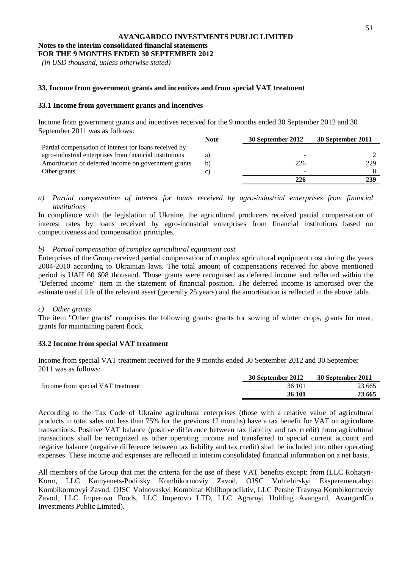*(in USD thousand, unless otherwise stated)*

### **33. Income from government grants and incentives and from special VAT treatment**

### **33.1 Income from government grants and incentives**

Income from government grants and incentives received for the 9 months ended 30 September 2012 and 30 September 2011 was as follows:

|                                                         | <b>Note</b> | 30 September 2012 | 30 September 2011 |
|---------------------------------------------------------|-------------|-------------------|-------------------|
| Partial compensation of interest for loans received by  |             |                   |                   |
| agro-industrial enterprises from financial institutions |             |                   |                   |
| Amortization of deferred income on government grants    |             | 226               | 229               |
| Other grants                                            |             | ۰                 |                   |
|                                                         |             | 226               | 239               |

### *a) Partial compensation of interest for loans received by agro-industrial enterprises from financial institutions*

In compliance with the legislation of Ukraine, the agricultural producers received partial compensation of interest rates by loans received by agro-industrial enterprises from financial institutions based on competitiveness and compensation principles.

#### *b) Partial compensation of complex agricultural equipment cost*

Enterprises of the Group received partial compensation of complex agricultural equipment cost during the years 2004-2010 according to Ukrainian laws. The total amount of compensations received for above mentioned period is UAH 60 608 thousand. Those grants were recognised as deferred income and reflected within the "Deferred income" item in the statement of financial position. The deferred income is amortised over the estimate useful life of the relevant asset (generally 25 years) and the amortisation is reflected in the above table.

#### *c) Other grants*

The item "Other grants" comprises the following grants: grants for sowing of winter crops, grants for meat, grants for maintaining parent flock.

#### **33.2 Income from special VAT treatment**

Income from special VAT treatment received for the 9 months ended 30 September 2012 and 30 September 2011 was as follows:

|                                   | 30 September 2012 | 30 September 2011 |
|-----------------------------------|-------------------|-------------------|
| Income from special VAT treatment | 36 101            | 23 665            |
|                                   | 36 101            | 23 665            |

According to the Tax Code of Ukraine agricultural enterprises (those with a relative value of agricultural products in total sales not less than 75% for the previous 12 months) have a tax benefit for VAT on agriculture transactions. Positive VAT balance (positive difference between tax liability and tax credit) from agricultural transactions shall be recognized as other operating income and transferred to special current account and negative balance (negative difference between tax liability and tax credit) shall be included into other operating expenses. These income and expenses are reflected in interim consolidated financial information on a net basis.

All members of the Group that met the criteria for the use of these VAT benefits except: from (LLC Rohatyn-Korm, LLC Kamyanets-Podilsky Kombikormoviy Zavod, OJSC Vuhlehirskyi Eksperementalnyi Kombikormovyi Zavod, OJSC Volnovaskyi Kombinat Khliboprodiktiv, LLC Pershe Travnya Kombikormoviy Zavod, LLC Imperovo Foods, LLC Imperovo LTD, LLC Agrarnyi Holding Avangard, AvangardCo Investments Public Limited).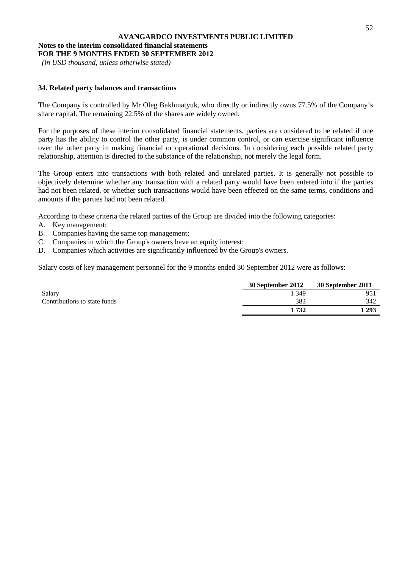*(in USD thousand, unless otherwise stated)*

### **34. Related party balances and transactions**

The Company is controlled by Mr Oleg Bakhmatyuk, who directly or indirectly owns 77.5% of the Company's share capital. The remaining 22.5% of the shares are widely owned.

For the purposes of these interim consolidated financial statements, parties are considered to be related if one party has the ability to control the other party, is under common control, or can exercise significant influence over the other party in making financial or operational decisions. In considering each possible related party relationship, attention is directed to the substance of the relationship, not merely the legal form.

The Group enters into transactions with both related and unrelated parties. It is generally not possible to objectively determine whether any transaction with a related party would have been entered into if the parties had not been related, or whether such transactions would have been effected on the same terms, conditions and amounts if the parties had not been related.

According to these criteria the related parties of the Group are divided into the following categories:

- A. Key management;
- B. Companies having the same top management;
- C. Companies in which the Group's owners have an equity interest;
- D. Companies which activities are significantly influenced by the Group's owners.

Salary costs of key management personnel for the 9 months ended 30 September 2012 were as follows:

|                              | 30 September 2012 | 30 September 2011 |
|------------------------------|-------------------|-------------------|
| Salary                       | 349               | 951               |
| Contributions to state funds | 383               | 342               |
|                              | 1 732             | 1 293             |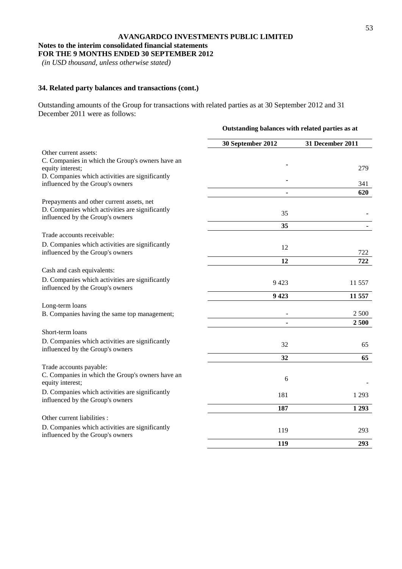*(in USD thousand, unless otherwise stated)*

## **34. Related party balances and transactions (cont.)**

Outstanding amounts of the Group for transactions with related parties as at 30 September 2012 and 31 December 2011 were as follows:

|                                                                                     | Outstanding balances with related parties as at |                  |
|-------------------------------------------------------------------------------------|-------------------------------------------------|------------------|
|                                                                                     | 30 September 2012                               | 31 December 2011 |
| Other current assets:<br>C. Companies in which the Group's owners have an           |                                                 |                  |
| equity interest;                                                                    |                                                 | 279              |
| D. Companies which activities are significantly<br>influenced by the Group's owners |                                                 | 341              |
|                                                                                     | $\blacksquare$                                  | 620              |
| Prepayments and other current assets, net                                           |                                                 |                  |
| D. Companies which activities are significantly<br>influenced by the Group's owners | 35                                              |                  |
|                                                                                     | 35                                              |                  |
| Trade accounts receivable:                                                          |                                                 |                  |
| D. Companies which activities are significantly<br>influenced by the Group's owners | 12                                              | 722              |
|                                                                                     | 12                                              | 722              |
| Cash and cash equivalents:                                                          |                                                 |                  |
| D. Companies which activities are significantly<br>influenced by the Group's owners | 9423                                            | 11 557           |
|                                                                                     | 9 4 23                                          | 11 557           |
| Long-term loans                                                                     |                                                 |                  |
| B. Companies having the same top management;                                        |                                                 | 2 500            |
|                                                                                     |                                                 | 2500             |
| Short-term loans                                                                    |                                                 |                  |
| D. Companies which activities are significantly<br>influenced by the Group's owners | 32                                              | 65               |
|                                                                                     | 32                                              | 65               |
| Trade accounts payable:                                                             |                                                 |                  |
| C. Companies in which the Group's owners have an<br>equity interest;                | 6                                               |                  |
| D. Companies which activities are significantly<br>influenced by the Group's owners | 181                                             | 1 2 9 3          |
|                                                                                     | 187                                             | 1 2 9 3          |
| Other current liabilities :                                                         |                                                 |                  |
| D. Companies which activities are significantly<br>influenced by the Group's owners | 119                                             | 293              |
|                                                                                     | 119                                             | 293              |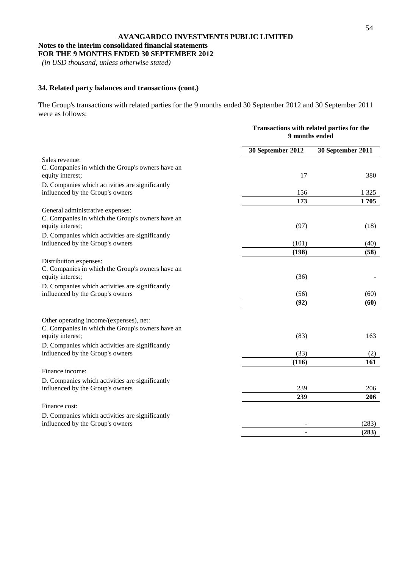*(in USD thousand, unless otherwise stated)*

## **34. Related party balances and transactions (cont.)**

The Group's transactions with related parties for the 9 months ended 30 September 2012 and 30 September 2011 were as follows:

|                                                                                                                 | Transactions with related parties for the<br>9 months ended |                   |
|-----------------------------------------------------------------------------------------------------------------|-------------------------------------------------------------|-------------------|
|                                                                                                                 | 30 September 2012                                           | 30 September 2011 |
| Sales revenue:<br>C. Companies in which the Group's owners have an<br>equity interest;                          | 17                                                          | 380               |
| D. Companies which activities are significantly<br>influenced by the Group's owners                             | 156                                                         | 1 3 2 5           |
|                                                                                                                 | 173                                                         | 1705              |
| General administrative expenses:<br>C. Companies in which the Group's owners have an<br>equity interest;        | (97)                                                        | (18)              |
| D. Companies which activities are significantly<br>influenced by the Group's owners                             | (101)<br>(198)                                              | (40)<br>(58)      |
| Distribution expenses:<br>C. Companies in which the Group's owners have an<br>equity interest;                  | (36)                                                        |                   |
| D. Companies which activities are significantly<br>influenced by the Group's owners                             | (56)                                                        | (60)              |
|                                                                                                                 | (92)                                                        | (60)              |
| Other operating income/(expenses), net:<br>C. Companies in which the Group's owners have an<br>equity interest; | (83)                                                        | 163               |
| D. Companies which activities are significantly<br>influenced by the Group's owners                             | (33)<br>(116)                                               | (2)<br>161        |
| Finance income:                                                                                                 |                                                             |                   |
| D. Companies which activities are significantly                                                                 |                                                             |                   |
| influenced by the Group's owners                                                                                | 239                                                         | 206               |
|                                                                                                                 | 239                                                         | 206               |
| Finance cost:                                                                                                   |                                                             |                   |
| D. Companies which activities are significantly<br>influenced by the Group's owners                             |                                                             | (283)             |
|                                                                                                                 |                                                             | (283)             |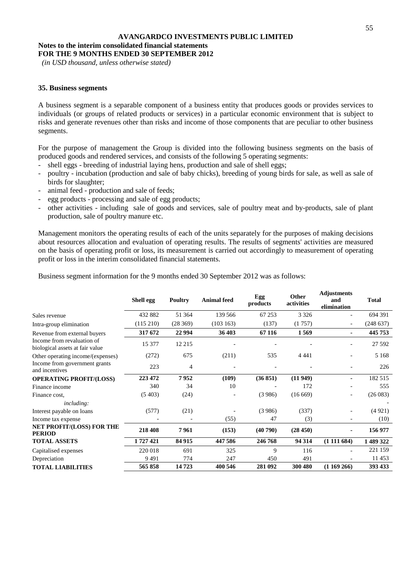*(in USD thousand, unless otherwise stated)*

#### **35. Business segments**

A business segment is a separable component of a business entity that produces goods or provides services to individuals (or groups of related products or services) in a particular economic environment that is subject to risks and generate revenues other than risks and income of those components that are peculiar to other business segments.

For the purpose of management the Group is divided into the following business segments on the basis of produced goods and rendered services, and consists of the following 5 operating segments:

- shell eggs breeding of industrial laying hens, production and sale of shell eggs;
- poultry incubation (production and sale of baby chicks), breeding of young birds for sale, as well as sale of birds for slaughter;
- animal feed production and sale of feeds;
- egg products processing and sale of egg products;
- other activities including sale of goods and services, sale of poultry meat and by-products, sale of plant production, sale of poultry manure etc.

Management monitors the operating results of each of the units separately for the purposes of making decisions about resources allocation and evaluation of operating results. The results of segments' activities are measured on the basis of operating profit or loss, its measurement is carried out accordingly to measurement of operating profit or loss in the interim consolidated financial statements.

Business segment information for the 9 months ended 30 September 2012 was as follows:

|                                                               | <b>Shell egg</b> | <b>Poultry</b> | <b>Animal feed</b> | Egg<br>products | <b>Other</b><br>activities | <b>Adjustments</b><br>and<br>elimination | <b>Total</b> |
|---------------------------------------------------------------|------------------|----------------|--------------------|-----------------|----------------------------|------------------------------------------|--------------|
| Sales revenue                                                 | 432 882          | 51 364         | 139 566            | 67 253          | 3 3 2 6                    | $\overline{\phantom{a}}$                 | 694 391      |
| Intra-group elimination                                       | (115 210)        | (28369)        | (103163)           | (137)           | (1757)                     |                                          | (248637)     |
| Revenue from external buyers                                  | 317 672          | 22 9 94        | 36 403             | 67 116          | 1569                       | $\blacksquare$                           | 445 753      |
| Income from revaluation of<br>biological assets at fair value | 15 377           | 12 215         |                    |                 |                            | $\overline{\phantom{a}}$                 | 27 5 9 2     |
| Other operating income/(expenses)                             | (272)            | 675            | (211)              | 535             | 4 4 4 1                    |                                          | 5 1 6 8      |
| Income from government grants<br>and incentives               | 223              | 4              |                    |                 |                            |                                          | 226          |
| <b>OPERATING PROFIT/(LOSS)</b>                                | 223 472          | 7952           | (109)              | (36851)         | (11949)                    | $\sim$                                   | 182 515      |
| Finance income                                                | 340              | 34             | 10                 |                 | 172                        |                                          | 555          |
| Finance cost,                                                 | (5403)           | (24)           |                    | (3986)          | (16669)                    |                                          | (26083)      |
| <i>including:</i>                                             |                  |                |                    |                 |                            |                                          |              |
| Interest payable on loans                                     | (577)            | (21)           |                    | (3986)          | (337)                      |                                          | (4921)       |
| Income tax expense                                            |                  |                | (55)               | 47              | (3)                        |                                          | (10)         |
| <b>NET PROFIT/(LOSS) FOR THE</b><br><b>PERIOD</b>             | 218 408          | 7961           | (153)              | (40790)         | (28450)                    |                                          | 156 977      |
| <b>TOTAL ASSETS</b>                                           | 1727421          | 84 915         | 447 586            | 246 768         | 94 314                     | (1111684)                                | 1 489 322    |
| Capitalised expenses                                          | 220 018          | 691            | 325                | 9               | 116                        |                                          | 221 159      |
| Depreciation                                                  | 9491             | 774            | 247                | 450             | 491                        |                                          | 11453        |
| <b>TOTAL LIABILITIES</b>                                      | 565858           | 14723          | 400 546            | 281 092         | 300 480                    | (1169266)                                | 393 433      |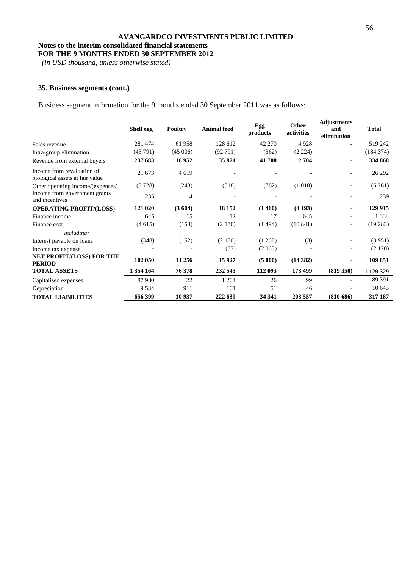*(in USD thousand, unless otherwise stated)*

## **35. Business segments (cont.)**

Business segment information for the 9 months ended 30 September 2011 was as follows:

|                                                               | <b>Shell egg</b> | <b>Poultry</b> | <b>Animal</b> feed | Egg<br>products | Other<br>activities | Adjustments<br>and<br>elimination | <b>Total</b> |
|---------------------------------------------------------------|------------------|----------------|--------------------|-----------------|---------------------|-----------------------------------|--------------|
| Sales revenue                                                 | 281 474          | 61958          | 128 612            | 42 270          | 4928                |                                   | 519 242      |
| Intra-group elimination                                       | (43 791)         | (45006)        | (92791)            | (562)           | (2 224)             | $\overline{\phantom{a}}$          | (184374)     |
| Revenue from external buyers                                  | 237 683          | 16952          | 35821              | 41708           | 2 704               | $\blacksquare$                    | 334 868      |
| Income from revaluation of<br>biological assets at fair value | 21 673           | 4619           |                    |                 |                     |                                   | 26 29 2      |
| Other operating income/(expenses)                             | (3728)           | (243)          | (518)              | (762)           | (1 010)             | $\overline{\phantom{a}}$          | (6261)       |
| Income from government grants<br>and incentives               | 235              | 4              |                    |                 |                     |                                   | 239          |
| <b>OPERATING PROFIT/(LOSS)</b>                                | 121 020          | (3604)         | 18 15 2            | (1460)          | (4193)              | $\blacksquare$                    | 129 915      |
| Finance income                                                | 645              | 15             | 12                 | 17              | 645                 |                                   | 1 3 3 4      |
| Finance cost,                                                 | (4615)           | (153)          | (2180)             | (1494)          | (10841)             | $\overline{\phantom{0}}$          | (19 283)     |
| <i>including:</i>                                             |                  |                |                    |                 |                     |                                   |              |
| Interest payable on loans                                     | (348)            | (152)          | (2180)             | (1268)          | (3)                 |                                   | (3951)       |
| Income tax expense                                            |                  |                | (57)               | (2063)          |                     |                                   | (2120)       |
| <b>NET PROFIT/(LOSS) FOR THE</b><br><b>PERIOD</b>             | 102 050          | 11 256         | 15 9 27            | (5000)          | (14382)             |                                   | 109 851      |
| <b>TOTAL ASSETS</b>                                           | 1 354 164        | 76 378         | 232 545            | 112 093         | 173 499             | (819 350)                         | 1 129 329    |
| Capitalised expenses                                          | 87980            | 22             | 1 2 6 4            | 26              | 99                  |                                   | 89 391       |
| Depreciation                                                  | 9 5 3 4          | 911            | 101                | 51              | 46                  |                                   | 10 643       |
| <b>TOTAL LIABILITIES</b>                                      | 656 399          | 10 937         | 222 639            | 34 341          | 203 557             | (810686)                          | 317 187      |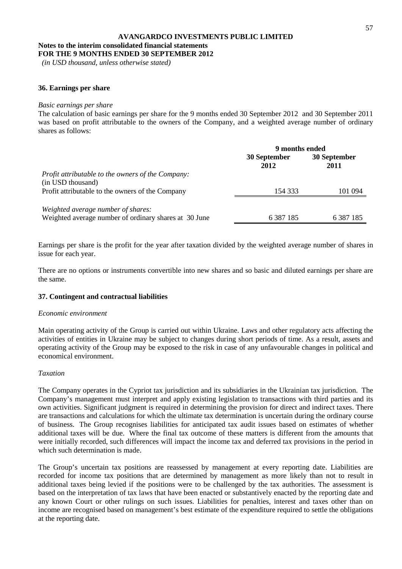*(in USD thousand, unless otherwise stated)*

### **36. Earnings per share**

#### *Basic earnings per share*

The calculation of basic earnings per share for the 9 months ended 30 September 2012 and 30 September 2011 was based on profit attributable to the owners of the Company, and a weighted average number of ordinary shares as follows:

|                                                                        | 9 months ended       |                             |  |
|------------------------------------------------------------------------|----------------------|-----------------------------|--|
|                                                                        | 30 September<br>2012 | <b>30 September</b><br>2011 |  |
| Profit attributable to the owners of the Company:<br>(in USD thousand) |                      |                             |  |
| Profit attributable to the owners of the Company                       | 154 333              | 101 094                     |  |
| Weighted average number of shares:                                     |                      |                             |  |
| Weighted average number of ordinary shares at 30 June                  | 6 3 8 7 1 8 5        | 6 3 8 7 1 8 5               |  |

Earnings per share is the profit for the year after taxation divided by the weighted average number of shares in issue for each year.

There are no options or instruments convertible into new shares and so basic and diluted earnings per share are the same.

### **37. Contingent and contractual liabilities**

### *Economic environment*

Main operating activity of the Group is carried out within Ukraine. Laws and other regulatory acts affecting the activities of entities in Ukraine may be subject to changes during short periods of time. As a result, assets and operating activity of the Group may be exposed to the risk in case of any unfavourable changes in political and economical environment.

### *Taxation*

The Company operates in the Cypriot tax jurisdiction and its subsidiaries in the Ukrainian tax jurisdiction. The Company's management must interpret and apply existing legislation to transactions with third parties and its own activities. Significant judgment is required in determining the provision for direct and indirect taxes. There are transactions and calculations for which the ultimate tax determination is uncertain during the ordinary course of business. The Group recognises liabilities for anticipated tax audit issues based on estimates of whether additional taxes will be due. Where the final tax outcome of these matters is different from the amounts that were initially recorded, such differences will impact the income tax and deferred tax provisions in the period in which such determination is made.

The Group's uncertain tax positions are reassessed by management at every reporting date. Liabilities are recorded for income tax positions that are determined by management as more likely than not to result in additional taxes being levied if the positions were to be challenged by the tax authorities. The assessment is based on the interpretation of tax laws that have been enacted or substantively enacted by the reporting date and any known Court or other rulings on such issues. Liabilities for penalties, interest and taxes other than on income are recognised based on management's best estimate of the expenditure required to settle the obligations at the reporting date.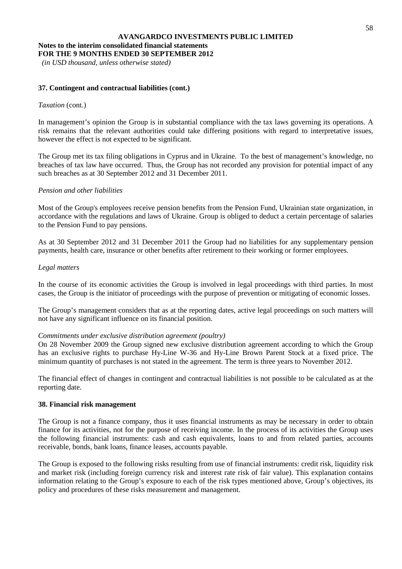*(in USD thousand, unless otherwise stated)*

### **37. Contingent and contractual liabilities (cont.)**

### *Taxation* (cont.)

In management's opinion the Group is in substantial compliance with the tax laws governing its operations. A risk remains that the relevant authorities could take differing positions with regard to interpretative issues, however the effect is not expected to be significant.

The Group met its tax filing obligations in Cyprus and in Ukraine. To the best of management's knowledge, no breaches of tax law have occurred. Thus, the Group has not recorded any provision for potential impact of any such breaches as at 30 September 2012 and 31 December 2011.

### *Pension and other liabilities*

Most of the Group's employees receive pension benefits from the Pension Fund, Ukrainian state organization, in accordance with the regulations and laws of Ukraine. Group is obliged to deduct a certain percentage of salaries to the Pension Fund to pay pensions.

As at 30 September 2012 and 31 December 2011 the Group had no liabilities for any supplementary pension payments, health care, insurance or other benefits after retirement to their working or former employees.

### *Legal matters*

In the course of its economic activities the Group is involved in legal proceedings with third parties. In most cases, the Group is the initiator of proceedings with the purpose of prevention or mitigating of economic losses.

The Group's management considers that as at the reporting dates, active legal proceedings on such matters will not have any significant influence on its financial position.

### *Commitments under exclusive distribution agreement (poultry)*

On 28 November 2009 the Group signed new exclusive distribution agreement according to which the Group has an exclusive rights to purchase Hy-Line W-36 and Hy-Line Brown Parent Stock at a fixed price. The minimum quantity of purchases is not stated in the agreement. The term is three years to November 2012.

The financial effect of changes in contingent and contractual liabilities is not possible to be calculated as at the reporting date.

### **38. Financial risk management**

The Group is not a finance company, thus it uses financial instruments as may be necessary in order to obtain finance for its activities, not for the purpose of receiving income. In the process of its activities the Group uses the following financial instruments: cash and cash equivalents, loans to and from related parties, accounts receivable, bonds, bank loans, finance leases, accounts payable.

The Group is exposed to the following risks resulting from use of financial instruments: credit risk, liquidity risk and market risk (including foreign currency risk and interest rate risk of fair value). This explanation contains information relating to the Group's exposure to each of the risk types mentioned above, Group's objectives, its policy and procedures of these risks measurement and management.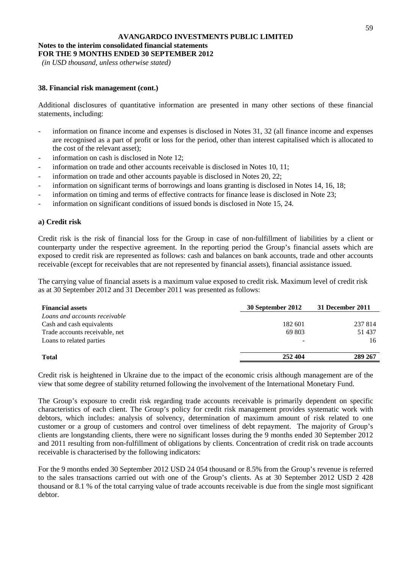*(in USD thousand, unless otherwise stated)*

### **38. Financial risk management (cont.)**

Additional disclosures of quantitative information are presented in many other sections of these financial statements, including:

- information on finance income and expenses is disclosed in Notes 31, 32 (all finance income and expenses are recognised as a part of profit or loss for the period, other than interest capitalised which is allocated to the cost of the relevant asset);
- information on cash is disclosed in Note 12;
- information on trade and other accounts receivable is disclosed in Notes 10, 11;
- information on trade and other accounts payable is disclosed in Notes 20, 22;
- information on significant terms of borrowings and loans granting is disclosed in Notes 14, 16, 18;
- information on timing and terms of effective contracts for finance lease is disclosed in Note 23;
- information on significant conditions of issued bonds is disclosed in Note 15, 24.

### **a) Credit risk**

Credit risk is the risk of financial loss for the Group in case of non-fulfillment of liabilities by a client or counterparty under the respective agreement. In the reporting period the Group's financial assets which are exposed to credit risk are represented as follows: cash and balances on bank accounts, trade and other accounts receivable (except for receivables that are not represented by financial assets), financial assistance issued.

The carrying value of financial assets is a maximum value exposed to credit risk. Maximum level of credit risk as at 30 September 2012 and 31 December 2011 was presented as follows:

| 30 September 2012 | 31 December 2011 |
|-------------------|------------------|
|                   |                  |
| 182 601           | 237 814          |
| 69 803            | 51 437           |
|                   | 16               |
|                   |                  |
| 252 404           | 289 267          |
|                   |                  |

Credit risk is heightened in Ukraine due to the impact of the economic crisis although management are of the view that some degree of stability returned following the involvement of the International Monetary Fund.

The Group's exposure to credit risk regarding trade accounts receivable is primarily dependent on specific characteristics of each client. The Group's policy for credit risk management provides systematic work with debtors, which includes: analysis of solvency, determination of maximum amount of risk related to one customer or a group of customers and control over timeliness of debt repayment. The majority of Group's clients are longstanding clients, there were no significant losses during the 9 months ended 30 September 2012 and 2011 resulting from non-fulfillment of obligations by clients. Concentration of credit risk on trade accounts receivable is characterised by the following indicators:

For the 9 months ended 30 September 2012 USD 24 054 thousand or 8.5% from the Group's revenue is referred to the sales transactions carried out with one of the Group's clients. As at 30 September 2012 USD 2 428 thousand or 8.1 % of the total carrying value of trade accounts receivable is due from the single most significant debtor.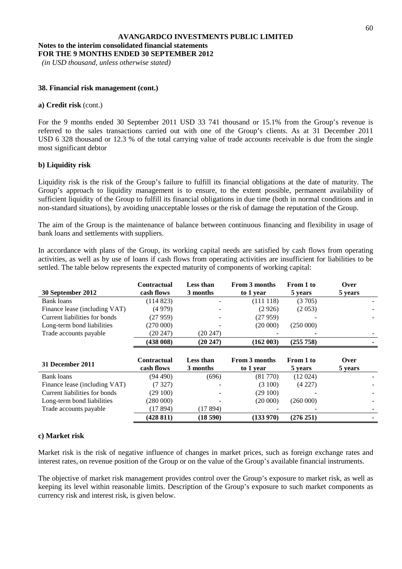*(in USD thousand, unless otherwise stated)*

### **38. Financial risk management (cont.)**

#### **a) Credit risk** (cont.)

For the 9 months ended 30 September 2011 USD 33 741 thousand or 15.1% from the Group's revenue is referred to the sales transactions carried out with one of the Group's clients. As at 31 December 2011 USD 6 328 thousand or 12.3 % of the total carrying value of trade accounts receivable is due from the single most significant debtor

### **b) Liquidity risk**

Liquidity risk is the risk of the Group's failure to fulfill its financial obligations at the date of maturity. The Group's approach to liquidity management is to ensure, to the extent possible, permanent availability of sufficient liquidity of the Group to fulfill its financial obligations in due time (both in normal conditions and in non-standard situations), by avoiding unacceptable losses or the risk of damage the reputation of the Group.

The aim of the Group is the maintenance of balance between continuous financing and flexibility in usage of bank loans and settlements with suppliers.

In accordance with plans of the Group, its working capital needs are satisfied by cash flows from operating activities, as well as by use of loans if cash flows from operating activities are insufficient for liabilities to be settled. The table below represents the expected maturity of components of working capital:

|                               | <b>Contractual</b> | Less than | <b>From 3 months</b> | From 1 to | Over    |
|-------------------------------|--------------------|-----------|----------------------|-----------|---------|
| 30 September 2012             | cash flows         | 3 months  | to 1 year            | 5 years   | 5 years |
| Bank loans                    | (114823)           |           | (111118)             | (3705)    |         |
| Finance lease (including VAT) | (4979)             |           | (2926)               | (2053)    |         |
| Current liabilities for bonds | (27959)            |           | (27959)              |           |         |
| Long-term bond liabilities    | (270000)           |           | (20000)              | (250000)  |         |
| Trade accounts payable        | (20247)            | (20247)   |                      |           |         |
|                               | (438008)           | (20 247)  | (162003)             | (255 758) |         |
|                               |                    |           |                      |           |         |
|                               |                    |           |                      |           |         |
|                               | <b>Contractual</b> | Less than | <b>From 3 months</b> | From 1 to | Over    |
| 31 December 2011              | cash flows         | 3 months  | to 1 year            | 5 years   | 5 years |
| Bank loans                    | (94 490)           | (696)     | (81770)              | (12024)   |         |
| Finance lease (including VAT) | (7327)             |           | (3100)               | (4227)    |         |
| Current liabilities for bonds | (29100)            |           | (29100)              |           |         |
| Long-term bond liabilities    | (280000)           |           | (20000)              | (260000)  |         |
| Trade accounts payable        | (17894)            | (17894)   |                      |           |         |

### **c) Market risk**

Market risk is the risk of negative influence of changes in market prices, such as foreign exchange rates and interest rates, on revenue position of the Group or on the value of the Group's available financial instruments.

The objective of market risk management provides control over the Group's exposure to market risk, as well as keeping its level within reasonable limits. Description of the Group's exposure to such market components as currency risk and interest risk, is given below.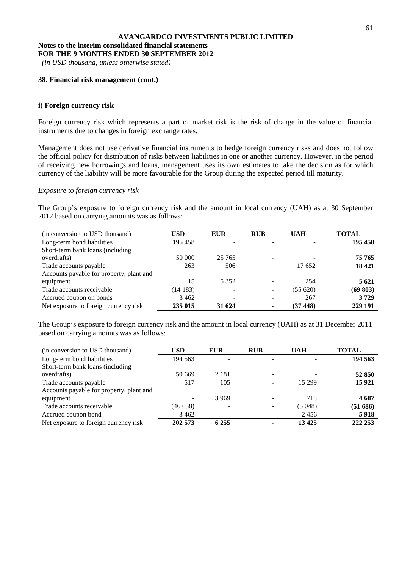*(in USD thousand, unless otherwise stated)*

### **38. Financial risk management (cont.)**

#### **i) Foreign currency risk**

Foreign currency risk which represents a part of market risk is the risk of change in the value of financial instruments due to changes in foreign exchange rates.

Management does not use derivative financial instruments to hedge foreign currency risks and does not follow the official policy for distribution of risks between liabilities in one or another currency. However, in the period of receiving new borrowings and loans, management uses its own estimates to take the decision as for which currency of the liability will be more favourable for the Group during the expected period till maturity.

### *Exposure to foreign currency risk*

The Group's exposure to foreign currency risk and the amount in local currency (UAH) as at 30 September 2012 based on carrying amounts was as follows:

| (in conversion to USD thousand)          | USD     | <b>EUR</b> | <b>RUB</b> | <b>UAH</b> | <b>TOTAL</b> |
|------------------------------------------|---------|------------|------------|------------|--------------|
| Long-term bond liabilities               | 195458  |            |            |            | 195 458      |
| Short-term bank loans (including         |         |            |            |            |              |
| overdrafts)                              | 50 000  | 25 7 65    |            |            | 75 765       |
| Trade accounts payable                   | 263     | 506        |            | 17 652     | 18 4 21      |
| Accounts payable for property, plant and |         |            |            |            |              |
| equipment                                | 15      | 5 3 5 2    |            | 254        | 5 6 21       |
| Trade accounts receivable                | (14183) |            | -          | (55620)    | (69803)      |
| Accrued coupon on bonds                  | 3462    | -          |            | 267        | 3729         |
| Net exposure to foreign currency risk    | 235 015 | 31 624     |            | (37 448)   | 229 191      |

The Group's exposure to foreign currency risk and the amount in local currency (UAH) as at 31 December 2011 based on carrying amounts was as follows:

| (in conversion to USD thousand)          | USD      | <b>EUR</b> | <b>RUB</b>               | <b>UAH</b> | TOTAL   |
|------------------------------------------|----------|------------|--------------------------|------------|---------|
| Long-term bond liabilities               | 194 563  |            |                          |            | 194 563 |
| Short-term bank loans (including         |          |            |                          |            |         |
| overdrafts)                              | 50 669   | 2 1 8 1    |                          |            | 52 850  |
| Trade accounts payable                   | 517      | 105        | $\overline{\phantom{0}}$ | 15 299     | 15921   |
| Accounts payable for property, plant and |          |            |                          |            |         |
| equipment                                |          | 3969       |                          | 718        | 4 687   |
| Trade accounts receivable                | (46 638) |            | $\overline{\phantom{a}}$ | (5048)     | (51686) |
| Accrued coupon bond                      | 3462     |            |                          | 2456       | 5918    |
| Net exposure to foreign currency risk    | 202 573  | 6 2 5 5    |                          | 13425      | 222 253 |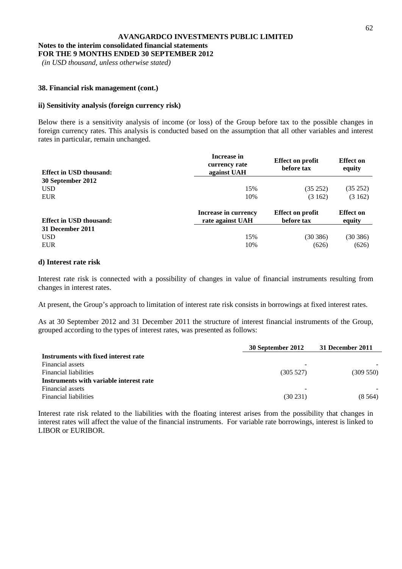*(in USD thousand, unless otherwise stated)*

#### **38. Financial risk management (cont.)**

#### **ii) Sensitivity analysis (foreign currency risk)**

Below there is a sensitivity analysis of income (or loss) of the Group before tax to the possible changes in foreign currency rates. This analysis is conducted based on the assumption that all other variables and interest rates in particular, remain unchanged.

| <b>Effect in USD thousand:</b> | Increase in<br>currency rate<br>against UAH | <b>Effect on profit</b><br>before tax | <b>Effect</b> on<br>equity |
|--------------------------------|---------------------------------------------|---------------------------------------|----------------------------|
| 30 September 2012              |                                             |                                       |                            |
| <b>USD</b>                     | 15%                                         | (35 252)                              | (35 252)                   |
| <b>EUR</b>                     | 10%                                         | (3162)                                | (3162)                     |
| <b>Effect in USD thousand:</b> | Increase in currency<br>rate against UAH    | <b>Effect on profit</b><br>before tax | <b>Effect</b> on<br>equity |
| 31 December 2011               |                                             |                                       |                            |
| USD.                           | 15%                                         | (30386)                               | (30386)                    |
| <b>EUR</b>                     | 10%                                         | (626)                                 | (626)                      |

### **d) Interest rate risk**

Interest rate risk is connected with a possibility of changes in value of financial instruments resulting from changes in interest rates.

At present, the Group's approach to limitation of interest rate risk consists in borrowings at fixed interest rates.

As at 30 September 2012 and 31 December 2011 the structure of interest financial instruments of the Group, grouped according to the types of interest rates, was presented as follows:

|                                         | 30 September 2012        | 31 December 2011 |
|-----------------------------------------|--------------------------|------------------|
| Instruments with fixed interest rate    |                          |                  |
| Financial assets                        | $\overline{\phantom{a}}$ |                  |
| <b>Financial liabilities</b>            | (305527)                 | (309550)         |
| Instruments with variable interest rate |                          |                  |
| Financial assets                        | $\overline{\phantom{0}}$ |                  |
| <b>Financial liabilities</b>            | $(30\,231)$              | (8564)           |

Interest rate risk related to the liabilities with the floating interest arises from the possibility that changes in interest rates will affect the value of the financial instruments. For variable rate borrowings, interest is linked to LIBOR or EURIBOR.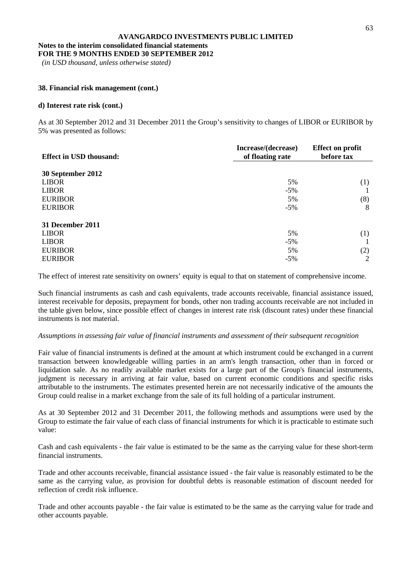*(in USD thousand, unless otherwise stated)*

### **38. Financial risk management (cont.)**

### **d) Interest rate risk (cont.)**

As at 30 September 2012 and 31 December 2011 the Group's sensitivity to changes of LIBOR or EURIBOR by 5% was presented as follows:

| <b>Effect in USD thousand:</b> | Increase/(decrease)<br>of floating rate | <b>Effect on profit</b><br>before tax |
|--------------------------------|-----------------------------------------|---------------------------------------|
| 30 September 2012              |                                         |                                       |
| <b>LIBOR</b>                   | 5%                                      | (1)                                   |
| <b>LIBOR</b>                   | $-5\%$                                  |                                       |
| <b>EURIBOR</b>                 | 5%                                      | (8)                                   |
| <b>EURIBOR</b>                 | $-5\%$                                  | 8                                     |
| 31 December 2011               |                                         |                                       |
| <b>LIBOR</b>                   | 5%                                      | (1)                                   |
| <b>LIBOR</b>                   | $-5\%$                                  |                                       |
| <b>EURIBOR</b>                 | 5%                                      | (2)                                   |
| <b>EURIBOR</b>                 | $-5%$                                   | 2                                     |

The effect of interest rate sensitivity on owners' equity is equal to that on statement of comprehensive income.

Such financial instruments as cash and cash equivalents, trade accounts receivable, financial assistance issued, interest receivable for deposits, prepayment for bonds, other non trading accounts receivable are not included in the table given below, since possible effect of changes in interest rate risk (discount rates) under these financial instruments is not material.

### *Assumptions in assessing fair value of financial instruments and assessment of their subsequent recognition*

Fair value of financial instruments is defined at the amount at which instrument could be exchanged in a current transaction between knowledgeable willing parties in an arm's length transaction, other than in forced or liquidation sale. As no readily available market exists for a large part of the Group's financial instruments, judgment is necessary in arriving at fair value, based on current economic conditions and specific risks attributable to the instruments. The estimates presented herein are not necessarily indicative of the amounts the Group could realise in a market exchange from the sale of its full holding of a particular instrument.

As at 30 September 2012 and 31 December 2011, the following methods and assumptions were used by the Group to estimate the fair value of each class of financial instruments for which it is practicable to estimate such value:

Cash and cash equivalents - the fair value is estimated to be the same as the carrying value for these short-term financial instruments.

Trade and other accounts receivable, financial assistance issued - the fair value is reasonably estimated to be the same as the carrying value, as provision for doubtful debts is reasonable estimation of discount needed for reflection of credit risk influence.

Trade and other accounts payable - the fair value is estimated to be the same as the carrying value for trade and other accounts payable.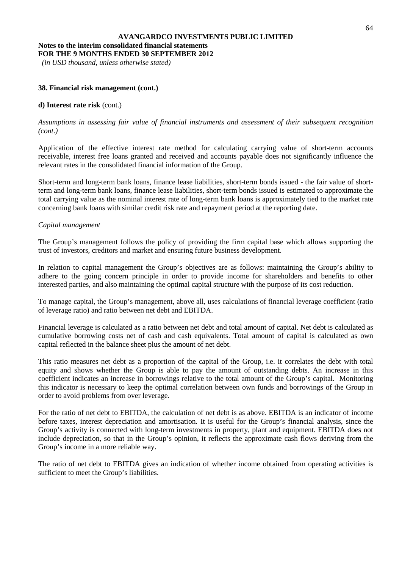*(in USD thousand, unless otherwise stated)*

### **38. Financial risk management (cont.)**

### **d) Interest rate risk** (cont.)

*Assumptions in assessing fair value of financial instruments and assessment of their subsequent recognition (cont.)*

Application of the effective interest rate method for calculating carrying value of short-term accounts receivable, interest free loans granted and received and accounts payable does not significantly influence the relevant rates in the consolidated financial information of the Group.

Short-term and long-term bank loans, finance lease liabilities, short-term bonds issued - the fair value of shortterm and long-term bank loans, finance lease liabilities, short-term bonds issued is estimated to approximate the total carrying value as the nominal interest rate of long-term bank loans is approximately tied to the market rate concerning bank loans with similar credit risk rate and repayment period at the reporting date.

### *Capital management*

The Group's management follows the policy of providing the firm capital base which allows supporting the trust of investors, creditors and market and ensuring future business development.

In relation to capital management the Group's objectives are as follows: maintaining the Group's ability to adhere to the going concern principle in order to provide income for shareholders and benefits to other interested parties, and also maintaining the optimal capital structure with the purpose of its cost reduction.

To manage capital, the Group's management, above all, uses calculations of financial leverage coefficient (ratio of leverage ratio) and ratio between net debt and EBITDA.

Financial leverage is calculated as a ratio between net debt and total amount of capital. Net debt is calculated as cumulative borrowing costs net of cash and cash equivalents. Total amount of capital is calculated as own capital reflected in the balance sheet plus the amount of net debt.

This ratio measures net debt as a proportion of the capital of the Group, i.e. it correlates the debt with total equity and shows whether the Group is able to pay the amount of outstanding debts. An increase in this coefficient indicates an increase in borrowings relative to the total amount of the Group's capital. Monitoring this indicator is necessary to keep the optimal correlation between own funds and borrowings of the Group in order to avoid problems from over leverage.

For the ratio of net debt to EBITDA, the calculation of net debt is as above. EBITDA is an indicator of income before taxes, interest depreciation and amortisation. It is useful for the Group's financial analysis, since the Group's activity is connected with long-term investments in property, plant and equipment. EBITDA does not include depreciation, so that in the Group's opinion, it reflects the approximate cash flows deriving from the Group's income in a more reliable way.

The ratio of net debt to EBITDA gives an indication of whether income obtained from operating activities is sufficient to meet the Group's liabilities.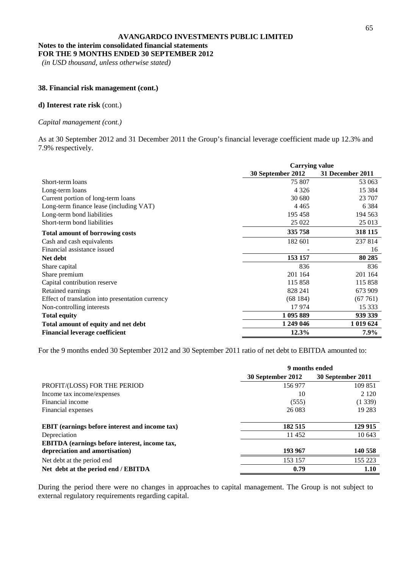*(in USD thousand, unless otherwise stated)*

### **38. Financial risk management (cont.)**

### **d) Interest rate risk** (cont.)

### *Capital management (cont.)*

As at 30 September 2012 and 31 December 2011 the Group's financial leverage coefficient made up 12.3% and 7.9% respectively.

|                                                  | <b>Carrying value</b> |                  |
|--------------------------------------------------|-----------------------|------------------|
|                                                  | 30 September 2012     | 31 December 2011 |
| Short-term loans                                 | 75 807                | 53 063           |
| Long-term loans                                  | 4 3 2 6               | 15 3 8 4         |
| Current portion of long-term loans               | 30 680                | 23 707           |
| Long-term finance lease (including VAT)          | 4 4 6 5               | 6 3 8 4          |
| Long-term bond liabilities                       | 195 458               | 194 563          |
| Short-term bond liabilities                      | 25 022                | 25 013           |
| <b>Total amount of borrowing costs</b>           | 335 758               | 318 115          |
| Cash and cash equivalents                        | 182 601               | 237 814          |
| Financial assistance issued                      |                       | 16               |
| Net debt                                         | 153 157               | 80 285           |
| Share capital                                    | 836                   | 836              |
| Share premium                                    | 201 164               | 201 164          |
| Capital contribution reserve                     | 115 858               | 115 858          |
| Retained earnings                                | 828 241               | 673 909          |
| Effect of translation into presentation currency | (68184)               | (67761)          |
| Non-controlling interests                        | 17974                 | 15 3 33          |
| <b>Total equity</b>                              | 1 095 889             | 939 339          |
| Total amount of equity and net debt              | 1 249 046             | 1 019 624        |
| <b>Financial leverage coefficient</b>            | 12.3%                 | $7.9\%$          |

For the 9 months ended 30 September 2012 and 30 September 2011 ratio of net debt to EBITDA amounted to:

|                                                       | 9 months ended    |                   |  |
|-------------------------------------------------------|-------------------|-------------------|--|
|                                                       | 30 September 2012 | 30 September 2011 |  |
| PROFIT/(LOSS) FOR THE PERIOD                          | 156 977           | 109 851           |  |
| Income tax income/expenses                            | 10                | 2 1 2 0           |  |
| Financial income                                      | (555)             | (1339)            |  |
| Financial expenses                                    | 26 083            | 19 28 3           |  |
| <b>EBIT</b> (earnings before interest and income tax) | 182 515           | 129 915           |  |
| Depreciation                                          | 11 452            | 10 643            |  |
| <b>EBITDA</b> (earnings before interest, income tax,  |                   |                   |  |
| depreciation and amortisation)                        | 193 967           | 140 558           |  |
| Net debt at the period end                            | 153 157           | 155 223           |  |
| Net debt at the period end / EBITDA                   | 0.79              | 1.10              |  |

During the period there were no changes in approaches to capital management. The Group is not subject to external regulatory requirements regarding capital.